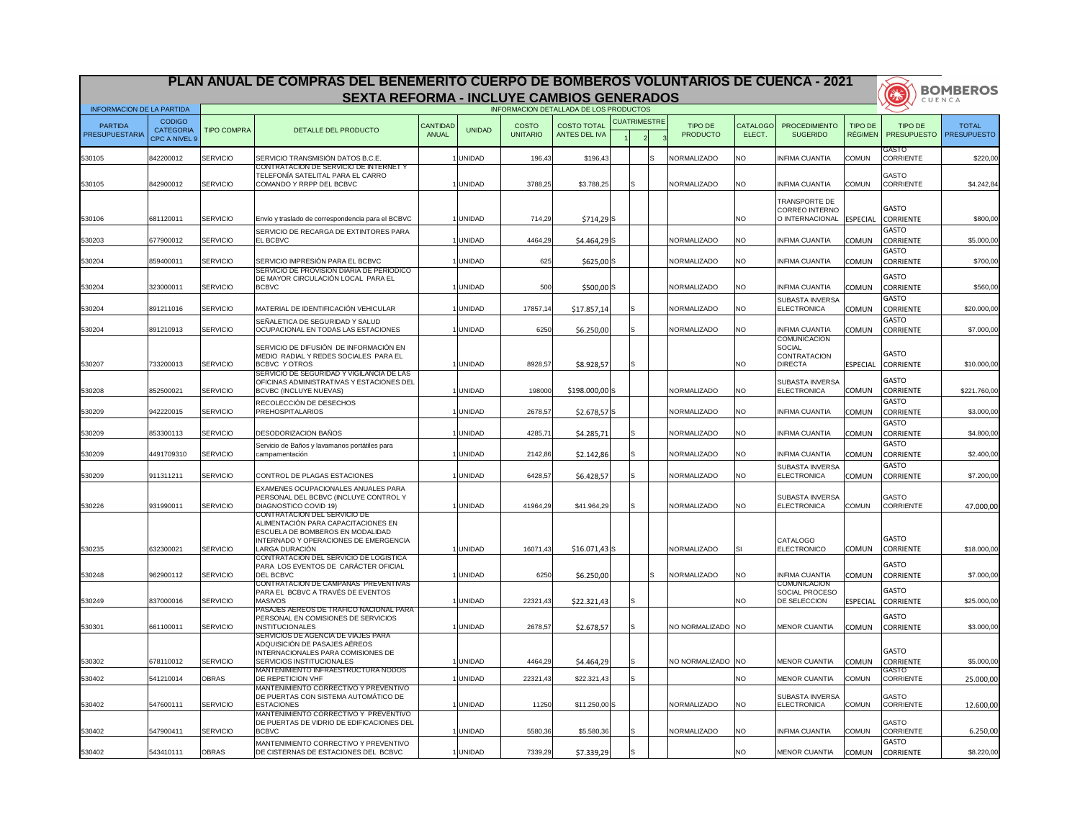|                                         |                                                    |                    | PLAN ANUAL DE COMPRAS DEL BENEMERITO CUERPO DE BOMBEROS VOLUNTARIOS DE CUENCA - 2021                                                             |                          |               |                                 |                                            |                     |    |                            |                           |                                                                  |                                  | (学校)                             | <b>BOMBEROS</b>                    |
|-----------------------------------------|----------------------------------------------------|--------------------|--------------------------------------------------------------------------------------------------------------------------------------------------|--------------------------|---------------|---------------------------------|--------------------------------------------|---------------------|----|----------------------------|---------------------------|------------------------------------------------------------------|----------------------------------|----------------------------------|------------------------------------|
| <b>INFORMACION DE LA PARTIDA</b>        |                                                    |                    | <b>SEXTA REFORMA - INCLUYE CAMBIOS GENERADOS</b>                                                                                                 |                          |               |                                 | INFORMACION DETALLADA DE LOS PRODUCTOS     |                     |    |                            |                           |                                                                  |                                  |                                  | CUENCA                             |
| <b>PARTIDA</b><br><b>PRESUPUESTARIA</b> | <b>CODIGO</b><br><b>CATEGORIA</b><br>CPC A NIVEL 9 | <b>TIPO COMPRA</b> | DETALLE DEL PRODUCTO                                                                                                                             | <b>CANTIDAD</b><br>ANUAL | <b>UNIDAD</b> | <b>COSTO</b><br><b>UNITARIO</b> | <b>COSTO TOTAL</b><br><b>ANTES DEL IVA</b> | <b>CUATRIMESTRE</b> |    | TIPO DE<br><b>PRODUCTO</b> | <b>CATALOGO</b><br>ELECT. | <b>PROCEDIMIENTO</b><br><b>SUGERIDO</b>                          | <b>TIPO DE</b><br><b>RÉGIMEN</b> | TIPO DE<br><b>PRESUPUESTO</b>    | <b>TOTAL</b><br><b>PRESUPUESTO</b> |
| 530105                                  | 842200012                                          | SERVICIO           | SERVICIO TRANSMISIÓN DATOS B.C.E.                                                                                                                |                          | <b>UNIDAD</b> | 196,43                          | \$196,43                                   |                     | Is | NORMALIZADO                | NO.                       | <b>INFIMA CUANTIA</b>                                            | <b>COMUN</b>                     | <b>GASTO</b><br>CORRIENTE        | \$220,00                           |
| 530105                                  | 842900012                                          | SERVICIO           | CONTRATACION DE SERVICIO DE INTERNET Y<br>TELEFONÍA SATELITAL PARA EL CARRO<br>COMANDO Y RRPP DEL BCBVC                                          |                          | <b>UNIDAD</b> | 3788,25                         | \$3.788,25                                 | lS.                 |    | NORMALIZADO                | NO.                       | <b>INFIMA CUANTIA</b>                                            | COMUN                            | GASTO<br><b>CORRIENTE</b>        | \$4.242,84]                        |
| 530106                                  | 681120011                                          | SERVICIO           | Envío y traslado de correspondencia para el BCBVC                                                                                                |                          | <b>UNIDAD</b> | 714,29                          | $$714,29$ S                                |                     |    |                            | NO.                       | <b>TRANSPORTE DE</b><br><b>CORREO INTERNO</b><br>O INTERNACIONAL | <b>ESPECIAL</b>                  | <b>GASTO</b><br><b>CORRIENTE</b> | \$800,00                           |
| 530203                                  | 677900012                                          | SERVICIO           | SERVICIO DE RECARGA DE EXTINTORES PARA<br><b>EL BCBVC</b>                                                                                        |                          | <b>UNIDAD</b> | 4464,29                         | $$4.464,29$ S                              |                     |    | NORMALIZADO                | <b>NO</b>                 | <b>INFIMA CUANTIA</b>                                            | <b>COMUN</b>                     | <b>GASTO</b><br><b>CORRIENTE</b> | \$5.000,00                         |
| 530204                                  | 859400011                                          | SERVICIO           | SERVICIO IMPRESIÓN PARA EL BCBVC                                                                                                                 |                          | <b>UNIDAD</b> | 625                             | $$625,00$ S                                |                     |    | NORMALIZADO                | <b>NO</b>                 | <b>INFIMA CUANTIA</b>                                            | <b>COMUN</b>                     | <b>GASTO</b><br><b>CORRIENTE</b> | \$700,00                           |
| 530204                                  | 323000011                                          | <b>SERVICIO</b>    | SERVICIO DE PROVISION DIARIA DE PERIODICO<br>DE MAYOR CIRCULACIÓN LOCAL PARA EL<br><b>BCBVC</b>                                                  |                          | <b>UNIDAD</b> | 500                             | $$500,00$ S                                |                     |    | NORMALIZADO                | <b>NO</b>                 | <b>INFIMA CUANTIA</b>                                            | <b>COMUN</b>                     | <b>GASTO</b><br><b>CORRIENTE</b> | \$560,00                           |
| 530204                                  | 891211016                                          | <b>SERVICIO</b>    | MATERIAL DE IDENTIFICACIÓN VEHICULAR                                                                                                             |                          | <b>UNIDAD</b> | 17857,14                        | \$17.857,14                                |                     |    | NORMALIZADO                | NO.                       | <b>SUBASTA INVERSA</b><br>ELECTRONICA                            | <b>COMUN</b>                     | <b>GASTO</b><br><b>CORRIENTE</b> | \$20.000,00                        |
| 530204                                  | 891210913                                          | SERVICIO           | SEÑALETICA DE SEGURIDAD Y SALUD<br>OCUPACIONAL EN TODAS LAS ESTACIONES                                                                           |                          | <b>UNIDAD</b> | 6250                            | \$6.250,00                                 |                     |    | NORMALIZADO                | NO.                       | <b>INFIMA CUANTIA</b>                                            | <b>COMUN</b>                     | <b>GASTO</b><br><b>CORRIENTE</b> | \$7.000,00                         |
|                                         |                                                    |                    | SERVICIO DE DIFUSIÓN DE INFORMACIÓN EN<br>MEDIO RADIAL Y REDES SOCIALES PARA EL                                                                  |                          |               |                                 |                                            |                     |    |                            |                           | <b>COMUNICACION</b><br>SOCIAL<br><b>CONTRATACION</b>             |                                  | <b>GASTO</b>                     |                                    |
| 530207                                  | 733200013                                          | SERVICIO           | <b>BCBVC YOTROS</b><br>SERVICIO DE SEGURIDAD Y VIGILANCIA DE LAS                                                                                 |                          | <b>UNIDAD</b> | 8928,57                         | \$8.928,57                                 |                     |    |                            | NO.                       | <b>DIRECTA</b>                                                   | <b>ESPECIAL</b>                  | <b>CORRIENTE</b>                 | \$10.000,00                        |
| 530208                                  | 852500021                                          | SERVICIO           | OFICINAS ADMINISTRATIVAS Y ESTACIONES DEL<br><b>BCVBC (INCLUYE NUEVAS)</b>                                                                       |                          | <b>UNIDAD</b> | 198000                          | $$198.000,00$ S                            |                     |    | NORMALIZADO                | NO.                       | <b>SUBASTA INVERSA</b><br>ELECTRONICA                            | <b>COMUN</b>                     | <b>GASTO</b><br><b>CORRIENTE</b> | \$221.760,00                       |
| 530209                                  | 942220015                                          | <b>SERVICIO</b>    | RECOLECCIÓN DE DESECHOS<br>PREHOSPITALARIOS                                                                                                      |                          | <b>UNIDAD</b> | 2678,57                         | $$2.678,57$ S                              |                     |    | NORMALIZADO                | NO <sub>1</sub>           | <b>INFIMA CUANTIA</b>                                            | <b>COMUN</b>                     | <b>GASTO</b><br><b>CORRIENTE</b> | \$3.000,00                         |
| 530209                                  | 853300113                                          | <b>SERVICIO</b>    | <b>DESODORIZACION BAÑOS</b>                                                                                                                      |                          | <b>UNIDAD</b> | 4285,71                         | \$4.285,71                                 |                     |    | NORMALIZADO                | <b>NO</b>                 | <b>INFIMA CUANTIA</b>                                            | <b>COMUN</b>                     | <b>GASTO</b><br><b>CORRIENTE</b> | \$4.800,00                         |
| 530209                                  | 4491709310                                         | <b>SERVICIO</b>    | Servicio de Baños y lavamanos portátiles para<br>campamentación                                                                                  |                          | <b>UNIDAD</b> | 2142,86                         | \$2.142,86                                 | 'S                  |    | NORMALIZADO                | <b>NO</b>                 | <b>INFIMA CUANTIA</b>                                            | <b>COMUN</b>                     | <b>GASTO</b><br><b>CORRIENTE</b> | \$2.400,00                         |
| 530209                                  | 911311211                                          | SERVICIO           | CONTROL DE PLAGAS ESTACIONES                                                                                                                     |                          | <b>UNIDAD</b> | 6428,57                         | \$6.428,57                                 |                     |    | NORMALIZADO                | NO.                       | <b>SUBASTA INVERSA</b><br>ELECTRONICA                            | <b>COMUN</b>                     | <b>GASTO</b><br><b>CORRIENTE</b> | \$7.200,00                         |
| 530226                                  | 931990011                                          | <b>SERVICIO</b>    | EXAMENES OCUPACIONALES ANUALES PARA<br>PERSONAL DEL BCBVC (INCLUYE CONTROL Y<br>DIAGNOSTICO COVID 19)                                            |                          | <b>UNIDAD</b> | 41964,29                        | \$41.964,29                                | lS                  |    | NORMALIZADO                | NO.                       | <b>ISUBASTA INVERSA</b><br>ELECTRONICA                           | <b>COMUN</b>                     | <b>GASTO</b><br><b>CORRIENTE</b> | 47.000,00                          |
|                                         |                                                    |                    | CONTRATACION DEL SERVICIO DE<br>ALIMENTACIÓN PARA CAPACITACIONES EN<br>ESCUELA DE BOMBEROS EN MODALIDAD<br>INTERNADO Y OPERACIONES DE EMERGENCIA |                          |               |                                 |                                            |                     |    |                            |                           | <b>CATALOGO</b>                                                  |                                  | <b>GASTO</b>                     |                                    |
| 530235                                  | 632300021                                          | <b>SERVICIO</b>    | LARGA DURACIÓN<br>CONTRATACION DEL SERVICIO DE LOGISTICA                                                                                         |                          | <b>UNIDAD</b> | 16071,43                        | $$16.071,43$ S                             |                     |    | NORMALIZADO                |                           | ELECTRONICO                                                      | <b>COMUN</b>                     | <b>CORRIENTE</b>                 | \$18.000,00                        |
| 530248                                  | 962900112                                          | <b>SERVICIO</b>    | PARA LOS EVENTOS DE CARÁCTER OFICIAL<br><b>DEL BCBVC</b><br>CONTRATACION DE CAMPANAS PREVENTIVAS                                                 |                          | <b>UNIDAD</b> | 6250                            | \$6.250,00                                 |                     | Is | NORMALIZADO                | <b>NO</b>                 | <b>INFIMA CUANTIA</b>                                            | <b>COMUN</b>                     | <b>GASTO</b><br><b>CORRIENTE</b> | \$7.000,00                         |
| 530249                                  | 837000016                                          | <b>SERVICIO</b>    | PARA EL BCBVC A TRAVÉS DE EVENTOS<br><b>MASIVOS</b>                                                                                              |                          | <b>UNIDAD</b> | 22321,43                        | \$22.321,43                                | lS.                 |    |                            | <b>NO</b>                 | <b>COMUNICACION</b><br>SOCIAL PROCESO<br><b>DE SELECCION</b>     | <b>ESPECIAL</b>                  | <b>GASTO</b><br><b>CORRIENTE</b> | \$25.000,00                        |
| 530301                                  | 661100011                                          | <b>SERVICIO</b>    | PASAJES AEREOS DE TRAFICO NACIONAL PARA<br>PERSONAL EN COMISIONES DE SERVICIOS<br><b>INSTITUCIONALES</b>                                         |                          | <b>UNIDAD</b> | 2678,57                         | \$2.678,57                                 | S.                  |    | NO NORMALIZADO NO          |                           | <b>MENOR CUANTIA</b>                                             | <b>COMUN</b>                     | <b>GASTO</b><br><b>CORRIENTE</b> | \$3.000,00                         |
|                                         |                                                    |                    | SERVICIOS DE AGENCIA DE VIAJES PARA<br><b>ADQUISICIÓN DE PASAJES AÉREOS</b><br>INTERNACIONALES PARA COMISIONES DE                                |                          |               |                                 |                                            |                     |    |                            |                           |                                                                  |                                  | <b>GASTO</b>                     |                                    |
| 530302                                  | 678110012                                          | <b>SERVICIO</b>    | <b>SERVICIOS INSTITUCIONALES</b><br>MANTENIMIENTO INFRAESTRUCTURA NODOS                                                                          |                          | <b>UNIDAD</b> | 4464,29                         | \$4.464,29                                 | S.                  |    | NO NORMALIZADO NO          |                           | <b>MENOR CUANTIA</b>                                             | <b>COMUN</b>                     | <b>CORRIENTE</b><br>GASTO        | \$5.000,00                         |
| 530402                                  | 541210014                                          | <b>OBRAS</b>       | <b>DE REPETICION VHF</b>                                                                                                                         |                          | <b>UNIDAD</b> | 22321,43                        | \$22.321,43                                |                     |    |                            | NO.                       | <b>MENOR CUANTIA</b>                                             | <b>COMUN</b>                     | <b>CORRIENTE</b>                 | 25.000,00                          |
| 530402                                  | 547600111                                          | <b>SERVICIO</b>    | MANTENIMIENTO CORRECTIVO Y PREVENTIVO<br>DE PUERTAS CON SISTEMA AUTOMÁTICO DE<br><b>ESTACIONES</b>                                               |                          | <b>UNIDAD</b> | 11250                           | $$11.250,00$ S                             |                     |    | NORMALIZADO                | <b>NO</b>                 | <b>ISUBASTA INVERSA</b><br>ELECTRONICA                           | <b>COMUN</b>                     | <b>GASTO</b><br><b>CORRIENTE</b> | 12.600,00                          |
| 530402                                  | 547900411                                          | <b>SERVICIO</b>    | MANTENIMIENTO CORRECTIVO Y PREVENTIVO<br>DE PUERTAS DE VIDRIO DE EDIFICACIONES DEL<br><b>BCBVC</b>                                               |                          | <b>UNIDAD</b> | 5580,36                         | \$5.580,36                                 |                     |    | NORMALIZADO                | NO.                       | <b>INFIMA CUANTIA</b>                                            | <b>COMUN</b>                     | <b>GASTO</b><br><b>CORRIENTE</b> | 6.250,00                           |
| 530402                                  | 543410111                                          | <b>OBRAS</b>       | MANTENIMIENTO CORRECTIVO Y PREVENTIVO<br>DE CISTERNAS DE ESTACIONES DEL BCBVC                                                                    |                          | <b>UNIDAD</b> | 7339,29                         | \$7.339,29                                 |                     |    |                            | <b>NO</b>                 | <b>MENOR CUANTIA</b>                                             | <b>COMUN</b>                     | <b>GASTO</b><br><b>CORRIENTE</b> | \$8.220,00                         |

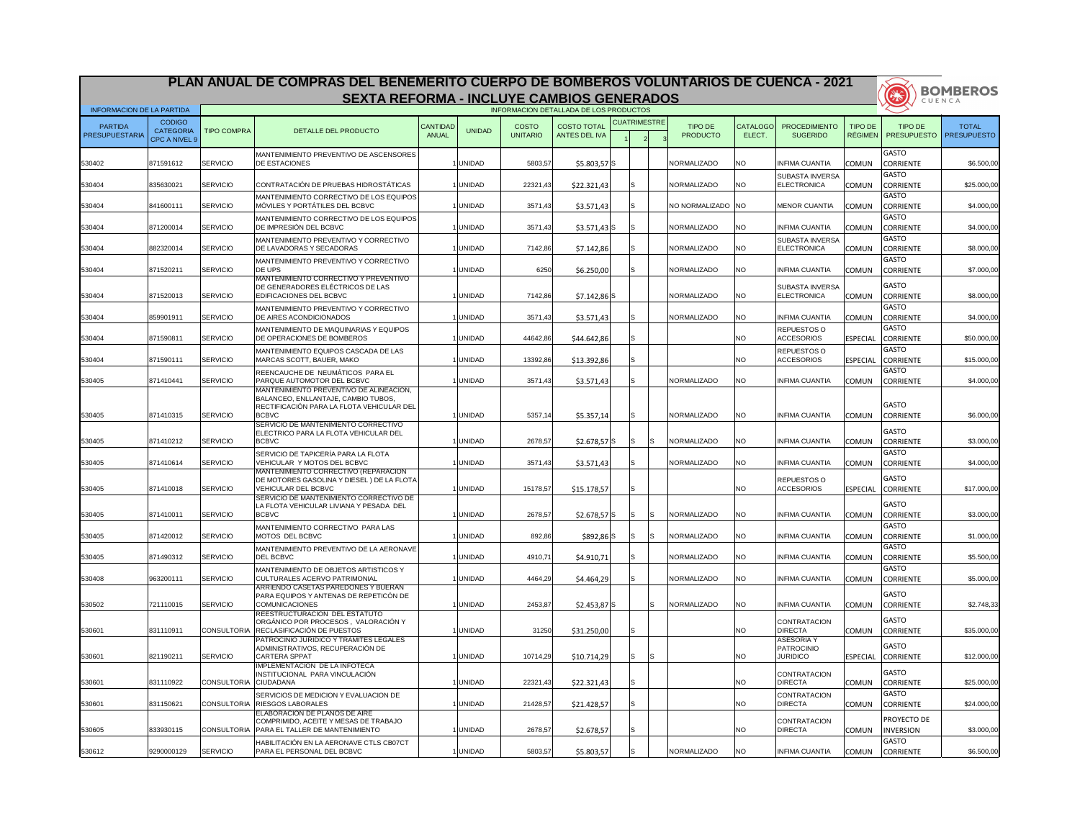| PLAN ANUAL DE COMPRAS DEL BENEMERITO CUERPO DE BOMBEROS VOLUNTARIOS DE CUENCA - 2021<br><b>SEXTA REFORMA - INCLUYE CAMBIOS GENERADOS</b> |                                                    |                       |                                                                                                                                             | <b>BOMBEROS</b>          |               |                                 |                                            |                     |    |                            |                           |                                                    |                                  |                                  |                                    |
|------------------------------------------------------------------------------------------------------------------------------------------|----------------------------------------------------|-----------------------|---------------------------------------------------------------------------------------------------------------------------------------------|--------------------------|---------------|---------------------------------|--------------------------------------------|---------------------|----|----------------------------|---------------------------|----------------------------------------------------|----------------------------------|----------------------------------|------------------------------------|
| <b>INFORMACION DE LA PARTIDA</b>                                                                                                         |                                                    |                       |                                                                                                                                             |                          |               |                                 | INFORMACION DETALLADA DE LOS PRODUCTOS     |                     |    |                            |                           |                                                    |                                  | 3                                | CUENCA                             |
| <b>PARTIDA</b><br>PRESUPUESTARIA                                                                                                         | <b>CODIGO</b><br><b>CATEGORIA</b><br>CPC A NIVEL 9 | <b>TIPO COMPRA</b>    | DETALLE DEL PRODUCTO                                                                                                                        | <b>CANTIDAD</b><br>ANUAL | <b>UNIDAD</b> | <b>COSTO</b><br><b>UNITARIO</b> | <b>COSTO TOTAL</b><br><b>ANTES DEL IVA</b> | <b>CUATRIMESTRE</b> |    | TIPO DE<br><b>PRODUCTO</b> | <b>CATALOGO</b><br>ELECT. | <b>PROCEDIMIENTO</b><br><b>SUGERIDO</b>            | <b>TIPO DE</b><br><b>RÉGIMEN</b> | TIPO DE<br><b>PRESUPUESTO</b>    | <b>TOTAL</b><br><b>PRESUPUESTO</b> |
| 530402                                                                                                                                   | 871591612                                          | SERVICIO              | MANTENIMIENTO PREVENTIVO DE ASCENSORES<br><b>DE ESTACIONES</b>                                                                              |                          | <b>UNIDAD</b> | 5803,57                         | $$5.803,57$ S                              |                     |    | NORMALIZADO                | NO.                       | <b>INFIMA CUANTIA</b>                              | <b>COMUN</b>                     | <b>GASTO</b><br><b>CORRIENTE</b> | \$6.500,00                         |
| 530404                                                                                                                                   | 835630021                                          | SERVICIO              | CONTRATACIÓN DE PRUEBAS HIDROSTÁTICAS                                                                                                       |                          | <b>UNIDAD</b> | 22321,43                        | \$22.321,43                                |                     |    | NORMALIZADO                | NO.                       | <b>SUBASTA INVERSA</b><br>ELECTRONICA              | <b>COMUN</b>                     | <b>GASTO</b><br><b>CORRIENTE</b> | \$25.000,00                        |
| 530404                                                                                                                                   | 841600111                                          | <b>SERVICIO</b>       | MANTENIMIENTO CORRECTIVO DE LOS EQUIPOS<br>MÓVILES Y PORTÁTILES DEL BCBVC                                                                   |                          | <b>UNIDAD</b> | 3571,43                         | \$3.571,43                                 |                     |    | NO NORMALIZADO NO          |                           | <b>MENOR CUANTIA</b>                               | <b>COMUN</b>                     | <b>GASTO</b><br><b>CORRIENTE</b> | \$4.000,00                         |
| 530404                                                                                                                                   | 871200014                                          | SERVICIO              | MANTENIMIENTO CORRECTIVO DE LOS EQUIPOS<br>DE IMPRESIÓN DEL BCBVC                                                                           |                          | <b>UNIDAD</b> | 3571,43                         | $$3.571,43$ S                              |                     |    | <b>INORMALIZADO</b>        | NO.                       | <b>INFIMA CUANTIA</b>                              | <b>COMUN</b>                     | GASTO<br><b>CORRIENTE</b>        | \$4.000,00                         |
| 530404                                                                                                                                   | 882320014                                          | SERVICIO              | <b>MANTENIMIENTO PREVENTIVO Y CORRECTIVO</b><br><b>DE LAVADORAS Y SECADORAS</b>                                                             |                          | <b>UNIDAD</b> | 7142,86                         | \$7.142,86                                 |                     |    | <b>INORMALIZADO</b>        | NO.                       | <b>SUBASTA INVERSA</b><br>ELECTRONICA              | <b>COMUN</b>                     | <b>GASTO</b><br><b>CORRIENTE</b> | \$8.000,00                         |
| 530404                                                                                                                                   | 871520211                                          | SERVICIO              | <b>MANTENIMIENTO PREVENTIVO Y CORRECTIVO</b><br><b>DE UPS</b>                                                                               |                          | <b>UNIDAD</b> | 6250                            | \$6.250,00                                 |                     |    | NORMALIZADO                | <b>NO</b>                 | <b>INFIMA CUANTIA</b>                              | <b>COMUN</b>                     | <b>GASTO</b><br><b>CORRIENTE</b> | \$7.000,00                         |
| 530404                                                                                                                                   | 871520013                                          | SERVICIO              | MANTENIMIENTO CORRECTIVO Y PREVENTIVO<br>DE GENERADORES ELÉCTRICOS DE LAS<br><b>EDIFICACIONES DEL BCBVC</b>                                 |                          | <b>UNIDAD</b> | 7142,86                         | $$7.142,86$ S                              |                     |    | NORMALIZADO                | NO.                       | <b>SUBASTA INVERSA</b><br>ELECTRONICA              | <b>COMUN</b>                     | <b>GASTO</b><br><b>CORRIENTE</b> | \$8.000,00                         |
| 530404                                                                                                                                   | 859901911                                          | SERVICIO              | MANTENIMIENTO PREVENTIVO Y CORRECTIVO<br><b>DE AIRES ACONDICIONADOS</b>                                                                     |                          | <b>UNIDAD</b> | 3571,43                         | \$3.571,43                                 |                     |    | NORMALIZADO                | NO.                       | <b>INFIMA CUANTIA</b>                              | <b>COMUN</b>                     | <b>GASTO</b><br><b>CORRIENTE</b> | \$4.000,00                         |
| 530404                                                                                                                                   | 871590811                                          | SERVICIO              | <b>MANTENIMIENTO DE MAQUINARIAS Y EQUIPOS</b><br><b>DE OPERACIONES DE BOMBEROS</b>                                                          |                          | <b>UNIDAD</b> | 44642,86                        | \$44.642,86                                |                     |    |                            | NO.                       | REPUESTOS O<br><b>ACCESORIOS</b>                   | <b>ESPECIAL</b>                  | <b>GASTO</b><br><b>CORRIENTE</b> | \$50.000,00                        |
| 530404                                                                                                                                   | 871590111                                          | SERVICIO              | MANTENIMIENTO EQUIPOS CASCADA DE LAS<br>MARCAS SCOTT, BAUER, MAKO                                                                           |                          | <b>UNIDAD</b> | 13392,86                        | \$13.392,86                                | S                   |    |                            | NO.                       | REPUESTOS O<br><b>ACCESORIOS</b>                   | <b>ESPECIAL</b>                  | <b>GASTO</b><br><b>CORRIENTE</b> | \$15.000,00                        |
| 530405                                                                                                                                   | 871410441                                          | SERVICIO              | REENCAUCHE DE NEUMÁTICOS PARA EL<br><b>PARQUE AUTOMOTOR DEL BCBVC</b>                                                                       |                          | <b>UNIDAD</b> | 3571,43                         | \$3.571,43                                 |                     |    | NORMALIZADO                | <b>NO</b>                 | <b>INFIMA CUANTIA</b>                              | <b>COMUN</b>                     | <b>GASTO</b><br><b>CORRIENTE</b> | \$4.000,00                         |
| 530405                                                                                                                                   | 871410315                                          | SERVICIO              | MANTENIMIENTO PREVENTIVO DE ALINEACION.<br>BALANCEO, ENLLANTAJE, CAMBIO TUBOS,<br>RECTIFICACIÓN PARA LA FLOTA VEHICULAR DEL<br><b>BCBVC</b> |                          | <b>UNIDAD</b> | 5357,14                         | \$5.357,14                                 |                     |    | NORMALIZADO                | NO.                       | <b>INFIMA CUANTIA</b>                              | <b>COMUN</b>                     | GASTO<br><b>CORRIENTE</b>        | \$6.000,00                         |
| 530405                                                                                                                                   | 871410212                                          | SERVICIO              | ISERVICIO DE MANTENIMIENTO CORRECTIVO<br>ELECTRICO PARA LA FLOTA VEHICULAR DEL<br><b>BCBVC</b>                                              |                          | <b>UNIDAD</b> | 2678,57                         | $$2.678,57$ S                              |                     | IS | NORMALIZADO                | <b>NO</b>                 | <b>INFIMA CUANTIA</b>                              | <b>COMUN</b>                     | <b>GASTO</b><br><b>CORRIENTE</b> | \$3.000,00                         |
| 530405                                                                                                                                   | 871410614                                          | <b>SERVICIO</b>       | SERVICIO DE TAPICERÍA PARA LA FLOTA<br>VEHICULAR Y MOTOS DEL BCBVC                                                                          |                          | <b>UNIDAD</b> | 3571,43                         | \$3.571,43                                 | 'S                  |    | NORMALIZADO                | <b>NO</b>                 | <b>INFIMA CUANTIA</b>                              | <b>COMUN</b>                     | <b>GASTO</b><br><b>CORRIENTE</b> | \$4.000,00                         |
| 530405                                                                                                                                   | 871410018                                          | SERVICIO              | MANTENIMIENTO CORRECTIVO (REPARACION<br>DE MOTORES GASOLINA Y DIESEL) DE LA FLOTA<br>VEHICULAR DEL BCBVC                                    |                          | <b>UNIDAD</b> | 15178,57                        | \$15.178,57                                | S.                  |    |                            | NO.                       | <b>REPUESTOS O</b><br><b>ACCESORIOS</b>            | <b>ESPECIAL</b>                  | <b>GASTO</b><br><b>CORRIENTE</b> | \$17.000,00                        |
| 530405                                                                                                                                   | 871410011                                          | SERVICIO              | SERVICIO DE MANTENIMIENTO CORRECTIVO DE<br>LA FLOTA VEHICULAR LIVIANA Y PESADA DEL<br><b>BCBVC</b>                                          |                          | <b>UNIDAD</b> | 2678,57                         | $$2.678,57$ S                              | lS.                 | IS | NORMALIZADO                | <b>NO</b>                 | <b>INFIMA CUANTIA</b>                              | <b>COMUN</b>                     | GASTO<br><b>CORRIENTE</b>        | \$3.000,00                         |
| 530405                                                                                                                                   | 871420012                                          | SERVICIO              | MANTENIMIENTO CORRECTIVO PARA LAS<br>MOTOS DEL BCBVC                                                                                        |                          | <b>UNIDAD</b> | 892,86                          | $$892,86$ S                                |                     | IS | NORMALIZADO                | <b>NO</b>                 | <b>INFIMA CUANTIA</b>                              | <b>COMUN</b>                     | <b>GASTO</b><br><b>CORRIENTE</b> | \$1.000,00                         |
| 530405                                                                                                                                   | 871490312                                          | SERVICIO              | MANTENIMIENTO PREVENTIVO DE LA AERONAVE<br><b>DEL BCBVC</b>                                                                                 |                          | <b>UNIDAD</b> | 4910,71                         | \$4.910,71                                 |                     |    | NORMALIZADO                | <b>NO</b>                 | <b>INFIMA CUANTIA</b>                              | <b>COMUN</b>                     | <b>GASTO</b><br><b>CORRIENTE</b> | \$5.500,00                         |
| 530408                                                                                                                                   | 963200111                                          | SERVICIO              | MANTENIMIENTO DE OBJETOS ARTISTICOS Y<br><b>CULTURALES ACERVO PATRIMONIAL</b>                                                               |                          | <b>UNIDAD</b> | 4464,29                         | \$4.464,29                                 |                     |    | NORMALIZADO                | <b>NO</b>                 | <b>INFIMA CUANTIA</b>                              | <b>COMUN</b>                     | <b>GASTO</b><br><b>CORRIENTE</b> | \$5.000,00                         |
| 530502                                                                                                                                   | 721110015                                          | SERVICIO              | IARRIENDO CASETAS PAREDONES Y BUERAN<br>PARA EQUIPOS Y ANTENAS DE REPETICÓN DE<br><b>COMUNICACIONES</b>                                     |                          | <b>UNIDAD</b> | 2453,87                         | $$2.453,87$ S                              |                     | Is | NORMALIZADO                | <b>NO</b>                 | <b>INFIMA CUANTIA</b>                              | <b>COMUN</b>                     | <b>GASTO</b><br><b>CORRIENTE</b> | \$2.748,33                         |
| 530601                                                                                                                                   | 831110911                                          | <b>CONSULTORIA</b>    | <b>REESTRUCTURACION DEL ESTATUTO</b><br>ORGÁNICO POR PROCESOS, VALORACIÓN Y<br>RECLASIFICACIÓN DE PUESTOS                                   |                          | <b>UNIDAD</b> | 31250                           | \$31.250,00                                | S.                  |    |                            | <b>NO</b>                 | <b>CONTRATACION</b><br><b>DIRECTA</b>              | <b>COMUN</b>                     | <b>GASTO</b><br><b>CORRIENTE</b> | \$35.000,00                        |
| 530601                                                                                                                                   | 821190211                                          | SERVICIO              | PATROCINIO JURIDICO Y TRAMITES LEGALES<br>ADMINISTRATIVOS, RECUPERACIÓN DE<br><b>CARTERA SPPAT</b>                                          |                          | <b>UNIDAD</b> | 10714,29                        | \$10.714,29                                | 'S                  | IS |                            | <b>NO</b>                 | <b>ASESORIA Y</b><br>PATROCINIO<br><b>JURIDICO</b> | <b>ESPECIAL</b>                  | <b>GASTO</b><br><b>CORRIENTE</b> | \$12.000,00                        |
| 530601                                                                                                                                   | 831110922                                          | CONSULTORIA CIUDADANA | <b>IMPLEMENTACION DE LA INFOTECA</b><br>INSTITUCIONAL PARA VINCULACIÓN                                                                      |                          | <b>UNIDAD</b> | 22321,43                        | \$22.321,43                                | S                   |    |                            | NO.                       | <b>CONTRATACION</b><br><b>DIRECTA</b>              | <b>COMUN</b>                     | <b>GASTO</b><br><b>CORRIENTE</b> | \$25.000,00                        |
| 530601                                                                                                                                   | 831150621                                          |                       | SERVICIOS DE MEDICION Y EVALUACION DE<br>CONSULTORIA RIESGOS LABORALES                                                                      |                          | <b>UNIDAD</b> | 21428,57                        | \$21.428,57                                |                     |    |                            | <b>NO</b>                 | CONTRATACION<br><b>DIRECTA</b>                     | <b>COMUN</b>                     | <b>GASTO</b><br><b>CORRIENTE</b> | \$24.000,00                        |
| 530605                                                                                                                                   | 833930115                                          |                       | <b>ELABORACION DE PLANOS DE AIRE</b><br>COMPRIMIDO, ACEITE Y MESAS DE TRABAJO<br>CONSULTORIA   PARA EL TALLER DE MANTENIMIENTO              |                          | <b>UNIDAD</b> | 2678,57                         | \$2.678,57                                 |                     |    |                            | NO.                       | <b>CONTRATACION</b><br><b>DIRECTA</b>              | <b>COMUN</b>                     | PROYECTO DE<br><b>INVERSION</b>  | \$3.000,00                         |
| 530612                                                                                                                                   | 9290000129                                         | SERVICIO              | HABILITACIÓN EN LA AERONAVE CTLS CB07CT<br>PARA EL PERSONAL DEL BCBVC                                                                       |                          | <b>UNIDAD</b> | 5803,57                         | \$5.803,57                                 |                     |    | NORMALIZADO                | <b>NO</b>                 | <b>INFIMA CUANTIA</b>                              | <b>COMUN</b>                     | GASTO<br><b>CORRIENTE</b>        | \$6.500,00                         |

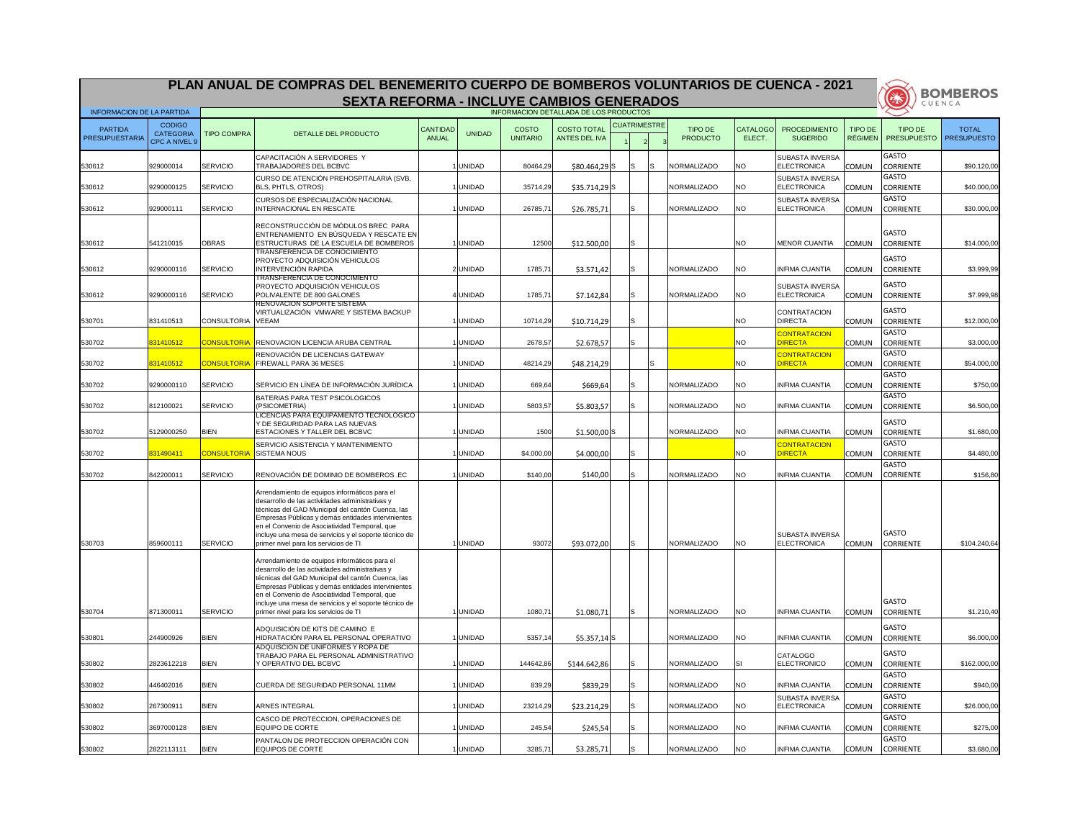|                                  |                                                    |                            | PLAN ANUAL DE COMPRAS DEL BENEMERITO CUERPO DE BOMBEROS VOLUNTARIOS DE CUENCA - 2021<br><b>SEXTA REFORMA - INCLUYE CAMBIOS GENERADOS</b>                                                                                                                                                                                                                       |                                 |                                |                                 |                                            |                     |     |     |                            |                        |                                                 |                                  | 美                                                    | <b>BOMBEROS</b><br>CUENCA          |
|----------------------------------|----------------------------------------------------|----------------------------|----------------------------------------------------------------------------------------------------------------------------------------------------------------------------------------------------------------------------------------------------------------------------------------------------------------------------------------------------------------|---------------------------------|--------------------------------|---------------------------------|--------------------------------------------|---------------------|-----|-----|----------------------------|------------------------|-------------------------------------------------|----------------------------------|------------------------------------------------------|------------------------------------|
| <b>INFORMACION DE LA PARTIDA</b> |                                                    |                            |                                                                                                                                                                                                                                                                                                                                                                |                                 |                                |                                 | INFORMACION DETALLADA DE LOS PRODUCTOS     |                     |     |     |                            |                        |                                                 |                                  |                                                      |                                    |
| <b>PARTIDA</b><br>PRESUPUESTARIA | <b>CODIGO</b><br><b>CATEGORIA</b><br>CPC A NIVEL 9 | <b>TIPO COMPRA</b>         | DETALLE DEL PRODUCTO                                                                                                                                                                                                                                                                                                                                           | <b>CANTIDAD</b><br><b>ANUAL</b> | <b>UNIDAD</b>                  | <b>COSTO</b><br><b>UNITARIO</b> | <b>COSTO TOTAL</b><br><b>ANTES DEL IVA</b> | <b>CUATRIMESTRE</b> |     |     | TIPO DE<br><b>PRODUCTO</b> | CATALOGO<br>ELECT.     | <b>PROCEDIMIENTO</b><br><b>SUGERIDO</b>         | <b>TIPO DE</b><br><b>RÉGIMEN</b> | TIPO DE<br><b>PRESUPUESTO</b>                        | <b>TOTAL</b><br><b>PRESUPUESTO</b> |
| 530612                           | 929000014                                          | <b>SERVICIO</b>            | CAPACITACIÓN A SERVIDORES Y<br>TRABAJADORES DEL BCBVC                                                                                                                                                                                                                                                                                                          |                                 | <b>UNIDAD</b>                  | 80464,29                        | \$80.464,29 S                              |                     | IS  |     | NORMALIZADO                | NO.                    | <b>SUBASTA INVERSA</b><br>ELECTRONICA           | <b>COMUN</b>                     | <b>GASTO</b><br><b>CORRIENTE</b>                     | \$90.120,00                        |
| 530612                           | 9290000125                                         | <b>SERVICIO</b>            | CURSO DE ATENCIÓN PREHOSPITALARIA (SVB,<br><b>BLS, PHTLS, OTROS)</b>                                                                                                                                                                                                                                                                                           |                                 | <b>UNIDAD</b>                  | 35714,29                        | $$35.714,29$ S                             |                     |     |     | NORMALIZADO                | NO.                    | <b>SUBASTA INVERSA</b><br><b>ELECTRONICA</b>    | <b>COMUN</b>                     | <b>GASTO</b><br><b>CORRIENTE</b>                     | \$40.000,00                        |
| 530612                           | 929000111                                          | <b>SERVICIO</b>            | CURSOS DE ESPECIALIZACIÓN NACIONAL<br>INTERNACIONAL EN RESCATE                                                                                                                                                                                                                                                                                                 |                                 | <b>UNIDAD</b>                  | 26785,71                        | \$26.785,71                                |                     |     |     | NORMALIZADO                | <b>NO</b>              | <b>SUBASTA INVERSA</b><br><b>ELECTRONICA</b>    | <b>COMUN</b>                     | <b>GASTO</b><br><b>CORRIENTE</b>                     | \$30.000,00                        |
| 530612                           | 541210015                                          | <b>OBRAS</b>               | RECONSTRUCCIÓN DE MÓDULOS BREC PARA<br>ENTRENAMIENTO EN BÚSQUEDA Y RESCATE EN<br><b>ESTRUCTURAS DE LA ESCUELA DE BOMBEROS</b>                                                                                                                                                                                                                                  |                                 | UNIDAD                         | 12500                           | \$12.500,00                                |                     | ls  |     |                            | NO.                    | <b>MENOR CUANTIA</b>                            | <b>COMUN</b>                     | <b>GASTO</b><br><b>CORRIENTE</b>                     | \$14.000,00                        |
| 530612                           | 9290000116                                         | <b>SERVICIO</b>            | <b>TRANSFERENCIA DE CONOCIMIENTO</b><br><b>PROYECTO ADQUISICIÓN VEHICULOS</b><br><b>INTERVENCIÓN RAPIDA</b>                                                                                                                                                                                                                                                    |                                 | 2 UNIDAD                       | 1785,71                         | \$3.571,42                                 |                     | IS. |     | NORMALIZADO                | <b>NO</b>              | <b>INFIMA CUANTIA</b>                           | <b>COMUN</b>                     | <b>GASTO</b><br><b>CORRIENTE</b>                     | \$3.999,99                         |
| 530612                           | 9290000116                                         | <b>SERVICIO</b>            | TRANSFERENCIA DE CONOCIMIENTO<br><b>PROYECTO ADQUISICIÓN VEHICULOS</b><br>POLIVALENTE DE 800 GALONES<br><b>RENOVACION SOPORTE SISTEMA</b>                                                                                                                                                                                                                      |                                 | <b>UNIDAD</b>                  | 1785,71                         | \$7.142,84                                 |                     | IS  |     | NORMALIZADO                | NO.                    | <b>SUBASTA INVERSA</b><br><b>ELECTRONICA</b>    | <b>COMUN</b>                     | <b>GASTO</b><br><b>CORRIENTE</b>                     | \$7.999,98                         |
| 530701                           | 831410513                                          | <b>CONSULTORIA</b>         | VIRTUALIZACIÓN VMWARE Y SISTEMA BACKUP<br><b>VEEAM</b>                                                                                                                                                                                                                                                                                                         |                                 | <b>UNIDAD</b>                  | 10714,29                        | \$10.714,29                                |                     | IS  |     |                            | NO.                    | <b>CONTRATACION</b><br><b>DIRECTA</b>           | <b>COMUN</b>                     | <b>GASTO</b><br><b>CORRIENTE</b>                     | \$12.000,00                        |
| 530702                           | 831410512                                          | <b>CONSULTORIA</b>         | RENOVACION LICENCIA ARUBA CENTRAL                                                                                                                                                                                                                                                                                                                              |                                 | <b>UNIDAD</b>                  | 2678,57                         | \$2.678,57                                 |                     | IS  |     |                            | <b>NO</b>              | <b>CONTRATACION</b><br><b>DIRECTA</b>           | <b>COMUN</b>                     | <b>GASTO</b><br><b>CORRIENTE</b>                     | \$3.000,00                         |
| 530702                           | 831410512                                          | <mark>CONSULTORIA</mark>   | RENOVACIÓN DE LICENCIAS GATEWAY<br>FIREWALL PARA 36 MESES                                                                                                                                                                                                                                                                                                      |                                 | <b>UNIDAD</b>                  | 48214,29                        | \$48.214,29                                |                     |     | IS. |                            | NO.                    | <b>CONTRATACION</b><br><b>DIRECTA</b>           | <b>COMUN</b>                     | <b>GASTO</b><br><b>CORRIENTE</b>                     | \$54.000,00                        |
| 530702                           | 9290000110                                         | <b>SERVICIO</b>            | SERVICIO EN LÍNEA DE INFORMACIÓN JURÍDICA                                                                                                                                                                                                                                                                                                                      |                                 | <b>UNIDAD</b>                  | 669,64                          | \$669,64                                   |                     |     |     | NORMALIZADO                | <b>NO</b>              | <b>I</b> INFIMA CUANTIA                         | <b>COMUN</b>                     | <b>GASTO</b><br><b>CORRIENTE</b>                     | \$750,00                           |
| 530702                           | 812100021                                          | SERVICIO                   | BATERIAS PARA TEST PSICOLOGICOS<br>(PSICOMETRIA)<br>LICENCIAS PARA EQUIPAMIENTO TECNOLOGICO                                                                                                                                                                                                                                                                    |                                 | 1 UNIDAD                       | 5803,57                         | \$5.803,57                                 |                     | IS  |     | NORMALIZADO                | <b>NO</b>              | <b>INFIMA CUANTIA</b>                           | <b>COMUN</b>                     | <b>GASTO</b><br><b>CORRIENTE</b>                     | \$6.500,00                         |
| 530702                           | 5129000250                                         | <b>BIEN</b>                | Y DE SEGURIDAD PARA LAS NUEVAS<br>ESTACIONES Y TALLER DEL BCBVC                                                                                                                                                                                                                                                                                                |                                 | <b>UNIDAD</b>                  | 1500                            | $$1.500,00$ S                              |                     |     |     | <b>NORMALIZADO</b>         | <b>NO</b>              | <b>INFIMA CUANTIA</b>                           | <b>COMUN</b>                     | <b>GASTO</b><br><b>CORRIENTE</b>                     | \$1.680,00                         |
| 530702                           | 831490411                                          | <b>CONSULTORIA</b>         | SERVICIO ASISTENCIA Y MANTENIMIENTO<br><b>SISTEMA NOUS</b>                                                                                                                                                                                                                                                                                                     |                                 | <b>UNIDAD</b>                  | \$4.000,00                      | \$4.000,00                                 |                     | IS  |     |                            | NO                     | <b>CONTRATACION</b><br><b>DIRECTA</b>           | <b>COMUN</b>                     | <b>GASTO</b><br><b>CORRIENTE</b>                     | \$4.480,00                         |
| 530702                           | 842200011                                          | <b>SERVICIO</b>            | RENOVACIÓN DE DOMINIO DE BOMBEROS .EC                                                                                                                                                                                                                                                                                                                          |                                 | <b>UNIDAD</b>                  | \$140,00                        | \$140,00                                   |                     |     |     | NORMALIZADO                | <b>NO</b>              | <b>INFIMA CUANTIA</b>                           | <b>COMUN</b>                     | <b>GASTO</b><br><b>CORRIENTE</b>                     | \$156,80                           |
| 530703                           | 859600111                                          | <b>SERVICIO</b>            | Arrendamiento de equipos informáticos para el<br>desarrollo de las actividades administrativas y<br>técnicas del GAD Municipal del cantón Cuenca, las<br>Empresas Públicas y demás entidades intervinientes<br>en el Convenio de Asociatividad Temporal, que<br>incluye una mesa de servicios y el soporte técnico de<br>primer nivel para los servicios de TI |                                 | <b>UNIDAD</b>                  | 93072                           | \$93.072,00                                |                     | IS  |     | NORMALIZADO                | <b>NO</b>              | <b>SUBASTA INVERSA</b><br><b>ELECTRONICA</b>    | <b>COMUN</b>                     | <b>GASTO</b><br><b>CORRIENTE</b>                     | \$104.240,64                       |
|                                  | 871300011                                          | <b>SERVICIO</b>            | Arrendamiento de equipos informáticos para el<br>desarrollo de las actividades administrativas y<br>técnicas del GAD Municipal del cantón Cuenca, las<br>Empresas Públicas y demás entidades intervinientes<br>en el Convenio de Asociatividad Temporal, que<br>incluye una mesa de servicios y el soporte técnico de<br>primer nivel para los servicios de TI |                                 | <b>UNIDAD</b>                  | 1080,71                         |                                            |                     |     |     | NORMALIZADO                | <b>NO</b>              | <b>INFIMA CUANTIA</b>                           |                                  | <b>GASTO</b>                                         | \$1.210,40                         |
| 530704                           |                                                    |                            | ADQUISICIÓN DE KITS DE CAMINO E                                                                                                                                                                                                                                                                                                                                |                                 |                                |                                 | \$1.080,71                                 |                     |     |     |                            |                        |                                                 | <b>COMUN</b>                     | <b>CORRIENTE</b><br>GASTO                            |                                    |
| 530801                           | 244900926                                          | <b>BIEN</b>                | HIDRATACIÓN PARA EL PERSONAL OPERATIVO<br>ADQUISCION DE UNIFORMES Y ROPA DE<br>TRABAJO PARA EL PERSONAL ADMINISTRATIVO                                                                                                                                                                                                                                         |                                 | <b>UNIDAD</b>                  | 5357,14                         | $$5.357,14$ $S$                            |                     |     |     | NORMALIZADO                | <b>NO</b>              | <b>INFIMA CUANTIA</b><br>CATALOGO               | <b>COMUN</b>                     | <b>CORRIENTE</b><br><b>GASTO</b>                     | \$6.000,00                         |
| 530802                           | 2823612218                                         | <b>BIEN</b>                | Y OPERATIVO DEL BCBVC                                                                                                                                                                                                                                                                                                                                          |                                 | <b>UNIDAD</b>                  | 144642,86                       | \$144.642,86                               |                     | Is. |     | NORMALIZADO                | ISI                    | <b>ELECTRONICO</b>                              | <b>COMUN</b>                     | <b>CORRIENTE</b><br><b>GASTO</b>                     | \$162.000,00                       |
| 530802                           | 446402016                                          | <b>BIEN</b>                | CUERDA DE SEGURIDAD PERSONAL 11MM                                                                                                                                                                                                                                                                                                                              |                                 | <b>UNIDAD</b>                  | 839,29                          | \$839,29                                   |                     | IS  |     | NORMALIZADO                | <b>NO</b>              | <b>INFIMA CUANTIA</b><br><b>SUBASTA INVERSA</b> | <b>COMUN</b>                     | <b>CORRIENTE</b><br><b>GASTO</b>                     | \$940,00                           |
| 530802                           | 267300911                                          | <b>BIEN</b>                | <b>ARNES INTEGRAL</b><br>CASCO DE PROTECCION, OPERACIONES DE                                                                                                                                                                                                                                                                                                   |                                 | <b>UNIDAD</b>                  | 23214,29                        | \$23.214,29                                |                     | IS  |     | NORMALIZADO                | <b>NO</b>              | <b>ELECTRONICA</b>                              | <b>COMUN</b>                     | <b>CORRIENTE</b><br><b>GASTO</b>                     | \$26.000,00                        |
| 530802<br>530802                 | 3697000128<br>2822113111                           | <b>BIEN</b><br><b>BIEN</b> | <b>EQUIPO DE CORTE</b><br>PANTALON DE PROTECCION OPERACIÓN CON<br>EQUIPOS DE CORTE                                                                                                                                                                                                                                                                             |                                 | <b>UNIDAD</b><br><b>UNIDAD</b> | 245,54<br>3285,71               | \$245,54<br>\$3.285,71                     |                     |     |     | NORMALIZADO<br>NORMALIZADO | <b>NO</b><br><b>NO</b> | <b>INFIMA CUANTIA</b><br><b>INFIMA CUANTIA</b>  | <b>COMUN</b><br><b>COMUN</b>     | <b>CORRIENTE</b><br><b>GASTO</b><br><b>CORRIENTE</b> | \$275,00<br>\$3.680,00             |

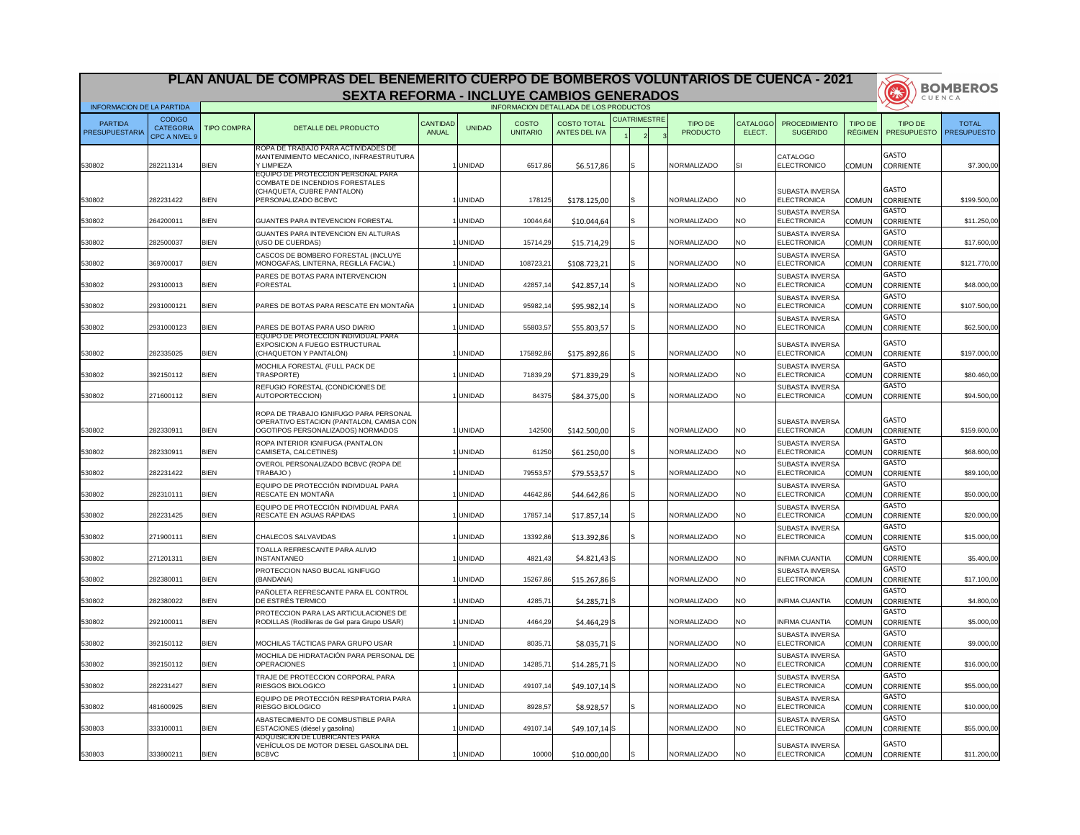|                                         |                                                    |                    | PLAN ANUAL DE COMPRAS DEL BENEMERITO CUERPO DE BOMBEROS VOLUNTARIOS DE CUENCA - 2021                                       |                                 |               |                          |                                            |   |                     |                                   |                    |                                               |                |                                                | <b>BOMBEROS</b> |
|-----------------------------------------|----------------------------------------------------|--------------------|----------------------------------------------------------------------------------------------------------------------------|---------------------------------|---------------|--------------------------|--------------------------------------------|---|---------------------|-----------------------------------|--------------------|-----------------------------------------------|----------------|------------------------------------------------|-----------------|
|                                         |                                                    |                    | <b>SEXTA REFORMA - INCLUYE CAMBIOS GENERADOS</b>                                                                           |                                 |               |                          |                                            |   |                     |                                   |                    |                                               |                | CH3                                            | CUENCA          |
| <b>INFORMACION DE LA PARTIDA</b>        |                                                    |                    |                                                                                                                            |                                 |               |                          | INFORMACION DETALLADA DE LOS PRODUCTOS     |   |                     |                                   |                    |                                               |                |                                                |                 |
| <b>PARTIDA</b><br><b>PRESUPUESTARIA</b> | <b>CODIGO</b><br><b>CATEGORIA</b><br>CPC A NIVEL 9 | <b>TIPO COMPRA</b> | DETALLE DEL PRODUCTO                                                                                                       | <b>CANTIDAD</b><br><b>ANUAL</b> | <b>UNIDAD</b> | COSTO<br><b>UNITARIO</b> | <b>COSTO TOTAL</b><br><b>ANTES DEL IVA</b> |   | <b>CUATRIMESTRE</b> | <b>TIPO DE</b><br><b>PRODUCTO</b> | CATALOGO<br>ELECT. | <b>PROCEDIMIENTO</b><br><b>SUGERIDO</b>       | <b>TIPO DE</b> | TIPO DE<br>RÉGIMEN   PRESUPUESTO   PRESUPUESTO | <b>TOTAL</b>    |
| 530802                                  | 282211314                                          | <b>BIEN</b>        | ROPA DE TRABAJO PARA ACTIVIDADES DE<br>MANTENIMIENTO MECANICO, INFRAESTRUTURA<br>Y LIMPIEZA                                |                                 | <b>UNIDAD</b> | 6517,86                  | \$6.517,86                                 |   |                     | <b>NORMALIZADO</b>                |                    | <b>CATALOGO</b><br>ELECTRONICO                | <b>COMUN</b>   | <b>GASTO</b><br><b>CORRIENTE</b>               | \$7.300,00      |
| 530802                                  | 282231422                                          | <b>BIEN</b>        | EQUIPO DE PROTECCION PERSONAL PARA<br>COMBATE DE INCENDIOS FORESTALES<br>(CHAQUETA, CUBRE PANTALON)<br>PERSONALIZADO BCBVC |                                 | <b>UNIDAD</b> | 178125                   | \$178.125,00                               |   |                     | NORMALIZADO                       | NO.                | <b>SUBASTA INVERSA</b><br>ELECTRONICA         | <b>COMUN</b>   | <b>GASTO</b><br><b>CORRIENTE</b>               | \$199.500,00    |
|                                         |                                                    |                    |                                                                                                                            |                                 |               |                          |                                            |   |                     |                                   |                    | SUBASTA INVERSA                               |                | <b>GASTO</b>                                   |                 |
| 530802                                  | 264200011                                          | <b>BIEN</b>        | <b>GUANTES PARA INTEVENCION FORESTAL</b><br>GUANTES PARA INTEVENCION EN ALTURAS                                            |                                 | <b>UNIDAD</b> | 10044,64                 | \$10.044,64                                |   |                     | NORMALIZADO                       | <b>NO</b>          | <b>ELECTRONICA</b><br><b>SUBASTA INVERSA</b>  | COMUN          | <b>CORRIENTE</b><br><b>GASTO</b>               | \$11.250,00     |
| 530802                                  | 282500037                                          | <b>BIEN</b>        | (USO DE CUERDAS)<br>CASCOS DE BOMBERO FORESTAL (INCLUYE                                                                    |                                 | <b>UNIDAD</b> | 15714,29                 | \$15.714,29                                |   |                     | <b>NORMALIZADO</b>                | <b>NO</b>          | <b>ELECTRONICA</b><br><b>SUBASTA INVERSA</b>  | <b>COMUN</b>   | <b>CORRIENTE</b><br><b>GASTO</b>               | \$17.600,00     |
| 530802                                  | 369700017                                          | <b>BIEN</b>        | MONOGAFAS, LINTERNA, REGILLA FACIAL)                                                                                       |                                 | <b>UNIDAD</b> | 108723,21                | \$108.723,21                               |   |                     | NORMALIZADO                       | <b>NO</b>          | <b>ELECTRONICA</b>                            | <b>COMUN</b>   | <b>CORRIENTE</b>                               | \$121.770,00    |
| 530802                                  | 293100013                                          | <b>BIEN</b>        | PARES DE BOTAS PARA INTERVENCION<br><b>FORESTAL</b>                                                                        |                                 | <b>UNIDAD</b> | 42857,1                  | \$42.857,14                                |   |                     | NORMALIZADO                       | NO.                | <b>SUBASTA INVERSA</b><br>ELECTRONICA         | <b>COMUN</b>   | <b>GASTO</b><br><b>CORRIENTE</b>               | \$48.000,00     |
| 530802                                  | 2931000121                                         | <b>BIEN</b>        | PARES DE BOTAS PARA RESCATE EN MONTAÑA                                                                                     |                                 | <b>UNIDAD</b> | 95982,14                 | \$95.982,14                                |   |                     | NORMALIZADO                       | NO.                | <b>SUBASTA INVERSA</b><br><b>ELECTRONICA</b>  | <b>COMUN</b>   | <b>GASTO</b><br><b>CORRIENTE</b>               | \$107.500,00    |
| 530802                                  | 2931000123                                         | <b>BIEN</b>        | PARES DE BOTAS PARA USO DIARIO                                                                                             |                                 | <b>UNIDAD</b> | 55803,57                 | \$55.803,57                                |   |                     | NORMALIZADO                       | <b>NO</b>          | <b>SUBASTA INVERSA</b><br><b>ELECTRONICA</b>  | <b>COMUN</b>   | <b>GASTO</b><br><b>CORRIENTE</b>               | \$62.500,00     |
| 530802                                  | 282335025                                          | <b>BIEN</b>        | EQUIPO DE PROTECCION INDIVIDUAL PARA<br><b>EXPOSICION A FUEGO ESTRUCTURAL</b><br>(CHAQUETON Y PANTALÓN)                    |                                 | <b>UNIDAD</b> | 175892,86                | \$175.892,86                               |   |                     | NORMALIZADO                       | <b>NO</b>          | <b>SUBASTA INVERSA</b><br><b>ELECTRONICA</b>  | <b>COMUN</b>   | <b>GASTO</b><br><b>CORRIENTE</b>               | \$197.000,00    |
| 530802                                  | 392150112                                          | <b>BIEN</b>        | MOCHILA FORESTAL (FULL PACK DE<br>TRASPORTE)                                                                               |                                 | <b>UNIDAD</b> | 71839,29                 | \$71.839,29                                |   |                     | NORMALIZADO                       | NO.                | SUBASTA INVERSA<br><b>ELECTRONICA</b>         | <b>COMUN</b>   | <b>GASTO</b><br><b>CORRIENTE</b>               | \$80.460,00     |
| 530802                                  | 271600112                                          | <b>BIEN</b>        | REFUGIO FORESTAL (CONDICIONES DE<br>AUTOPORTECCION)                                                                        |                                 | <b>UNIDAD</b> | 84375                    | \$84.375,00                                |   |                     | <b>NORMALIZADO</b>                | NO.                | <b>SUBASTA INVERSA</b><br><b>ELECTRONICA</b>  | <b>COMUN</b>   | <b>GASTO</b><br><b>CORRIENTE</b>               | \$94.500,00     |
| 530802                                  | 282330911                                          | <b>BIEN</b>        | ROPA DE TRABAJO IGNIFUGO PARA PERSONAL<br>OPERATIVO ESTACION (PANTALON, CAMISA CON<br>OGOTIPOS PERSONALIZADOS) NORMADOS    |                                 | <b>UNIDAD</b> | 142500                   | \$142.500,00                               | S |                     | NORMALIZADO                       | <b>NO</b>          | <b>ISUBASTA INVERSA</b><br><b>ELECTRONICA</b> | <b>COMUN</b>   | <b>GASTO</b><br><b>CORRIENTE</b>               | \$159.600,00    |
| 530802                                  | 282330911                                          | <b>BIEN</b>        | ROPA INTERIOR IGNIFUGA (PANTALON<br>CAMISETA, CALCETINES)                                                                  |                                 | <b>UNIDAD</b> | 61250                    | \$61.250,00                                |   |                     | <b>NORMALIZADO</b>                | NO.                | SUBASTA INVERSA<br><b>ELECTRONICA</b>         | <b>COMUN</b>   | <b>GASTO</b><br><b>CORRIENTE</b>               | \$68.600,00     |
| 530802                                  | 282231422                                          | <b>BIEN</b>        | OVEROL PERSONALIZADO BCBVC (ROPA DE<br>TRABAJO)                                                                            |                                 | <b>UNIDAD</b> | 79553,57                 | \$79.553,57                                |   |                     | NORMALIZADO                       | <b>NO</b>          | <b>SUBASTA INVERSA</b><br><b>ELECTRONICA</b>  | <b>COMUN</b>   | <b>GASTO</b><br><b>CORRIENTE</b>               | \$89.100,00     |
| 530802                                  | 282310111                                          | <b>BIEN</b>        | EQUIPO DE PROTECCIÓN INDIVIDUAL PARA<br>RESCATE EN MONTAÑA                                                                 |                                 | <b>UNIDAD</b> | 44642,86                 | \$44.642,86                                |   |                     | NORMALIZADO                       | <b>NO</b>          | <b>SUBASTA INVERSA</b><br><b>ELECTRONICA</b>  | <b>COMUN</b>   | <b>GASTO</b><br><b>CORRIENTE</b>               | \$50.000,00     |
| 530802                                  | 282231425                                          | <b>BIEN</b>        | EQUIPO DE PROTECCIÓN INDIVIDUAL PARA<br>RESCATE EN AGUAS RÁPIDAS                                                           |                                 | <b>UNIDAD</b> | 17857,14                 | \$17.857,14                                |   |                     | NORMALIZADO                       | <b>NO</b>          | SUBASTA INVERSA<br><b>ELECTRONICA</b>         | <b>COMUN</b>   | <b>GASTO</b><br><b>CORRIENTE</b>               | \$20.000,00     |
| 530802                                  | 271900111                                          | <b>BIEN</b>        | <b>CHALECOS SALVAVIDAS</b>                                                                                                 |                                 | <b>UNIDAD</b> | 13392,86                 | \$13.392,86                                |   |                     | NORMALIZADO                       | <b>NO</b>          | SUBASTA INVERSA<br>ELECTRONICA                | <b>COMUN</b>   | <b>GASTO</b><br><b>CORRIENTE</b>               | \$15.000,00     |
| 530802                                  | 271201311                                          | <b>BIEN</b>        | TOALLA REFRESCANTE PARA ALIVIO<br><b>INSTANTANEO</b>                                                                       |                                 | <b>UNIDAD</b> | 4821,43                  | $$4.821,43$ S                              |   |                     | NORMALIZADO                       | NO.                | <b>INFIMA CUANTIA</b>                         | <b>COMUN</b>   | <b>GASTO</b><br><b>CORRIENTE</b>               | \$5.400,00      |
| 530802                                  | 282380011                                          | <b>BIEN</b>        | PROTECCION NASO BUCAL IGNIFUGO<br>(BANDANA)                                                                                |                                 | <b>UNIDAD</b> | 15267,86                 | $$15.267,86$ S                             |   |                     | <b>NORMALIZADO</b>                | <b>NO</b>          | <b>SUBASTA INVERSA</b><br><b>ELECTRONICA</b>  | <b>COMUN</b>   | <b>GASTO</b><br><b>CORRIENTE</b>               | \$17.100,00     |
| 530802                                  | 282380022                                          | <b>BIEN</b>        | PAÑOLETA REFRESCANTE PARA EL CONTROL<br>DE ESTRÉS TERMICO                                                                  |                                 | <b>UNIDAD</b> | 4285,7 $\overline{a}$    | $$4.285,71$ S                              |   |                     | <b>NORMALIZADO</b>                | <b>NO</b>          | <b>INFIMA CUANTIA</b>                         | <b>COMUN</b>   | <b>GASTO</b><br><b>CORRIENTE</b>               | \$4.800,00      |
| 530802                                  | 292100011                                          | <b>BIEN</b>        | PROTECCION PARA LAS ARTICULACIONES DE<br>RODILLAS (Rodilleras de Gel para Grupo USAR)                                      |                                 | <b>UNIDAD</b> | 4464,29                  | $$4.464,29$ S                              |   |                     | <b>NORMALIZADO</b>                | <b>NO</b>          | <b>INFIMA CUANTIA</b>                         | <b>COMUN</b>   | <b>GASTO</b><br><b>CORRIENTE</b>               | \$5.000,00      |
| 530802                                  | 392150112                                          | <b>BIEN</b>        | MOCHILAS TÁCTICAS PARA GRUPO USAR                                                                                          |                                 | <b>UNIDAD</b> | 8035,71                  | $$8.035,71$ S                              |   |                     | NORMALIZADO                       | <b>NO</b>          | <b>SUBASTA INVERSA</b><br><b>ELECTRONICA</b>  | <b>COMUN</b>   | <b>GASTO</b><br><b>CORRIENTE</b>               | \$9.000,00      |
| 530802                                  | 392150112                                          | <b>BIEN</b>        | MOCHILA DE HIDRATACIÓN PARA PERSONAL DE<br><b>OPERACIONES</b>                                                              |                                 | <b>UNIDAD</b> | 14285,71                 | $$14.285,71$ S                             |   |                     | NORMALIZADO                       | <b>NO</b>          | SUBASTA INVERSA<br>ELECTRONICA                | <b>COMUN</b>   | <b>GASTO</b><br><b>CORRIENTE</b>               | \$16.000,00     |
| 530802                                  | 282231427                                          | <b>BIEN</b>        | TRAJE DE PROTECCION CORPORAL PARA<br>RIESGOS BIOLOGICO                                                                     |                                 | <b>UNIDAD</b> | 49107,14                 | $$49.107,14$ S                             |   |                     | <b>NORMALIZADO</b>                | <b>NO</b>          | <b>SUBASTA INVERSA</b><br><b>ELECTRONICA</b>  | <b>COMUN</b>   | <b>GASTO</b><br><b>CORRIENTE</b>               | \$55.000,00     |
| 530802                                  | 481600925                                          | <b>BIEN</b>        | EQUIPO DE PROTECCIÓN RESPIRATORIA PARA<br><b>RIESGO BIOLOGICO</b>                                                          |                                 | <b>UNIDAD</b> | 8928,57                  | \$8.928,57                                 |   |                     | NORMALIZADO                       | NO.                | <b>SUBASTA INVERSA</b><br><b>ELECTRONICA</b>  | <b>COMUN</b>   | <b>GASTO</b><br><b>CORRIENTE</b>               | \$10.000,00     |
| 530803                                  | 333100011                                          | <b>BIEN</b>        | ABASTECIMIENTO DE COMBUSTIBLE PARA<br>ESTACIONES (diésel y gasolina)                                                       |                                 | <b>UNIDAD</b> | 49107,14                 | $$49.107,14$ S                             |   |                     | <b>NORMALIZADO</b>                | NO.                | SUBASTA INVERSA<br>ELECTRONICA                | <b>COMUN</b>   | <b>GASTO</b><br><b>CORRIENTE</b>               | \$55.000,00     |
| 530803                                  | 333800211                                          | <b>BIEN</b>        | ADQUISICION DE LUBRICANTES PARA<br>VEHÍCULOS DE MOTOR DIESEL GASOLINA DEL<br><b>BCBVC</b>                                  |                                 | <b>UNIDAD</b> | 10000                    | \$10.000,00                                |   |                     | NORMALIZADO                       | <b>NO</b>          | <b>SUBASTA INVERSA</b><br><b>ELECTRONICA</b>  | <b>COMUN</b>   | <b>GASTO</b><br><b>CORRIENTE</b>               | \$11.200,00     |

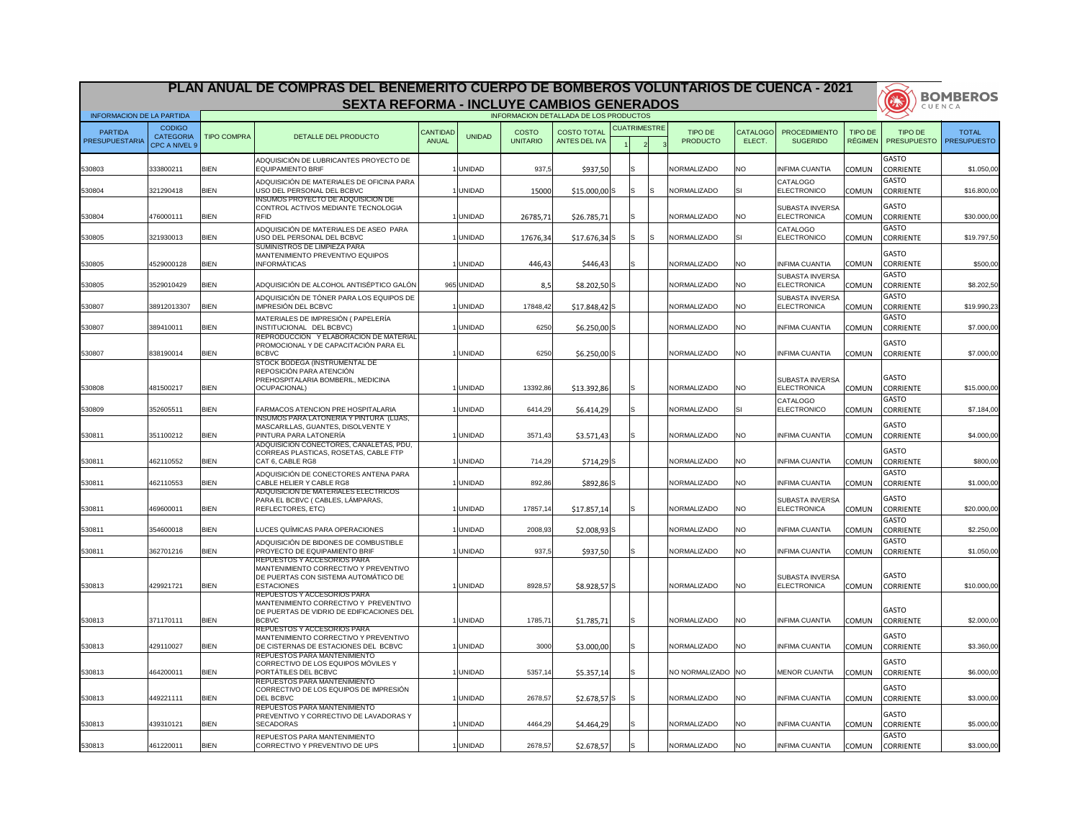| <b>BOMBEROS</b><br>美<br><b>SEXTA REFORMA - INCLUYE CAMBIOS GENERADOS</b><br>CUENCA<br>INFORMACION DETALLADA DE LOS PRODUCTOS<br><b>INFORMACION DE LA PARTIDA</b><br><b>CUATRIMESTRE</b><br><b>CODIGO</b><br><b>COSTO TOTAL</b><br><b>COSTO</b><br>TIPO DE<br><b>TIPO DE</b><br>TIPO DE<br><b>TOTAL</b><br><b>PARTIDA</b><br><b>CANTIDAD</b><br><b>CATALOGO</b><br><b>PROCEDIMIENTO</b><br><b>CATEGORIA</b><br><b>UNIDAD</b><br><b>TIPO COMPRA</b><br>DETALLE DEL PRODUCTO<br><b>PRODUCTO</b><br><b>UNITARIO</b><br>ELECT.<br><b>SUGERIDO</b><br><b>RÉGIMEN</b><br><b>PRESUPUESTO</b><br>PRESUPUESTARIA<br><b>ANUAL</b><br><b>ANTES DEL IVA</b><br>CPC A NIVEL 9<br><b>GASTO</b><br>ADQUISICIÓN DE LUBRICANTES PROYECTO DE<br><b>BIEN</b><br>333800211<br>EQUIPAMIENTO BRIF<br><b>UNIDAD</b><br>937,5<br>NORMALIZADO<br>NO.<br>530803<br>\$937,50<br><b>INFIMA CUANTIA</b><br><b>CORRIENTE</b><br>\$1.050,00<br><b>COMUN</b><br><b>GASTO</b><br>ADQUISICIÓN DE MATERIALES DE OFICINA PARA<br><b>CATALOGO</b><br><b>BIEN</b><br>ELECTRONICO<br>530804<br>321290418<br>USO DEL PERSONAL DEL BCBVC<br><b>UNIDAD</b><br>15000<br>$$15.000,00$ S<br>NORMALIZADO<br><b>CORRIENTE</b><br>IS<br><b>COMUN</b><br>INSUMOS PROYECTO DE ADQUISICION DE<br><b>GASTO</b><br>CONTROL ACTIVOS MEDIANTE TECNOLOGIA<br><b>SUBASTA INVERSA</b><br><b>BIEN</b><br><b>RFID</b><br>ELECTRONICA<br><b>UNIDAD</b><br>26785,71<br>NORMALIZADO<br>NO.<br><b>COMUN</b><br><b>CORRIENTE</b><br>530804<br>476000111<br>\$26.785,71<br><b>GASTO</b><br>ADQUISICIÓN DE MATERIALES DE ASEO PARA<br>CATALOGO<br><b>BIEN</b><br>ELECTRONICO<br>321930013<br>USO DEL PERSONAL DEL BCBVC<br><b>UNIDAD</b><br>NORMALIZADO<br><b>CORRIENTE</b><br>530805<br>17676,34<br>$$17.676,34$ S<br>IS<br><b>COMUN</b><br>'S<br>ISI<br><b>ISUMINISTROS DE LIMPIEZA PARA</b><br><b>GASTO</b><br>MANTENIMIENTO PREVENTIVO EQUIPOS<br><b>BIEN</b><br><b>INFORMÁTICAS</b><br><b>UNIDAD</b><br><b>NO</b><br>530805<br>4529000128<br>446,43<br>\$446,43<br>NORMALIZADO<br><b>INFIMA CUANTIA</b><br><b>CORRIENTE</b><br><b>COMUN</b><br>GASTO<br><b>SUBASTA INVERSA</b><br>ADQUISICIÓN DE ALCOHOL ANTISÉPTICO GALÓN<br><b>BIEN</b><br>965 UNIDAD<br>NO.<br>ELECTRONICA<br>530805<br>3529010429<br>NORMALIZADO<br><b>COMUN</b><br><b>CORRIENTE</b><br>8,5<br>$$8.202,50$ <sup>S</sup><br><b>GASTO</b><br>ADQUISICIÓN DE TÓNER PARA LOS EQUIPOS DE<br><b>SUBASTA INVERSA</b><br>IMPRESIÓN DEL BCBVC<br><b>BIEN</b><br>530807<br>38912013307<br><b>UNIDAD</b><br>NORMALIZADO<br>NO.<br>ELECTRONICA<br>17848,42<br>$$17.848,42$ S<br><b>COMUN</b><br><b>CORRIENTE</b><br><b>GASTO</b><br>MATERIALES DE IMPRESIÓN (PAPELERÍA<br><b>BIEN</b><br>INSTITUCIONAL DEL BCBVC)<br>6250<br><b>NO</b><br>530807<br>389410011<br><b>UNIDAD</b><br>NORMALIZADO<br><b>INFIMA CUANTIA</b><br>\$7.000,00<br><b>CORRIENTE</b><br>$$6.250,00$ <sup>S</sup><br><b>COMUN</b><br>REPRODUCCION Y ELABORACION DE MATERIAL<br><b>GASTO</b><br>PROMOCIONAL Y DE CAPACITACIÓN PARA EL<br><b>BIEN</b><br><b>BCBVC</b><br>6250<br>530807<br>838190014<br><b>UNIDAD</b><br>$$6.250,00$ S<br>NORMALIZADO<br>NO.<br><b>INFIMA CUANTIA</b><br><b>CORRIENTE</b><br><b>COMUN</b><br><b>STOCK BODEGA (INSTRUMENTAL DE</b><br>REPOSICIÓN PARA ATENCIÓN<br><b>GASTO</b><br>PREHOSPITALARIA BOMBERIL, MEDICINA<br><b>ISUBASTA INVERSA</b><br><b>BIEN</b><br>OCUPACIONAL)<br>ELECTRONICA<br>530808<br>481500217<br><b>UNIDAD</b><br>13392,86<br>\$13.392,86<br>S<br>NORMALIZADO<br>NO.<br><b>CORRIENTE</b><br>\$15.000,00<br><b>COMUN</b><br><b>GASTO</b><br><b>CATALOGO</b><br>\$6.414,29<br>6414,29<br>\$7.184,00<br>530809<br>352605511<br><b>BIEN</b><br><b>IFARMACOS ATENCION PRE HOSPITALARIA</b><br>1   UNIDAD<br>lS.<br><b>NORMALIZADO</b><br><b>IELECTRONICO</b><br>COMUN CORRIENTE<br>INSUMOS PARA LATONERIA Y PINTURA (LIJAS,<br><b>GASTO</b><br>MASCARILLAS, GUANTES, DISOLVENTE Y<br><b>BIEN</b><br>351100212<br><b>PINTURA PARA LATONERÍA</b><br><b>UNIDAD</b><br>3571,43<br>\$3.571,43<br>NORMALIZADO<br><b>NO</b><br><b>INFIMA CUANTIA</b><br><b>CORRIENTE</b><br>530811<br><b>COMUN</b><br>ADQUISICION CONECTORES, CANALETAS, PDU,<br>GASTO<br>CORREAS PLASTICAS, ROSETAS, CABLE FTP<br><b>BIEN</b><br><b>NO</b><br>530811<br>462110552<br><b>CAT 6. CABLE RG8</b><br><b>UNIDAD</b><br>714,29<br>NORMALIZADO<br><b>INFIMA CUANTIA</b><br>\$800,00<br><b>COMUN</b><br><b>CORRIENTE</b><br>$$714,29$ S<br><b>GASTO</b><br>ADQUISICIÓN DE CONECTORES ANTENA PARA<br><b>BIEN</b><br><b>NO</b><br>530811<br>462110553<br>CABLE HELIER Y CABLE RG8<br>892,86<br>NORMALIZADO<br><b>UNIDAD</b><br>$$892,86$ S<br><b>INFIMA CUANTIA</b><br><b>COMUN</b><br><b>CORRIENTE</b><br>ADQUISICION DE MATERIALES ELECTRICOS<br><b>GASTO</b><br>PARA EL BCBVC (CABLES, LÁMPARAS,<br><b>SUBASTA INVERSA</b><br><b>BIEN</b><br>REFLECTORES, ETC)<br>17857,14<br><b>NO</b><br><b>ELECTRONICA</b><br>530811<br>469600011<br><b>UNIDAD</b><br>\$17.857,14<br>S.<br>NORMALIZADO<br><b>COMUN</b><br><b>CORRIENTE</b><br><b>GASTO</b><br><b>BIEN</b><br>LUCES QUÍMICAS PARA OPERACIONES<br>2008,93<br>$$2.008,93$ S<br>NORMALIZADO<br><b>NO</b><br><b>CORRIENTE</b><br>530811<br>354600018<br><b>UNIDAD</b><br><b>INFIMA CUANTIA</b><br><b>COMUN</b><br>\$2.250,00<br>GASTO<br>ADQUISICIÓN DE BIDONES DE COMBUSTIBLE<br><b>BIEN</b><br>362701216<br><b>PROYECTO DE EQUIPAMIENTO BRIF</b><br><b>UNIDAD</b><br>\$937,50<br>NORMALIZADO<br><b>NO</b><br><b>INFIMA CUANTIA</b><br>530811<br>937,5<br><b>COMUN</b><br><b>CORRIENTE</b><br>S.<br>IREPUESTOS Y ACCESORIOS PARA<br>MANTENIMIENTO CORRECTIVO Y PREVENTIVO<br><b>GASTO</b><br>DE PUERTAS CON SISTEMA AUTOMÁTICO DE<br><b>SUBASTA INVERSA</b><br><b>BIEN</b><br><b>ESTACIONES</b><br>530813<br>429921721<br><b>UNIDAD</b><br>8928,57<br>$$8.928,57$ S<br>NORMALIZADO<br>NO.<br><b>ELECTRONICA</b><br><b>COMUN</b><br><b>CORRIENTE</b><br><b>REPUESTOS Y ACCESORIOS PARA</b><br>MANTENIMIENTO CORRECTIVO Y PREVENTIVO<br><b>GASTO</b><br>DE PUERTAS DE VIDRIO DE EDIFICACIONES DEL<br><b>BIEN</b><br><b>BCBVC</b><br>NORMALIZADO<br>530813<br>371170111<br><b>UNIDAD</b><br>1785,71<br><b>NO</b><br><b>INFIMA CUANTIA</b><br>\$1.785,71<br><b>COMUN</b><br><b>CORRIENTE</b><br><b>REPUESTOS Y ACCESORIOS PARA</b><br><b>GASTO</b><br>MANTENIMIENTO CORRECTIVO Y PREVENTIVO<br><b>BIEN</b><br>530813<br>429110027<br>DE CISTERNAS DE ESTACIONES DEL BCBVC<br><b>UNIDAD</b><br>3000<br>NORMALIZADO<br><b>NO</b><br><b>INFIMA CUANTIA</b><br>\$3.360,00<br>\$3.000,00<br><b>COMUN</b><br><b>CORRIENTE</b><br>REPUESTOS PARA MANTENIMIENTO<br><b>GASTO</b><br>CORRECTIVO DE LOS EQUIPOS MÓVILES Y<br><b>BIEN</b><br>PORTÁTILES DEL BCBVC<br>530813<br>5357,14<br>464200011<br><b>UNIDAD</b><br>\$5.357,14<br>INO NORMALIZADO INO<br>MENOR CUANTIA<br><b>CORRIENTE</b><br><b>COMUN</b><br>REPUESTOS PARA MANTENIMIENTO<br><b>GASTO</b><br>CORRECTIVO DE LOS EQUIPOS DE IMPRESIÓN<br><b>BIEN</b><br><b>DEL BCBVC</b><br>530813<br>449221111<br><b>UNIDAD</b><br>2678,57<br>$$2.678,57$ S<br>NORMALIZADO<br><b>NO</b><br><b>INFIMA CUANTIA</b><br><b>CORRIENTE</b><br>S.<br><b>COMUN</b><br>REPUESTOS PARA MANTENIMIENTO<br><b>GASTO</b><br><b>PREVENTIVO Y CORRECTIVO DE LAVADORAS Y</b><br><b>BIEN</b><br><b>SECADORAS</b><br>4464,29<br>NORMALIZADO<br><b>NO</b><br><b>CORRIENTE</b><br>530813<br>439310121<br><b>UNIDAD</b><br>\$4.464,29<br><b>INFIMA CUANTIA</b><br><b>COMUN</b><br><b>GASTO</b><br>REPUESTOS PARA MANTENIMIENTO<br><b>BIEN</b><br>NORMALIZADO<br>UNIDAD<br>2678,57<br><b>NO</b><br>530813<br>461220011<br>CORRECTIVO Y PREVENTIVO DE UPS<br>\$2.678,57<br>S<br><b>INFIMA CUANTIA</b><br>COMUN CORRIENTE |  | PLAN ANUAL DE COMPRAS DEL BENEMERITO CUERPO DE BOMBEROS VOLUNTARIOS DE CUENCA - 2021 |  |  |  |  |  |                    |
|------------------------------------------------------------------------------------------------------------------------------------------------------------------------------------------------------------------------------------------------------------------------------------------------------------------------------------------------------------------------------------------------------------------------------------------------------------------------------------------------------------------------------------------------------------------------------------------------------------------------------------------------------------------------------------------------------------------------------------------------------------------------------------------------------------------------------------------------------------------------------------------------------------------------------------------------------------------------------------------------------------------------------------------------------------------------------------------------------------------------------------------------------------------------------------------------------------------------------------------------------------------------------------------------------------------------------------------------------------------------------------------------------------------------------------------------------------------------------------------------------------------------------------------------------------------------------------------------------------------------------------------------------------------------------------------------------------------------------------------------------------------------------------------------------------------------------------------------------------------------------------------------------------------------------------------------------------------------------------------------------------------------------------------------------------------------------------------------------------------------------------------------------------------------------------------------------------------------------------------------------------------------------------------------------------------------------------------------------------------------------------------------------------------------------------------------------------------------------------------------------------------------------------------------------------------------------------------------------------------------------------------------------------------------------------------------------------------------------------------------------------------------------------------------------------------------------------------------------------------------------------------------------------------------------------------------------------------------------------------------------------------------------------------------------------------------------------------------------------------------------------------------------------------------------------------------------------------------------------------------------------------------------------------------------------------------------------------------------------------------------------------------------------------------------------------------------------------------------------------------------------------------------------------------------------------------------------------------------------------------------------------------------------------------------------------------------------------------------------------------------------------------------------------------------------------------------------------------------------------------------------------------------------------------------------------------------------------------------------------------------------------------------------------------------------------------------------------------------------------------------------------------------------------------------------------------------------------------------------------------------------------------------------------------------------------------------------------------------------------------------------------------------------------------------------------------------------------------------------------------------------------------------------------------------------------------------------------------------------------------------------------------------------------------------------------------------------------------------------------------------------------------------------------------------------------------------------------------------------------------------------------------------------------------------------------------------------------------------------------------------------------------------------------------------------------------------------------------------------------------------------------------------------------------------------------------------------------------------------------------------------------------------------------------------------------------------------------------------------------------------------------------------------------------------------------------------------------------------------------------------------------------------------------------------------------------------------------------------------------------------------------------------------------------------------------------------------------------------------------------------------------------------------------------------------------------------------------------------------------------------------------------------------------------------------------------------------------------------------------------------------------------------------------------------------------------------------------------------------------------------------------------------------------------------------------------------------------------------------------------------------------------------------------------------------------------------------------------------------------------------------------------------------------------------------------------------------------------------------------------------------------------------------------------------------------------------------------------------------------------------------------------------------------------------------------------------------------------------------------------------------------------------------------------------------------------------------------------------------------------------------------------------------------------------------------------------------------------------------------------------------------------------------------------------------------------------------------------------------------------------------------------------------------------------------------------------------------------------------------------------------------------------------------------------------------------------------------------------------------------------------------------------------------------------------------------------------------------------------------------------------------------------------------------------------------------------------------------------------------------------------------------------------------|--|--------------------------------------------------------------------------------------|--|--|--|--|--|--------------------|
|                                                                                                                                                                                                                                                                                                                                                                                                                                                                                                                                                                                                                                                                                                                                                                                                                                                                                                                                                                                                                                                                                                                                                                                                                                                                                                                                                                                                                                                                                                                                                                                                                                                                                                                                                                                                                                                                                                                                                                                                                                                                                                                                                                                                                                                                                                                                                                                                                                                                                                                                                                                                                                                                                                                                                                                                                                                                                                                                                                                                                                                                                                                                                                                                                                                                                                                                                                                                                                                                                                                                                                                                                                                                                                                                                                                                                                                                                                                                                                                                                                                                                                                                                                                                                                                                                                                                                                                                                                                                                                                                                                                                                                                                                                                                                                                                                                                                                                                                                                                                                                                                                                                                                                                                                                                                                                                                                                                                                                                                                                                                                                                                                                                                                                                                                                                                                                                                                                                                                                                                                                                                                                                                                                                                                                                                                                                                                                                                                                                                                                                                                                                                                                                                                                                                                                                                                                                                                                                                                                                                                                                                                                                                                                                                                                                                                                                                                                                                                                                                                                                                                                                                                                                                  |  |                                                                                      |  |  |  |  |  |                    |
|                                                                                                                                                                                                                                                                                                                                                                                                                                                                                                                                                                                                                                                                                                                                                                                                                                                                                                                                                                                                                                                                                                                                                                                                                                                                                                                                                                                                                                                                                                                                                                                                                                                                                                                                                                                                                                                                                                                                                                                                                                                                                                                                                                                                                                                                                                                                                                                                                                                                                                                                                                                                                                                                                                                                                                                                                                                                                                                                                                                                                                                                                                                                                                                                                                                                                                                                                                                                                                                                                                                                                                                                                                                                                                                                                                                                                                                                                                                                                                                                                                                                                                                                                                                                                                                                                                                                                                                                                                                                                                                                                                                                                                                                                                                                                                                                                                                                                                                                                                                                                                                                                                                                                                                                                                                                                                                                                                                                                                                                                                                                                                                                                                                                                                                                                                                                                                                                                                                                                                                                                                                                                                                                                                                                                                                                                                                                                                                                                                                                                                                                                                                                                                                                                                                                                                                                                                                                                                                                                                                                                                                                                                                                                                                                                                                                                                                                                                                                                                                                                                                                                                                                                                                                  |  |                                                                                      |  |  |  |  |  |                    |
|                                                                                                                                                                                                                                                                                                                                                                                                                                                                                                                                                                                                                                                                                                                                                                                                                                                                                                                                                                                                                                                                                                                                                                                                                                                                                                                                                                                                                                                                                                                                                                                                                                                                                                                                                                                                                                                                                                                                                                                                                                                                                                                                                                                                                                                                                                                                                                                                                                                                                                                                                                                                                                                                                                                                                                                                                                                                                                                                                                                                                                                                                                                                                                                                                                                                                                                                                                                                                                                                                                                                                                                                                                                                                                                                                                                                                                                                                                                                                                                                                                                                                                                                                                                                                                                                                                                                                                                                                                                                                                                                                                                                                                                                                                                                                                                                                                                                                                                                                                                                                                                                                                                                                                                                                                                                                                                                                                                                                                                                                                                                                                                                                                                                                                                                                                                                                                                                                                                                                                                                                                                                                                                                                                                                                                                                                                                                                                                                                                                                                                                                                                                                                                                                                                                                                                                                                                                                                                                                                                                                                                                                                                                                                                                                                                                                                                                                                                                                                                                                                                                                                                                                                                                                  |  |                                                                                      |  |  |  |  |  | <b>PRESUPUESTO</b> |
|                                                                                                                                                                                                                                                                                                                                                                                                                                                                                                                                                                                                                                                                                                                                                                                                                                                                                                                                                                                                                                                                                                                                                                                                                                                                                                                                                                                                                                                                                                                                                                                                                                                                                                                                                                                                                                                                                                                                                                                                                                                                                                                                                                                                                                                                                                                                                                                                                                                                                                                                                                                                                                                                                                                                                                                                                                                                                                                                                                                                                                                                                                                                                                                                                                                                                                                                                                                                                                                                                                                                                                                                                                                                                                                                                                                                                                                                                                                                                                                                                                                                                                                                                                                                                                                                                                                                                                                                                                                                                                                                                                                                                                                                                                                                                                                                                                                                                                                                                                                                                                                                                                                                                                                                                                                                                                                                                                                                                                                                                                                                                                                                                                                                                                                                                                                                                                                                                                                                                                                                                                                                                                                                                                                                                                                                                                                                                                                                                                                                                                                                                                                                                                                                                                                                                                                                                                                                                                                                                                                                                                                                                                                                                                                                                                                                                                                                                                                                                                                                                                                                                                                                                                                                  |  |                                                                                      |  |  |  |  |  |                    |
|                                                                                                                                                                                                                                                                                                                                                                                                                                                                                                                                                                                                                                                                                                                                                                                                                                                                                                                                                                                                                                                                                                                                                                                                                                                                                                                                                                                                                                                                                                                                                                                                                                                                                                                                                                                                                                                                                                                                                                                                                                                                                                                                                                                                                                                                                                                                                                                                                                                                                                                                                                                                                                                                                                                                                                                                                                                                                                                                                                                                                                                                                                                                                                                                                                                                                                                                                                                                                                                                                                                                                                                                                                                                                                                                                                                                                                                                                                                                                                                                                                                                                                                                                                                                                                                                                                                                                                                                                                                                                                                                                                                                                                                                                                                                                                                                                                                                                                                                                                                                                                                                                                                                                                                                                                                                                                                                                                                                                                                                                                                                                                                                                                                                                                                                                                                                                                                                                                                                                                                                                                                                                                                                                                                                                                                                                                                                                                                                                                                                                                                                                                                                                                                                                                                                                                                                                                                                                                                                                                                                                                                                                                                                                                                                                                                                                                                                                                                                                                                                                                                                                                                                                                                                  |  |                                                                                      |  |  |  |  |  |                    |
|                                                                                                                                                                                                                                                                                                                                                                                                                                                                                                                                                                                                                                                                                                                                                                                                                                                                                                                                                                                                                                                                                                                                                                                                                                                                                                                                                                                                                                                                                                                                                                                                                                                                                                                                                                                                                                                                                                                                                                                                                                                                                                                                                                                                                                                                                                                                                                                                                                                                                                                                                                                                                                                                                                                                                                                                                                                                                                                                                                                                                                                                                                                                                                                                                                                                                                                                                                                                                                                                                                                                                                                                                                                                                                                                                                                                                                                                                                                                                                                                                                                                                                                                                                                                                                                                                                                                                                                                                                                                                                                                                                                                                                                                                                                                                                                                                                                                                                                                                                                                                                                                                                                                                                                                                                                                                                                                                                                                                                                                                                                                                                                                                                                                                                                                                                                                                                                                                                                                                                                                                                                                                                                                                                                                                                                                                                                                                                                                                                                                                                                                                                                                                                                                                                                                                                                                                                                                                                                                                                                                                                                                                                                                                                                                                                                                                                                                                                                                                                                                                                                                                                                                                                                                  |  |                                                                                      |  |  |  |  |  | \$16.800,00        |
|                                                                                                                                                                                                                                                                                                                                                                                                                                                                                                                                                                                                                                                                                                                                                                                                                                                                                                                                                                                                                                                                                                                                                                                                                                                                                                                                                                                                                                                                                                                                                                                                                                                                                                                                                                                                                                                                                                                                                                                                                                                                                                                                                                                                                                                                                                                                                                                                                                                                                                                                                                                                                                                                                                                                                                                                                                                                                                                                                                                                                                                                                                                                                                                                                                                                                                                                                                                                                                                                                                                                                                                                                                                                                                                                                                                                                                                                                                                                                                                                                                                                                                                                                                                                                                                                                                                                                                                                                                                                                                                                                                                                                                                                                                                                                                                                                                                                                                                                                                                                                                                                                                                                                                                                                                                                                                                                                                                                                                                                                                                                                                                                                                                                                                                                                                                                                                                                                                                                                                                                                                                                                                                                                                                                                                                                                                                                                                                                                                                                                                                                                                                                                                                                                                                                                                                                                                                                                                                                                                                                                                                                                                                                                                                                                                                                                                                                                                                                                                                                                                                                                                                                                                                                  |  |                                                                                      |  |  |  |  |  | \$30.000,00        |
|                                                                                                                                                                                                                                                                                                                                                                                                                                                                                                                                                                                                                                                                                                                                                                                                                                                                                                                                                                                                                                                                                                                                                                                                                                                                                                                                                                                                                                                                                                                                                                                                                                                                                                                                                                                                                                                                                                                                                                                                                                                                                                                                                                                                                                                                                                                                                                                                                                                                                                                                                                                                                                                                                                                                                                                                                                                                                                                                                                                                                                                                                                                                                                                                                                                                                                                                                                                                                                                                                                                                                                                                                                                                                                                                                                                                                                                                                                                                                                                                                                                                                                                                                                                                                                                                                                                                                                                                                                                                                                                                                                                                                                                                                                                                                                                                                                                                                                                                                                                                                                                                                                                                                                                                                                                                                                                                                                                                                                                                                                                                                                                                                                                                                                                                                                                                                                                                                                                                                                                                                                                                                                                                                                                                                                                                                                                                                                                                                                                                                                                                                                                                                                                                                                                                                                                                                                                                                                                                                                                                                                                                                                                                                                                                                                                                                                                                                                                                                                                                                                                                                                                                                                                                  |  |                                                                                      |  |  |  |  |  | \$19.797,50        |
|                                                                                                                                                                                                                                                                                                                                                                                                                                                                                                                                                                                                                                                                                                                                                                                                                                                                                                                                                                                                                                                                                                                                                                                                                                                                                                                                                                                                                                                                                                                                                                                                                                                                                                                                                                                                                                                                                                                                                                                                                                                                                                                                                                                                                                                                                                                                                                                                                                                                                                                                                                                                                                                                                                                                                                                                                                                                                                                                                                                                                                                                                                                                                                                                                                                                                                                                                                                                                                                                                                                                                                                                                                                                                                                                                                                                                                                                                                                                                                                                                                                                                                                                                                                                                                                                                                                                                                                                                                                                                                                                                                                                                                                                                                                                                                                                                                                                                                                                                                                                                                                                                                                                                                                                                                                                                                                                                                                                                                                                                                                                                                                                                                                                                                                                                                                                                                                                                                                                                                                                                                                                                                                                                                                                                                                                                                                                                                                                                                                                                                                                                                                                                                                                                                                                                                                                                                                                                                                                                                                                                                                                                                                                                                                                                                                                                                                                                                                                                                                                                                                                                                                                                                                                  |  |                                                                                      |  |  |  |  |  |                    |
|                                                                                                                                                                                                                                                                                                                                                                                                                                                                                                                                                                                                                                                                                                                                                                                                                                                                                                                                                                                                                                                                                                                                                                                                                                                                                                                                                                                                                                                                                                                                                                                                                                                                                                                                                                                                                                                                                                                                                                                                                                                                                                                                                                                                                                                                                                                                                                                                                                                                                                                                                                                                                                                                                                                                                                                                                                                                                                                                                                                                                                                                                                                                                                                                                                                                                                                                                                                                                                                                                                                                                                                                                                                                                                                                                                                                                                                                                                                                                                                                                                                                                                                                                                                                                                                                                                                                                                                                                                                                                                                                                                                                                                                                                                                                                                                                                                                                                                                                                                                                                                                                                                                                                                                                                                                                                                                                                                                                                                                                                                                                                                                                                                                                                                                                                                                                                                                                                                                                                                                                                                                                                                                                                                                                                                                                                                                                                                                                                                                                                                                                                                                                                                                                                                                                                                                                                                                                                                                                                                                                                                                                                                                                                                                                                                                                                                                                                                                                                                                                                                                                                                                                                                                                  |  |                                                                                      |  |  |  |  |  | \$500,00           |
|                                                                                                                                                                                                                                                                                                                                                                                                                                                                                                                                                                                                                                                                                                                                                                                                                                                                                                                                                                                                                                                                                                                                                                                                                                                                                                                                                                                                                                                                                                                                                                                                                                                                                                                                                                                                                                                                                                                                                                                                                                                                                                                                                                                                                                                                                                                                                                                                                                                                                                                                                                                                                                                                                                                                                                                                                                                                                                                                                                                                                                                                                                                                                                                                                                                                                                                                                                                                                                                                                                                                                                                                                                                                                                                                                                                                                                                                                                                                                                                                                                                                                                                                                                                                                                                                                                                                                                                                                                                                                                                                                                                                                                                                                                                                                                                                                                                                                                                                                                                                                                                                                                                                                                                                                                                                                                                                                                                                                                                                                                                                                                                                                                                                                                                                                                                                                                                                                                                                                                                                                                                                                                                                                                                                                                                                                                                                                                                                                                                                                                                                                                                                                                                                                                                                                                                                                                                                                                                                                                                                                                                                                                                                                                                                                                                                                                                                                                                                                                                                                                                                                                                                                                                                  |  |                                                                                      |  |  |  |  |  | \$8.202,50         |
|                                                                                                                                                                                                                                                                                                                                                                                                                                                                                                                                                                                                                                                                                                                                                                                                                                                                                                                                                                                                                                                                                                                                                                                                                                                                                                                                                                                                                                                                                                                                                                                                                                                                                                                                                                                                                                                                                                                                                                                                                                                                                                                                                                                                                                                                                                                                                                                                                                                                                                                                                                                                                                                                                                                                                                                                                                                                                                                                                                                                                                                                                                                                                                                                                                                                                                                                                                                                                                                                                                                                                                                                                                                                                                                                                                                                                                                                                                                                                                                                                                                                                                                                                                                                                                                                                                                                                                                                                                                                                                                                                                                                                                                                                                                                                                                                                                                                                                                                                                                                                                                                                                                                                                                                                                                                                                                                                                                                                                                                                                                                                                                                                                                                                                                                                                                                                                                                                                                                                                                                                                                                                                                                                                                                                                                                                                                                                                                                                                                                                                                                                                                                                                                                                                                                                                                                                                                                                                                                                                                                                                                                                                                                                                                                                                                                                                                                                                                                                                                                                                                                                                                                                                                                  |  |                                                                                      |  |  |  |  |  | \$19.990,23        |
|                                                                                                                                                                                                                                                                                                                                                                                                                                                                                                                                                                                                                                                                                                                                                                                                                                                                                                                                                                                                                                                                                                                                                                                                                                                                                                                                                                                                                                                                                                                                                                                                                                                                                                                                                                                                                                                                                                                                                                                                                                                                                                                                                                                                                                                                                                                                                                                                                                                                                                                                                                                                                                                                                                                                                                                                                                                                                                                                                                                                                                                                                                                                                                                                                                                                                                                                                                                                                                                                                                                                                                                                                                                                                                                                                                                                                                                                                                                                                                                                                                                                                                                                                                                                                                                                                                                                                                                                                                                                                                                                                                                                                                                                                                                                                                                                                                                                                                                                                                                                                                                                                                                                                                                                                                                                                                                                                                                                                                                                                                                                                                                                                                                                                                                                                                                                                                                                                                                                                                                                                                                                                                                                                                                                                                                                                                                                                                                                                                                                                                                                                                                                                                                                                                                                                                                                                                                                                                                                                                                                                                                                                                                                                                                                                                                                                                                                                                                                                                                                                                                                                                                                                                                                  |  |                                                                                      |  |  |  |  |  |                    |
|                                                                                                                                                                                                                                                                                                                                                                                                                                                                                                                                                                                                                                                                                                                                                                                                                                                                                                                                                                                                                                                                                                                                                                                                                                                                                                                                                                                                                                                                                                                                                                                                                                                                                                                                                                                                                                                                                                                                                                                                                                                                                                                                                                                                                                                                                                                                                                                                                                                                                                                                                                                                                                                                                                                                                                                                                                                                                                                                                                                                                                                                                                                                                                                                                                                                                                                                                                                                                                                                                                                                                                                                                                                                                                                                                                                                                                                                                                                                                                                                                                                                                                                                                                                                                                                                                                                                                                                                                                                                                                                                                                                                                                                                                                                                                                                                                                                                                                                                                                                                                                                                                                                                                                                                                                                                                                                                                                                                                                                                                                                                                                                                                                                                                                                                                                                                                                                                                                                                                                                                                                                                                                                                                                                                                                                                                                                                                                                                                                                                                                                                                                                                                                                                                                                                                                                                                                                                                                                                                                                                                                                                                                                                                                                                                                                                                                                                                                                                                                                                                                                                                                                                                                                                  |  |                                                                                      |  |  |  |  |  |                    |
|                                                                                                                                                                                                                                                                                                                                                                                                                                                                                                                                                                                                                                                                                                                                                                                                                                                                                                                                                                                                                                                                                                                                                                                                                                                                                                                                                                                                                                                                                                                                                                                                                                                                                                                                                                                                                                                                                                                                                                                                                                                                                                                                                                                                                                                                                                                                                                                                                                                                                                                                                                                                                                                                                                                                                                                                                                                                                                                                                                                                                                                                                                                                                                                                                                                                                                                                                                                                                                                                                                                                                                                                                                                                                                                                                                                                                                                                                                                                                                                                                                                                                                                                                                                                                                                                                                                                                                                                                                                                                                                                                                                                                                                                                                                                                                                                                                                                                                                                                                                                                                                                                                                                                                                                                                                                                                                                                                                                                                                                                                                                                                                                                                                                                                                                                                                                                                                                                                                                                                                                                                                                                                                                                                                                                                                                                                                                                                                                                                                                                                                                                                                                                                                                                                                                                                                                                                                                                                                                                                                                                                                                                                                                                                                                                                                                                                                                                                                                                                                                                                                                                                                                                                                                  |  |                                                                                      |  |  |  |  |  | \$7.000,00         |
|                                                                                                                                                                                                                                                                                                                                                                                                                                                                                                                                                                                                                                                                                                                                                                                                                                                                                                                                                                                                                                                                                                                                                                                                                                                                                                                                                                                                                                                                                                                                                                                                                                                                                                                                                                                                                                                                                                                                                                                                                                                                                                                                                                                                                                                                                                                                                                                                                                                                                                                                                                                                                                                                                                                                                                                                                                                                                                                                                                                                                                                                                                                                                                                                                                                                                                                                                                                                                                                                                                                                                                                                                                                                                                                                                                                                                                                                                                                                                                                                                                                                                                                                                                                                                                                                                                                                                                                                                                                                                                                                                                                                                                                                                                                                                                                                                                                                                                                                                                                                                                                                                                                                                                                                                                                                                                                                                                                                                                                                                                                                                                                                                                                                                                                                                                                                                                                                                                                                                                                                                                                                                                                                                                                                                                                                                                                                                                                                                                                                                                                                                                                                                                                                                                                                                                                                                                                                                                                                                                                                                                                                                                                                                                                                                                                                                                                                                                                                                                                                                                                                                                                                                                                                  |  |                                                                                      |  |  |  |  |  |                    |
|                                                                                                                                                                                                                                                                                                                                                                                                                                                                                                                                                                                                                                                                                                                                                                                                                                                                                                                                                                                                                                                                                                                                                                                                                                                                                                                                                                                                                                                                                                                                                                                                                                                                                                                                                                                                                                                                                                                                                                                                                                                                                                                                                                                                                                                                                                                                                                                                                                                                                                                                                                                                                                                                                                                                                                                                                                                                                                                                                                                                                                                                                                                                                                                                                                                                                                                                                                                                                                                                                                                                                                                                                                                                                                                                                                                                                                                                                                                                                                                                                                                                                                                                                                                                                                                                                                                                                                                                                                                                                                                                                                                                                                                                                                                                                                                                                                                                                                                                                                                                                                                                                                                                                                                                                                                                                                                                                                                                                                                                                                                                                                                                                                                                                                                                                                                                                                                                                                                                                                                                                                                                                                                                                                                                                                                                                                                                                                                                                                                                                                                                                                                                                                                                                                                                                                                                                                                                                                                                                                                                                                                                                                                                                                                                                                                                                                                                                                                                                                                                                                                                                                                                                                                                  |  |                                                                                      |  |  |  |  |  |                    |
|                                                                                                                                                                                                                                                                                                                                                                                                                                                                                                                                                                                                                                                                                                                                                                                                                                                                                                                                                                                                                                                                                                                                                                                                                                                                                                                                                                                                                                                                                                                                                                                                                                                                                                                                                                                                                                                                                                                                                                                                                                                                                                                                                                                                                                                                                                                                                                                                                                                                                                                                                                                                                                                                                                                                                                                                                                                                                                                                                                                                                                                                                                                                                                                                                                                                                                                                                                                                                                                                                                                                                                                                                                                                                                                                                                                                                                                                                                                                                                                                                                                                                                                                                                                                                                                                                                                                                                                                                                                                                                                                                                                                                                                                                                                                                                                                                                                                                                                                                                                                                                                                                                                                                                                                                                                                                                                                                                                                                                                                                                                                                                                                                                                                                                                                                                                                                                                                                                                                                                                                                                                                                                                                                                                                                                                                                                                                                                                                                                                                                                                                                                                                                                                                                                                                                                                                                                                                                                                                                                                                                                                                                                                                                                                                                                                                                                                                                                                                                                                                                                                                                                                                                                                                  |  |                                                                                      |  |  |  |  |  |                    |
|                                                                                                                                                                                                                                                                                                                                                                                                                                                                                                                                                                                                                                                                                                                                                                                                                                                                                                                                                                                                                                                                                                                                                                                                                                                                                                                                                                                                                                                                                                                                                                                                                                                                                                                                                                                                                                                                                                                                                                                                                                                                                                                                                                                                                                                                                                                                                                                                                                                                                                                                                                                                                                                                                                                                                                                                                                                                                                                                                                                                                                                                                                                                                                                                                                                                                                                                                                                                                                                                                                                                                                                                                                                                                                                                                                                                                                                                                                                                                                                                                                                                                                                                                                                                                                                                                                                                                                                                                                                                                                                                                                                                                                                                                                                                                                                                                                                                                                                                                                                                                                                                                                                                                                                                                                                                                                                                                                                                                                                                                                                                                                                                                                                                                                                                                                                                                                                                                                                                                                                                                                                                                                                                                                                                                                                                                                                                                                                                                                                                                                                                                                                                                                                                                                                                                                                                                                                                                                                                                                                                                                                                                                                                                                                                                                                                                                                                                                                                                                                                                                                                                                                                                                                                  |  |                                                                                      |  |  |  |  |  | \$4.000,00         |
|                                                                                                                                                                                                                                                                                                                                                                                                                                                                                                                                                                                                                                                                                                                                                                                                                                                                                                                                                                                                                                                                                                                                                                                                                                                                                                                                                                                                                                                                                                                                                                                                                                                                                                                                                                                                                                                                                                                                                                                                                                                                                                                                                                                                                                                                                                                                                                                                                                                                                                                                                                                                                                                                                                                                                                                                                                                                                                                                                                                                                                                                                                                                                                                                                                                                                                                                                                                                                                                                                                                                                                                                                                                                                                                                                                                                                                                                                                                                                                                                                                                                                                                                                                                                                                                                                                                                                                                                                                                                                                                                                                                                                                                                                                                                                                                                                                                                                                                                                                                                                                                                                                                                                                                                                                                                                                                                                                                                                                                                                                                                                                                                                                                                                                                                                                                                                                                                                                                                                                                                                                                                                                                                                                                                                                                                                                                                                                                                                                                                                                                                                                                                                                                                                                                                                                                                                                                                                                                                                                                                                                                                                                                                                                                                                                                                                                                                                                                                                                                                                                                                                                                                                                                                  |  |                                                                                      |  |  |  |  |  |                    |
|                                                                                                                                                                                                                                                                                                                                                                                                                                                                                                                                                                                                                                                                                                                                                                                                                                                                                                                                                                                                                                                                                                                                                                                                                                                                                                                                                                                                                                                                                                                                                                                                                                                                                                                                                                                                                                                                                                                                                                                                                                                                                                                                                                                                                                                                                                                                                                                                                                                                                                                                                                                                                                                                                                                                                                                                                                                                                                                                                                                                                                                                                                                                                                                                                                                                                                                                                                                                                                                                                                                                                                                                                                                                                                                                                                                                                                                                                                                                                                                                                                                                                                                                                                                                                                                                                                                                                                                                                                                                                                                                                                                                                                                                                                                                                                                                                                                                                                                                                                                                                                                                                                                                                                                                                                                                                                                                                                                                                                                                                                                                                                                                                                                                                                                                                                                                                                                                                                                                                                                                                                                                                                                                                                                                                                                                                                                                                                                                                                                                                                                                                                                                                                                                                                                                                                                                                                                                                                                                                                                                                                                                                                                                                                                                                                                                                                                                                                                                                                                                                                                                                                                                                                                                  |  |                                                                                      |  |  |  |  |  |                    |
|                                                                                                                                                                                                                                                                                                                                                                                                                                                                                                                                                                                                                                                                                                                                                                                                                                                                                                                                                                                                                                                                                                                                                                                                                                                                                                                                                                                                                                                                                                                                                                                                                                                                                                                                                                                                                                                                                                                                                                                                                                                                                                                                                                                                                                                                                                                                                                                                                                                                                                                                                                                                                                                                                                                                                                                                                                                                                                                                                                                                                                                                                                                                                                                                                                                                                                                                                                                                                                                                                                                                                                                                                                                                                                                                                                                                                                                                                                                                                                                                                                                                                                                                                                                                                                                                                                                                                                                                                                                                                                                                                                                                                                                                                                                                                                                                                                                                                                                                                                                                                                                                                                                                                                                                                                                                                                                                                                                                                                                                                                                                                                                                                                                                                                                                                                                                                                                                                                                                                                                                                                                                                                                                                                                                                                                                                                                                                                                                                                                                                                                                                                                                                                                                                                                                                                                                                                                                                                                                                                                                                                                                                                                                                                                                                                                                                                                                                                                                                                                                                                                                                                                                                                                                  |  |                                                                                      |  |  |  |  |  | \$1.000,00         |
|                                                                                                                                                                                                                                                                                                                                                                                                                                                                                                                                                                                                                                                                                                                                                                                                                                                                                                                                                                                                                                                                                                                                                                                                                                                                                                                                                                                                                                                                                                                                                                                                                                                                                                                                                                                                                                                                                                                                                                                                                                                                                                                                                                                                                                                                                                                                                                                                                                                                                                                                                                                                                                                                                                                                                                                                                                                                                                                                                                                                                                                                                                                                                                                                                                                                                                                                                                                                                                                                                                                                                                                                                                                                                                                                                                                                                                                                                                                                                                                                                                                                                                                                                                                                                                                                                                                                                                                                                                                                                                                                                                                                                                                                                                                                                                                                                                                                                                                                                                                                                                                                                                                                                                                                                                                                                                                                                                                                                                                                                                                                                                                                                                                                                                                                                                                                                                                                                                                                                                                                                                                                                                                                                                                                                                                                                                                                                                                                                                                                                                                                                                                                                                                                                                                                                                                                                                                                                                                                                                                                                                                                                                                                                                                                                                                                                                                                                                                                                                                                                                                                                                                                                                                                  |  |                                                                                      |  |  |  |  |  | \$20.000,00        |
|                                                                                                                                                                                                                                                                                                                                                                                                                                                                                                                                                                                                                                                                                                                                                                                                                                                                                                                                                                                                                                                                                                                                                                                                                                                                                                                                                                                                                                                                                                                                                                                                                                                                                                                                                                                                                                                                                                                                                                                                                                                                                                                                                                                                                                                                                                                                                                                                                                                                                                                                                                                                                                                                                                                                                                                                                                                                                                                                                                                                                                                                                                                                                                                                                                                                                                                                                                                                                                                                                                                                                                                                                                                                                                                                                                                                                                                                                                                                                                                                                                                                                                                                                                                                                                                                                                                                                                                                                                                                                                                                                                                                                                                                                                                                                                                                                                                                                                                                                                                                                                                                                                                                                                                                                                                                                                                                                                                                                                                                                                                                                                                                                                                                                                                                                                                                                                                                                                                                                                                                                                                                                                                                                                                                                                                                                                                                                                                                                                                                                                                                                                                                                                                                                                                                                                                                                                                                                                                                                                                                                                                                                                                                                                                                                                                                                                                                                                                                                                                                                                                                                                                                                                                                  |  |                                                                                      |  |  |  |  |  |                    |
|                                                                                                                                                                                                                                                                                                                                                                                                                                                                                                                                                                                                                                                                                                                                                                                                                                                                                                                                                                                                                                                                                                                                                                                                                                                                                                                                                                                                                                                                                                                                                                                                                                                                                                                                                                                                                                                                                                                                                                                                                                                                                                                                                                                                                                                                                                                                                                                                                                                                                                                                                                                                                                                                                                                                                                                                                                                                                                                                                                                                                                                                                                                                                                                                                                                                                                                                                                                                                                                                                                                                                                                                                                                                                                                                                                                                                                                                                                                                                                                                                                                                                                                                                                                                                                                                                                                                                                                                                                                                                                                                                                                                                                                                                                                                                                                                                                                                                                                                                                                                                                                                                                                                                                                                                                                                                                                                                                                                                                                                                                                                                                                                                                                                                                                                                                                                                                                                                                                                                                                                                                                                                                                                                                                                                                                                                                                                                                                                                                                                                                                                                                                                                                                                                                                                                                                                                                                                                                                                                                                                                                                                                                                                                                                                                                                                                                                                                                                                                                                                                                                                                                                                                                                                  |  |                                                                                      |  |  |  |  |  |                    |
|                                                                                                                                                                                                                                                                                                                                                                                                                                                                                                                                                                                                                                                                                                                                                                                                                                                                                                                                                                                                                                                                                                                                                                                                                                                                                                                                                                                                                                                                                                                                                                                                                                                                                                                                                                                                                                                                                                                                                                                                                                                                                                                                                                                                                                                                                                                                                                                                                                                                                                                                                                                                                                                                                                                                                                                                                                                                                                                                                                                                                                                                                                                                                                                                                                                                                                                                                                                                                                                                                                                                                                                                                                                                                                                                                                                                                                                                                                                                                                                                                                                                                                                                                                                                                                                                                                                                                                                                                                                                                                                                                                                                                                                                                                                                                                                                                                                                                                                                                                                                                                                                                                                                                                                                                                                                                                                                                                                                                                                                                                                                                                                                                                                                                                                                                                                                                                                                                                                                                                                                                                                                                                                                                                                                                                                                                                                                                                                                                                                                                                                                                                                                                                                                                                                                                                                                                                                                                                                                                                                                                                                                                                                                                                                                                                                                                                                                                                                                                                                                                                                                                                                                                                                                  |  |                                                                                      |  |  |  |  |  | \$1.050,00         |
|                                                                                                                                                                                                                                                                                                                                                                                                                                                                                                                                                                                                                                                                                                                                                                                                                                                                                                                                                                                                                                                                                                                                                                                                                                                                                                                                                                                                                                                                                                                                                                                                                                                                                                                                                                                                                                                                                                                                                                                                                                                                                                                                                                                                                                                                                                                                                                                                                                                                                                                                                                                                                                                                                                                                                                                                                                                                                                                                                                                                                                                                                                                                                                                                                                                                                                                                                                                                                                                                                                                                                                                                                                                                                                                                                                                                                                                                                                                                                                                                                                                                                                                                                                                                                                                                                                                                                                                                                                                                                                                                                                                                                                                                                                                                                                                                                                                                                                                                                                                                                                                                                                                                                                                                                                                                                                                                                                                                                                                                                                                                                                                                                                                                                                                                                                                                                                                                                                                                                                                                                                                                                                                                                                                                                                                                                                                                                                                                                                                                                                                                                                                                                                                                                                                                                                                                                                                                                                                                                                                                                                                                                                                                                                                                                                                                                                                                                                                                                                                                                                                                                                                                                                                                  |  |                                                                                      |  |  |  |  |  | \$10.000,00        |
|                                                                                                                                                                                                                                                                                                                                                                                                                                                                                                                                                                                                                                                                                                                                                                                                                                                                                                                                                                                                                                                                                                                                                                                                                                                                                                                                                                                                                                                                                                                                                                                                                                                                                                                                                                                                                                                                                                                                                                                                                                                                                                                                                                                                                                                                                                                                                                                                                                                                                                                                                                                                                                                                                                                                                                                                                                                                                                                                                                                                                                                                                                                                                                                                                                                                                                                                                                                                                                                                                                                                                                                                                                                                                                                                                                                                                                                                                                                                                                                                                                                                                                                                                                                                                                                                                                                                                                                                                                                                                                                                                                                                                                                                                                                                                                                                                                                                                                                                                                                                                                                                                                                                                                                                                                                                                                                                                                                                                                                                                                                                                                                                                                                                                                                                                                                                                                                                                                                                                                                                                                                                                                                                                                                                                                                                                                                                                                                                                                                                                                                                                                                                                                                                                                                                                                                                                                                                                                                                                                                                                                                                                                                                                                                                                                                                                                                                                                                                                                                                                                                                                                                                                                                                  |  |                                                                                      |  |  |  |  |  |                    |
|                                                                                                                                                                                                                                                                                                                                                                                                                                                                                                                                                                                                                                                                                                                                                                                                                                                                                                                                                                                                                                                                                                                                                                                                                                                                                                                                                                                                                                                                                                                                                                                                                                                                                                                                                                                                                                                                                                                                                                                                                                                                                                                                                                                                                                                                                                                                                                                                                                                                                                                                                                                                                                                                                                                                                                                                                                                                                                                                                                                                                                                                                                                                                                                                                                                                                                                                                                                                                                                                                                                                                                                                                                                                                                                                                                                                                                                                                                                                                                                                                                                                                                                                                                                                                                                                                                                                                                                                                                                                                                                                                                                                                                                                                                                                                                                                                                                                                                                                                                                                                                                                                                                                                                                                                                                                                                                                                                                                                                                                                                                                                                                                                                                                                                                                                                                                                                                                                                                                                                                                                                                                                                                                                                                                                                                                                                                                                                                                                                                                                                                                                                                                                                                                                                                                                                                                                                                                                                                                                                                                                                                                                                                                                                                                                                                                                                                                                                                                                                                                                                                                                                                                                                                                  |  |                                                                                      |  |  |  |  |  | \$2.000,00         |
|                                                                                                                                                                                                                                                                                                                                                                                                                                                                                                                                                                                                                                                                                                                                                                                                                                                                                                                                                                                                                                                                                                                                                                                                                                                                                                                                                                                                                                                                                                                                                                                                                                                                                                                                                                                                                                                                                                                                                                                                                                                                                                                                                                                                                                                                                                                                                                                                                                                                                                                                                                                                                                                                                                                                                                                                                                                                                                                                                                                                                                                                                                                                                                                                                                                                                                                                                                                                                                                                                                                                                                                                                                                                                                                                                                                                                                                                                                                                                                                                                                                                                                                                                                                                                                                                                                                                                                                                                                                                                                                                                                                                                                                                                                                                                                                                                                                                                                                                                                                                                                                                                                                                                                                                                                                                                                                                                                                                                                                                                                                                                                                                                                                                                                                                                                                                                                                                                                                                                                                                                                                                                                                                                                                                                                                                                                                                                                                                                                                                                                                                                                                                                                                                                                                                                                                                                                                                                                                                                                                                                                                                                                                                                                                                                                                                                                                                                                                                                                                                                                                                                                                                                                                                  |  |                                                                                      |  |  |  |  |  |                    |
|                                                                                                                                                                                                                                                                                                                                                                                                                                                                                                                                                                                                                                                                                                                                                                                                                                                                                                                                                                                                                                                                                                                                                                                                                                                                                                                                                                                                                                                                                                                                                                                                                                                                                                                                                                                                                                                                                                                                                                                                                                                                                                                                                                                                                                                                                                                                                                                                                                                                                                                                                                                                                                                                                                                                                                                                                                                                                                                                                                                                                                                                                                                                                                                                                                                                                                                                                                                                                                                                                                                                                                                                                                                                                                                                                                                                                                                                                                                                                                                                                                                                                                                                                                                                                                                                                                                                                                                                                                                                                                                                                                                                                                                                                                                                                                                                                                                                                                                                                                                                                                                                                                                                                                                                                                                                                                                                                                                                                                                                                                                                                                                                                                                                                                                                                                                                                                                                                                                                                                                                                                                                                                                                                                                                                                                                                                                                                                                                                                                                                                                                                                                                                                                                                                                                                                                                                                                                                                                                                                                                                                                                                                                                                                                                                                                                                                                                                                                                                                                                                                                                                                                                                                                                  |  |                                                                                      |  |  |  |  |  |                    |
|                                                                                                                                                                                                                                                                                                                                                                                                                                                                                                                                                                                                                                                                                                                                                                                                                                                                                                                                                                                                                                                                                                                                                                                                                                                                                                                                                                                                                                                                                                                                                                                                                                                                                                                                                                                                                                                                                                                                                                                                                                                                                                                                                                                                                                                                                                                                                                                                                                                                                                                                                                                                                                                                                                                                                                                                                                                                                                                                                                                                                                                                                                                                                                                                                                                                                                                                                                                                                                                                                                                                                                                                                                                                                                                                                                                                                                                                                                                                                                                                                                                                                                                                                                                                                                                                                                                                                                                                                                                                                                                                                                                                                                                                                                                                                                                                                                                                                                                                                                                                                                                                                                                                                                                                                                                                                                                                                                                                                                                                                                                                                                                                                                                                                                                                                                                                                                                                                                                                                                                                                                                                                                                                                                                                                                                                                                                                                                                                                                                                                                                                                                                                                                                                                                                                                                                                                                                                                                                                                                                                                                                                                                                                                                                                                                                                                                                                                                                                                                                                                                                                                                                                                                                                  |  |                                                                                      |  |  |  |  |  | \$6.000,00         |
|                                                                                                                                                                                                                                                                                                                                                                                                                                                                                                                                                                                                                                                                                                                                                                                                                                                                                                                                                                                                                                                                                                                                                                                                                                                                                                                                                                                                                                                                                                                                                                                                                                                                                                                                                                                                                                                                                                                                                                                                                                                                                                                                                                                                                                                                                                                                                                                                                                                                                                                                                                                                                                                                                                                                                                                                                                                                                                                                                                                                                                                                                                                                                                                                                                                                                                                                                                                                                                                                                                                                                                                                                                                                                                                                                                                                                                                                                                                                                                                                                                                                                                                                                                                                                                                                                                                                                                                                                                                                                                                                                                                                                                                                                                                                                                                                                                                                                                                                                                                                                                                                                                                                                                                                                                                                                                                                                                                                                                                                                                                                                                                                                                                                                                                                                                                                                                                                                                                                                                                                                                                                                                                                                                                                                                                                                                                                                                                                                                                                                                                                                                                                                                                                                                                                                                                                                                                                                                                                                                                                                                                                                                                                                                                                                                                                                                                                                                                                                                                                                                                                                                                                                                                                  |  |                                                                                      |  |  |  |  |  | \$3.000,00         |
|                                                                                                                                                                                                                                                                                                                                                                                                                                                                                                                                                                                                                                                                                                                                                                                                                                                                                                                                                                                                                                                                                                                                                                                                                                                                                                                                                                                                                                                                                                                                                                                                                                                                                                                                                                                                                                                                                                                                                                                                                                                                                                                                                                                                                                                                                                                                                                                                                                                                                                                                                                                                                                                                                                                                                                                                                                                                                                                                                                                                                                                                                                                                                                                                                                                                                                                                                                                                                                                                                                                                                                                                                                                                                                                                                                                                                                                                                                                                                                                                                                                                                                                                                                                                                                                                                                                                                                                                                                                                                                                                                                                                                                                                                                                                                                                                                                                                                                                                                                                                                                                                                                                                                                                                                                                                                                                                                                                                                                                                                                                                                                                                                                                                                                                                                                                                                                                                                                                                                                                                                                                                                                                                                                                                                                                                                                                                                                                                                                                                                                                                                                                                                                                                                                                                                                                                                                                                                                                                                                                                                                                                                                                                                                                                                                                                                                                                                                                                                                                                                                                                                                                                                                                                  |  |                                                                                      |  |  |  |  |  | \$5.000,00         |
|                                                                                                                                                                                                                                                                                                                                                                                                                                                                                                                                                                                                                                                                                                                                                                                                                                                                                                                                                                                                                                                                                                                                                                                                                                                                                                                                                                                                                                                                                                                                                                                                                                                                                                                                                                                                                                                                                                                                                                                                                                                                                                                                                                                                                                                                                                                                                                                                                                                                                                                                                                                                                                                                                                                                                                                                                                                                                                                                                                                                                                                                                                                                                                                                                                                                                                                                                                                                                                                                                                                                                                                                                                                                                                                                                                                                                                                                                                                                                                                                                                                                                                                                                                                                                                                                                                                                                                                                                                                                                                                                                                                                                                                                                                                                                                                                                                                                                                                                                                                                                                                                                                                                                                                                                                                                                                                                                                                                                                                                                                                                                                                                                                                                                                                                                                                                                                                                                                                                                                                                                                                                                                                                                                                                                                                                                                                                                                                                                                                                                                                                                                                                                                                                                                                                                                                                                                                                                                                                                                                                                                                                                                                                                                                                                                                                                                                                                                                                                                                                                                                                                                                                                                                                  |  |                                                                                      |  |  |  |  |  | \$3.000,00         |

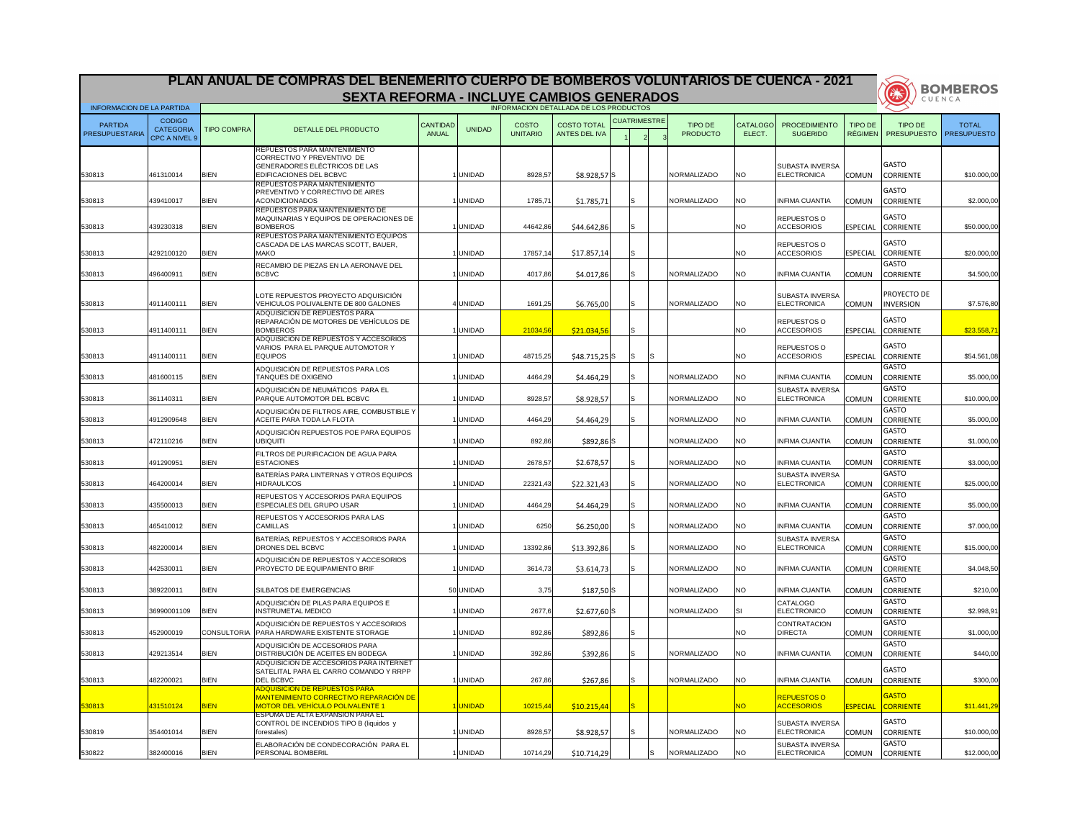|                                  |                                                           |                    | PLAN ANUAL DE COMPRAS DEL BENEMERITO CUERPO DE BOMBEROS VOLUNTARIOS DE CUENCA - 2021                       |                          |               |                                        |                                            |                     |                            |                           |                                              |                           |                                                  | <b>BOMBEROS</b>                    |
|----------------------------------|-----------------------------------------------------------|--------------------|------------------------------------------------------------------------------------------------------------|--------------------------|---------------|----------------------------------------|--------------------------------------------|---------------------|----------------------------|---------------------------|----------------------------------------------|---------------------------|--------------------------------------------------|------------------------------------|
|                                  |                                                           |                    | <b>SEXTA REFORMA - INCLUYE CAMBIOS GENERADOS</b>                                                           |                          |               |                                        |                                            |                     |                            |                           |                                              |                           | NA                                               | CUENCA                             |
| <b>INFORMACION DE LA PARTIDA</b> |                                                           |                    |                                                                                                            |                          |               | INFORMACION DETALLADA DE LOS PRODUCTOS |                                            |                     |                            |                           |                                              |                           |                                                  |                                    |
| <b>PARTIDA</b><br>PRESUPUESTARIA | <b>CODIGO</b><br><b>CATEGORIA</b><br><b>CPC A NIVEL 9</b> | <b>TIPO COMPRA</b> | DETALLE DEL PRODUCTO                                                                                       | <b>CANTIDAD</b><br>ANUAL | <b>UNIDAD</b> | <b>COSTO</b><br><b>UNITARIO</b>        | <b>COSTO TOTAL</b><br><b>ANTES DEL IVA</b> | <b>CUATRIMESTRE</b> | TIPO DE<br><b>PRODUCTO</b> | <b>CATALOGO</b><br>ELECT. | <b>PROCEDIMIENTO</b><br><b>SUGERIDO</b>      | TIPO DE<br><b>RÉGIMEN</b> | TIPO DE<br><b>PRESUPUESTO</b>                    | <b>TOTAL</b><br><b>PRESUPUESTO</b> |
|                                  |                                                           |                    | <b>REPUESTOS PARA MANTENIMIENTO</b><br>CORRECTIVO Y PREVENTIVO DE<br>GENERADORES ELÉCTRICOS DE LAS         |                          |               |                                        |                                            |                     |                            |                           |                                              |                           | <b>GASTO</b>                                     |                                    |
| 530813                           | 461310014                                                 | <b>BIEN</b>        | <b>EDIFICACIONES DEL BCBVC</b>                                                                             |                          | <b>UNIDAD</b> | 8928,57                                | $$8.928,57$ S                              |                     | NORMALIZADO                | NO.                       | <b>SUBASTA INVERSA</b><br><b>ELECTRONICA</b> | <b>COMUN</b>              | <b>CORRIENTE</b>                                 | \$10.000,00                        |
| 530813                           | 439410017                                                 | <b>BIEN</b>        | REPUESTOS PARA MANTENIMIENTO<br><b>PREVENTIVO Y CORRECTIVO DE AIRES</b><br><b>ACONDICIONADOS</b>           |                          | <b>UNIDAD</b> | 1785,71                                | \$1.785,71                                 |                     | NORMALIZADO                | <b>NO</b>                 | <b>INFIMA CUANTIA</b>                        | <b>COMUN</b>              | <b>GASTO</b><br><b>CORRIENTE</b>                 | \$2.000,00                         |
| 530813                           | 439230318                                                 | <b>BIEN</b>        | REPUESTOS PARA MANTENIMIENTO DE<br>IMAQUINARIAS Y EQUIPOS DE OPERACIONES DE<br><b>BOMBEROS</b>             |                          | <b>UNIDAD</b> | 44642,86                               | \$44.642,86                                |                     |                            | NO.                       | REPUESTOS O<br><b>ACCESORIOS</b>             | <b>ESPECIAL</b>           | <b>GASTO</b><br><b>CORRIENTE</b>                 | \$50.000,00                        |
| 530813                           | 4292100120                                                | <b>BIEN</b>        | REPUESTOS PARA MANTENIMIENTO EQUIPOS<br>CASCADA DE LAS MARCAS SCOTT, BAUER,<br><b>MAKO</b>                 |                          | <b>UNIDAD</b> | 17857,14                               | \$17.857,14                                |                     |                            | NO.                       | REPUESTOS O<br><b>ACCESORIOS</b>             | <b>ESPECIAL</b>           | <b>GASTO</b><br><b>CORRIENTE</b>                 | \$20.000,00                        |
| 530813                           | 496400911                                                 | <b>BIEN</b>        | RECAMBIO DE PIEZAS EN LA AERONAVE DEL<br><b>BCBVC</b>                                                      |                          | <b>UNIDAD</b> | 4017,86                                | \$4.017,86                                 |                     | NORMALIZADO                | <b>NO</b>                 | <b>INFIMA CUANTIA</b>                        | <b>COMUN</b>              | GASTO<br><b>CORRIENTE</b>                        | \$4.500,00                         |
| 530813                           | 4911400111                                                | <b>BIEN</b>        | LOTE REPUESTOS PROYECTO ADQUISICIÓN<br>VEHICULOS POLIVALENTE DE 800 GALONES                                |                          | 4 UNIDAD      | 1691,25                                | \$6.765,00                                 |                     | NORMALIZADO                | NO.                       | <b>SUBASTA INVERSA</b><br><b>ELECTRONICA</b> | <b>COMUN</b>              | <b>PROYECTO DE</b><br><b>INVERSION</b>           | \$7.576,80                         |
| 530813                           | 4911400111                                                | <b>BIEN</b>        | ADQUISICION DE REPUESTOS PARA<br>REPARACIÓN DE MOTORES DE VEHÍCULOS DE<br><b>BOMBEROS</b>                  |                          | <b>UNIDAD</b> | 21034,56                               | \$21.034,56                                |                     |                            | NO.                       | REPUESTOS O<br><b>ACCESORIOS</b>             | <b>ESPECIAL</b>           | <b>GASTO</b><br><b>CORRIENTE</b>                 | \$23.558,71                        |
| 530813                           | 4911400111                                                | <b>BIEN</b>        | ADQUISICION DE REPUESTOS Y ACCESORIOS<br>VARIOS PARA EL PARQUE AUTOMOTOR Y<br><b>EQUIPOS</b>               |                          | <b>UNIDAD</b> | 48715,25                               | \$48.715,25 S                              | ls                  |                            | <b>NO</b>                 | <b>REPUESTOS O</b><br><b>ACCESORIOS</b>      | <b>ESPECIAL</b>           | <b>GASTO</b><br><b>CORRIENTE</b>                 | \$54.561,08                        |
| 530813                           | 481600115                                                 | <b>BIEN</b>        | ADQUISICIÓN DE REPUESTOS PARA LOS<br><b>TANQUES DE OXIGENO</b>                                             |                          | <b>UNIDAD</b> | 4464,29                                | \$4.464,29                                 |                     | NORMALIZADO                | <b>NO</b>                 | <b>INFIMA CUANTIA</b>                        | <b>COMUN</b>              | <b>GASTO</b><br><b>CORRIENTE</b>                 | \$5.000,00                         |
| 530813                           | 361140311                                                 | <b>BIEN</b>        | ADQUISICIÓN DE NEUMÁTICOS PARA EL<br>PARQUE AUTOMOTOR DEL BCBVC                                            |                          | <b>UNIDAD</b> | 8928,57                                | \$8.928,57                                 |                     | NORMALIZADO                |                           | <b>SUBASTA INVERSA</b><br><b>ELECTRONICA</b> | COMUN                     | <b>GASTO</b><br><b>CORRIENTE</b>                 | \$10.000,00                        |
| 530813                           | 4912909648                                                | <b>BIEN</b>        | ADQUISICIÓN DE FILTROS AIRE, COMBUSTIBLE Y<br><b>ACEITE PARA TODA LA FLOTA</b>                             |                          | <b>UNIDAD</b> | 4464,29                                | \$4.464,29                                 |                     | NORMALIZADO                | <b>NO</b>                 | <b>INFIMA CUANTIA</b>                        | <b>COMUN</b>              | <b>GASTO</b><br><b>CORRIENTE</b>                 | \$5.000,00                         |
| 530813                           | 472110216                                                 | <b>BIEN</b>        | ADQUISICIÓN REPUESTOS POE PARA EQUIPOS<br>UBIQUITI                                                         |                          | <b>UNIDAD</b> | 892,86                                 | $$892,86$ S                                |                     | NORMALIZADO                | <b>NO</b>                 | <b>INFIMA CUANTIA</b>                        | COMUN                     | <b>GASTO</b><br><b>CORRIENTE</b>                 | \$1.000,00                         |
| 530813                           | 491290951                                                 | <b>BIEN</b>        | <b>FILTROS DE PURIFICACION DE AGUA PARA</b><br><b>ESTACIONES</b>                                           |                          | <b>UNIDAD</b> | 2678,57                                | \$2.678,57                                 |                     | NORMALIZADO                | <b>NO</b>                 | <b>INFIMA CUANTIA</b>                        | <b>COMUN</b>              | <b>GASTO</b><br><b>CORRIENTE</b><br><b>GASTO</b> | \$3.000,00                         |
| 530813                           | 464200014                                                 | <b>BIEN</b>        | BATERÍAS PARA LINTERNAS Y OTROS EQUIPOS<br><b>HIDRAULICOS</b><br>REPUESTOS Y ACCESORIOS PARA EQUIPOS       |                          | <b>UNIDAD</b> | 22321,43                               | \$22.321,43                                |                     | <b>NORMALIZADO</b>         | <b>NO</b>                 | <b>SUBASTA INVERSA</b><br><b>ELECTRONICA</b> | <b>COMUN</b>              | <b>CORRIENTE</b><br><b>GASTO</b>                 | \$25.000,00                        |
| 530813                           | 435500013                                                 | <b>BIEN</b>        | <b>ESPECIALES DEL GRUPO USAR</b>                                                                           |                          | <b>UNIDAD</b> | 4464,29                                | \$4.464,29                                 |                     | NORMALIZADO                | <b>NO</b>                 | <b>INFIMA CUANTIA</b>                        | <b>COMUN</b>              | <b>CORRIENTE</b>                                 | \$5.000,00                         |
| 530813                           | 465410012                                                 | <b>BIEN</b>        | REPUESTOS Y ACCESORIOS PARA LAS<br><b>CAMILLAS</b>                                                         |                          | <b>UNIDAD</b> | 6250                                   | \$6.250,00                                 | 'S                  | NORMALIZADO                | <b>NO</b>                 | <b>INFIMA CUANTIA</b>                        | <b>COMUN</b>              | <b>GASTO</b><br><b>CORRIENTE</b>                 | \$7.000,00                         |
| 530813                           | 482200014                                                 | <b>BIEN</b>        | BATERÍAS, REPUESTOS Y ACCESORIOS PARA<br>DRONES DEL BCBVC                                                  |                          | <b>UNIDAD</b> | 13392,86                               | \$13.392,86                                |                     | NORMALIZADO                | NO.                       | <b>SUBASTA INVERSA</b><br><b>ELECTRONICA</b> | <b>COMUN</b>              | <b>GASTO</b><br><b>CORRIENTE</b><br><b>GASTO</b> | \$15.000,00                        |
| 530813                           | 442530011                                                 | <b>BIEN</b>        | ADQUISICIÓN DE REPUESTOS Y ACCESORIOS<br><b>PROYECTO DE EQUIPAMIENTO BRIF</b>                              |                          | <b>UNIDAD</b> | 3614,73                                | \$3.614,73                                 |                     | NORMALIZADO                | <b>NO</b>                 | <b>INFIMA CUANTIA</b>                        | <b>COMUN</b>              | <b>CORRIENTE</b><br><b>GASTO</b>                 | \$4.048,50                         |
| 530813                           | 389220011                                                 | <b>BIEN</b>        | <b>SILBATOS DE EMERGENCIAS</b>                                                                             |                          | 50 UNIDAD     | 3,75                                   | $$187,50$ S                                |                     | <b>NORMALIZADO</b>         | <b>NO</b>                 | <b>INFIMA CUANTIA</b>                        | <b>COMUN</b>              | <b>CORRIENTE</b>                                 | \$210,00                           |
| 530813                           | 36990001109                                               | <b>BIEN</b>        | ADQUISICIÓN DE PILAS PARA EQUIPOS E<br><b>INSTRUMETAL MEDICO</b>                                           |                          | <b>UNIDAD</b> | 2677,6                                 | $$2.677,60$ S                              |                     | NORMALIZADO                |                           | <b>CATALOGO</b><br><b>ELECTRONICO</b>        | <b>COMUN</b>              | <b>GASTO</b><br><b>CORRIENTE</b><br><b>GASTO</b> | \$2.998,91                         |
| 530813                           | 452900019                                                 | CONSULTORIA        | ADQUISICIÓN DE REPUESTOS Y ACCESORIOS<br>PARA HARDWARE EXISTENTE STORAGE<br>ADQUISICIÓN DE ACCESORIOS PARA |                          | <b>UNIDAD</b> | 892,86                                 | \$892,86                                   |                     |                            | NO.                       | <b>CONTRATACION</b><br><b>DIRECTA</b>        | <b>COMUN</b>              | <b>CORRIENTE</b><br><b>GASTO</b>                 | \$1.000,00                         |
| 530813                           | 429213514                                                 | <b>BIEN</b>        | <b>DISTRIBUCIÓN DE ACEITES EN BODEGA</b><br>IADQUISICION DE ACCESORIOS PARA INTERNET                       |                          | <b>UNIDAD</b> | 392,86                                 | \$392,86                                   |                     | NORMALIZADO                | <b>NO</b>                 | <b>INFIMA CUANTIA</b>                        | <b>COMUN</b>              | <b>CORRIENTE</b>                                 | \$440,00                           |
| 530813                           | 482200021                                                 | <b>BIEN</b>        | SATELITAL PARA EL CARRO COMANDO Y RRPP<br><b>DEL BCBVC</b><br><b>ADQUISICION DE REPUESTOS PARA</b>         |                          | <b>UNIDAD</b> | 267,86                                 | \$267,86                                   |                     | NORMALIZADO                | <b>NO</b>                 | <b>INFIMA CUANTIA</b>                        | <b>COMUN</b>              | <b>GASTO</b><br><b>CORRIENTE</b>                 | \$300,00                           |
| 530813                           | 431510124                                                 | <b>BIEN</b>        | <b>MANTENIMIENTO CORRECTIVO REPARACIÓN DE</b><br><u>MOTOR DEL VEHÍCULO POLIVALENTE 1</u>                   |                          | <b>UNIDAD</b> | 10215,44                               | \$10.215,44                                | <sub>S</sub>        |                            | NO.                       | <b>REPUESTOS O</b><br><b>ACCESORIOS</b>      | <b>ESPECIAL</b>           | <b>GASTO</b><br><b>CORRIENTE</b>                 | \$11.441,29                        |
| 530819                           | 354401014                                                 | <b>BIEN</b>        | <b>IESPUMA DE ALTA EXPANSION PARA EL</b><br>CONTROL DE INCENDIOS TIPO B (liquidos y<br>forestales)         |                          | UNIDAD        | 8928,57                                | \$8.928,57                                 |                     | NORMALIZADO                | <b>NO</b>                 | <b>SUBASTA INVERSA</b><br>ELECTRONICA        |                           | <b>GASTO</b><br>COMUN CORRIENTE                  | \$10.000,00                        |
| 530822                           | 382400016                                                 | <b>BIEN</b>        | ELABORACIÓN DE CONDECORACIÓN PARA EL<br><b>PERSONAL BOMBERIL</b>                                           |                          | <b>UNIDAD</b> | 10714,29                               | \$10.714,29                                | ls                  | <b>NORMALIZADO</b>         | <b>NO</b>                 | <b>SUBASTA INVERSA</b><br><b>ELECTRONICA</b> | <b>COMUN</b>              | <b>GASTO</b><br><b>CORRIENTE</b>                 | \$12.000,00                        |

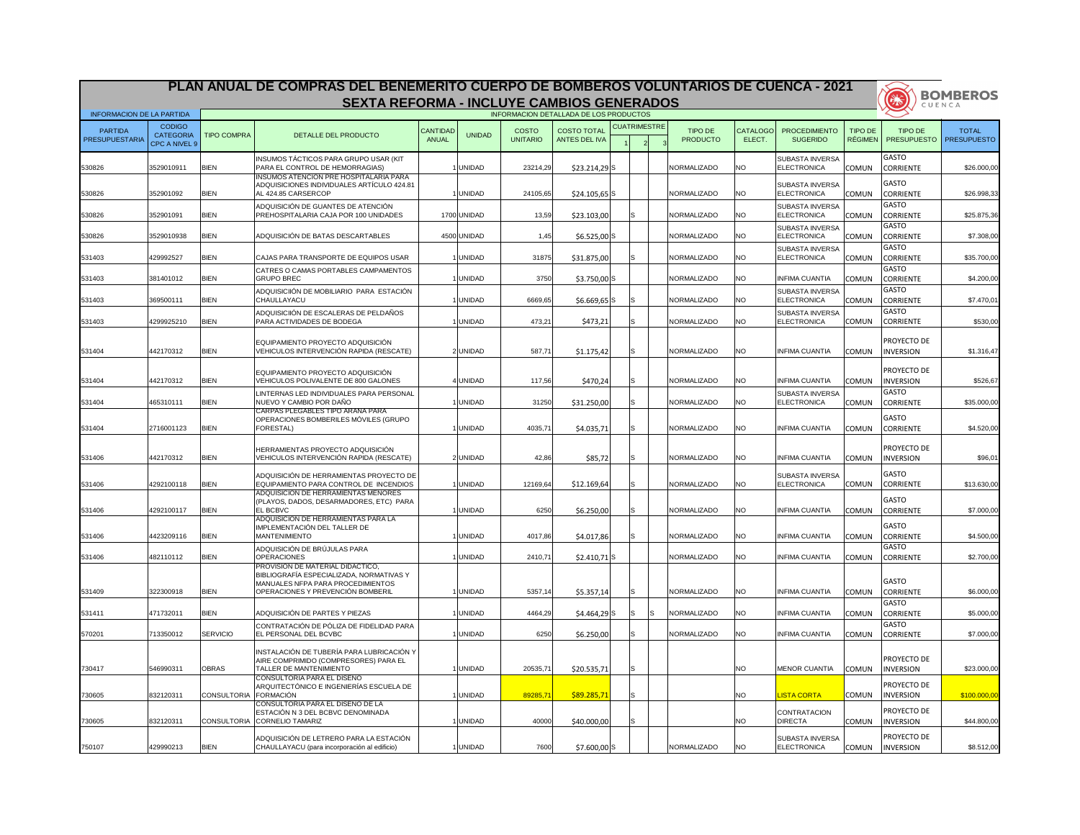|                                  |                                                           |                    | PLAN ANUAL DE COMPRAS DEL BENEMERITO CUERPO DE BOMBEROS VOLUNTARIOS DE CUENCA - 2021                              |                          |               |                                 |                                                                                      |                     |                            |                           |                                         |                                  | 美                                                | <b>BOMBEROS</b>                    |
|----------------------------------|-----------------------------------------------------------|--------------------|-------------------------------------------------------------------------------------------------------------------|--------------------------|---------------|---------------------------------|--------------------------------------------------------------------------------------|---------------------|----------------------------|---------------------------|-----------------------------------------|----------------------------------|--------------------------------------------------|------------------------------------|
| <b>INFORMACION DE LA PARTIDA</b> |                                                           |                    | <b>SEXTA REFORMA - INCLUYE CAMBIOS GENERADOS</b>                                                                  |                          |               |                                 |                                                                                      |                     |                            |                           |                                         |                                  |                                                  | CUENCA                             |
| PARTIDA<br><b>PRESUPUESTARIA</b> | <b>CODIGO</b><br><b>CATEGORIA</b><br><b>CPC A NIVEL 9</b> | <b>TIPO COMPRA</b> | DETALLE DEL PRODUCTO                                                                                              | <b>CANTIDAD</b><br>ANUAL | <b>UNIDAD</b> | <b>COSTO</b><br><b>UNITARIO</b> | INFORMACION DETALLADA DE LOS PRODUCTOS<br><b>COSTO TOTAL</b><br><b>ANTES DEL IVA</b> | <b>CUATRIMESTRE</b> | TIPO DE<br><b>PRODUCTO</b> | <b>CATALOGO</b><br>ELECT. | <b>PROCEDIMIENTO</b><br><b>SUGERIDO</b> | <b>TIPO DE</b><br><b>RÉGIMEN</b> | TIPO DE<br><b>PRESUPUESTO</b>                    | <b>TOTAL</b><br><b>PRESUPUESTO</b> |
|                                  |                                                           |                    | INSUMOS TÁCTICOS PARA GRUPO USAR (KIT                                                                             |                          |               |                                 |                                                                                      |                     |                            |                           | <b>SUBASTA INVERSA</b>                  |                                  | <b>GASTO</b>                                     |                                    |
| 530826                           | 3529010911                                                | <b>BIEN</b>        | PARA EL CONTROL DE HEMORRAGIAS)<br><b>INSUMOS ATENCION PRE HOSPITALARIA PARA</b>                                  |                          | <b>UNIDAD</b> | 23214,29                        | $$23.214,29$ S                                                                       |                     | <b>NORMALIZADO</b>         | NO.                       | ELECTRONICA                             | <b>COMUN</b>                     | <b>CORRIENTE</b>                                 | \$26.000,00                        |
| 530826                           | 352901092                                                 | <b>BIEN</b>        | ADQUISICIONES INDIVIDUALES ARTÍCULO 424.81<br>AL 424.85 CARSERCOP                                                 |                          | <b>UNIDAD</b> | 24105,65                        | $$24.105,65$ S                                                                       |                     | NORMALIZADO                | NO.                       | <b>ISUBASTA INVERSA</b><br>ELECTRONICA  | <b>COMUN</b>                     | <b>GASTO</b><br><b>CORRIENTE</b>                 | \$26.998,33                        |
| 530826                           | 352901091                                                 | <b>BIEN</b>        | ADQUISICIÓN DE GUANTES DE ATENCIÓN<br>PREHOSPITALARIA CAJA POR 100 UNIDADES                                       |                          | 1700 UNIDAD   | 13,59                           | \$23.103,00                                                                          |                     | NORMALIZADO                | INO.                      | <b>SUBASTA INVERSA</b><br>ELECTRONICA   | <b>COMUN</b>                     | <b>GASTO</b><br><b>CORRIENTE</b>                 | \$25.875,36                        |
| 530826                           | 3529010938                                                | <b>BIEN</b>        | ADQUISICIÓN DE BATAS DESCARTABLES                                                                                 |                          | 4500 UNIDAD   | 1,45                            | $$6.525,00$ S                                                                        |                     | <b>NORMALIZADO</b>         | <b>NO</b>                 | <b>SUBASTA INVERSA</b><br>ELECTRONICA   | <b>COMUN</b>                     | <b>GASTO</b><br><b>CORRIENTE</b>                 | \$7.308,00                         |
| 531403                           | 429992527                                                 | <b>BIEN</b>        | ICAJAS PARA TRANSPORTE DE EQUIPOS USAR                                                                            |                          | <b>UNIDAD</b> | 31875                           | \$31.875,00                                                                          |                     | NORMALIZADO                | INO.                      | <b>SUBASTA INVERSA</b><br>ELECTRONICA   | <b>COMUN</b>                     | <b>GASTO</b><br><b>CORRIENTE</b>                 | \$35.700,00                        |
| 531403                           | 381401012                                                 | <b>BIEN</b>        | CATRES O CAMAS PORTABLES CAMPAMENTOS<br><b>GRUPO BREC</b>                                                         |                          | <b>UNIDAD</b> | 3750                            | $$3.750,00$ S                                                                        |                     | NORMALIZADO                | <b>NO</b>                 | <b>INFIMA CUANTIA</b>                   | <b>COMUN</b>                     | <b>GASTO</b><br><b>CORRIENTE</b>                 | \$4.200,00                         |
| 531403                           | 369500111                                                 | <b>BIEN</b>        | ADQUISICIIÓN DE MOBILIARIO PARA ESTACIÓN<br>CHAULLAYACU                                                           |                          | <b>UNIDAD</b> | 6669,65                         | $$6.669,65$ S                                                                        | S.                  | NORMALIZADO                | NO.                       | <b>SUBASTA INVERSA</b><br>ELECTRONICA   | <b>COMUN</b>                     | <b>GASTO</b><br><b>CORRIENTE</b>                 | \$7.470,01                         |
| 531403                           | 4299925210                                                | <b>BIEN</b>        | ADQUISICIIÓN DE ESCALERAS DE PELDAÑOS<br>PARA ACTIVIDADES DE BODEGA                                               |                          | <b>UNIDAD</b> | 473,21                          | \$473,21                                                                             |                     | NORMALIZADO                | NO.                       | <b>SUBASTA INVERSA</b><br>ELECTRONICA   | <b>COMUN</b>                     | <b>GASTO</b><br><b>CORRIENTE</b>                 | \$530,00                           |
| 531404                           | 442170312                                                 | <b>BIEN</b>        | EQUIPAMIENTO PROYECTO ADQUISICIÓN<br>VEHICULOS INTERVENCIÓN RAPIDA (RESCATE)                                      |                          | 2 UNIDAD      | 587,7                           | \$1.175,42                                                                           |                     | NORMALIZADO                | <b>NO</b>                 | <b>INFIMA CUANTIA</b>                   | <b>COMUN</b>                     | PROYECTO DE<br><b>INVERSION</b>                  | \$1.316,47                         |
| 531404                           | 442170312                                                 | <b>BIEN</b>        | EQUIPAMIENTO PROYECTO ADQUISICIÓN<br>VEHICULOS POLIVALENTE DE 800 GALONES                                         |                          | <b>UNIDAD</b> | 117,56                          | \$470,24                                                                             | S.                  | NORMALIZADO                | NO.                       | <b>INFIMA CUANTIA</b>                   | <b>COMUN</b>                     | PROYECTO DE<br><b>INVERSION</b>                  | \$526,67                           |
| 531404                           | 465310111                                                 | <b>BIEN</b>        | LINTERNAS LED INDIVIDUALES PARA PERSONAL<br>NUEVO Y CAMBIO POR DAÑO                                               |                          | <b>UNIDAD</b> | 31250                           | \$31.250,00                                                                          |                     | NORMALIZADO                | NO.                       | <b>SUBASTA INVERSA</b><br>ELECTRONICA   | <b>COMUN</b>                     | <b>GASTO</b><br><b>CORRIENTE</b>                 | \$35.000,00                        |
| 531404                           | 2716001123                                                | <b>BIEN</b>        | CARPAS PLEGABLES TIPO ARANA PARA<br>OPERACIONES BOMBERILES MÓVILES (GRUPO<br>FORESTAL)                            |                          | <b>UNIDAD</b> | 4035,71                         | \$4.035,71                                                                           | S.                  | NORMALIZADO                | <b>NO</b>                 | <b>INFIMA CUANTIA</b>                   | <b>COMUN</b>                     | <b>GASTO</b><br><b>CORRIENTE</b>                 | \$4.520,00                         |
| 531406                           | 442170312                                                 | <b>BIEN</b>        | HERRAMIENTAS PROYECTO ADQUISICIÓN<br>VEHICULOS INTERVENCIÓN RAPIDA (RESCATE)                                      |                          | 2 UNIDAD      | 42,86                           | \$85,72                                                                              |                     | NORMALIZADO                | <b>NO</b>                 | <b>INFIMA CUANTIA</b>                   | <b>COMUN</b>                     | PROYECTO DE<br><b>INVERSION</b>                  | \$96,01                            |
| 531406                           | 4292100118                                                | <b>BIEN</b>        | ADQUISICIÓN DE HERRAMIENTAS PROYECTO DE<br>EQUIPAMIENTO PARA CONTROL DE INCENDIOS                                 |                          | <b>UNIDAD</b> | 12169,64                        | \$12.169,64                                                                          |                     | NORMALIZADO                | <b>NO</b>                 | <b>SUBASTA INVERSA</b><br>ELECTRONICA   | <b>COMUN</b>                     | <b>GASTO</b><br><b>CORRIENTE</b>                 | \$13.630,00                        |
| 531406                           | 4292100117                                                | <b>BIEN</b>        | ADQUISICION DE HERRAMIENTAS MENORES<br>(PLAYOS, DADOS, DESARMADORES, ETC) PARA<br><b>EL BCBVC</b>                 |                          | <b>UNIDAD</b> | 6250                            | \$6.250,00                                                                           | S.                  | NORMALIZADO                | <b>NO</b>                 | <b>INFIMA CUANTIA</b>                   | <b>COMUN</b>                     | <b>GASTO</b><br><b>CORRIENTE</b>                 | \$7.000,00                         |
| 531406                           | 4423209116                                                | <b>BIEN</b>        | ADQUISICION DE HERRAMIENTAS PARA LA<br>IMPLEMENTACIÓN DEL TALLER DE<br><b>MANTENIMIENTO</b>                       |                          | <b>UNIDAD</b> | 4017,86                         | \$4.017,86                                                                           |                     | NORMALIZADO                | <b>NO</b>                 | <b>INFIMA CUANTIA</b>                   | <b>COMUN</b>                     | <b>GASTO</b><br><b>CORRIENTE</b>                 | \$4.500,00                         |
| 531406                           | 482110112                                                 | <b>BIEN</b>        | ADQUISICIÓN DE BRÚJULAS PARA<br><b>OPERACIONES</b>                                                                |                          | <b>UNIDAD</b> | 2410,7'                         | $$2.410,71$ S                                                                        |                     | NORMALIZADO                | <b>NO</b>                 | <b>INFIMA CUANTIA</b>                   | <b>COMUN</b>                     | <b>GASTO</b><br><b>CORRIENTE</b>                 | \$2.700,00                         |
|                                  |                                                           |                    | PROVISION DE MATERIAL DIDACTICO,<br>BIBLIOGRAFÍA ESPECIALIZADA, NORMATIVAS Y<br>MANUALES NFPA PARA PROCEDIMIENTOS |                          |               |                                 |                                                                                      |                     |                            |                           |                                         |                                  | <b>GASTO</b>                                     |                                    |
| 531409                           | 322300918                                                 | <b>BIEN</b>        | OPERACIONES Y PREVENCIÓN BOMBERIL                                                                                 |                          | <b>UNIDAD</b> | 5357,14                         | \$5.357,14                                                                           |                     | NORMALIZADO                | <b>NO</b>                 | <b>INFIMA CUANTIA</b>                   | <b>COMUN</b>                     | <b>CORRIENTE</b>                                 | \$6.000,00                         |
| 531411                           | 471732011                                                 | <b>BIEN</b>        | ADQUISICIÓN DE PARTES Y PIEZAS                                                                                    |                          | <b>UNIDAD</b> | 4464,29                         | $$4.464,29$ S                                                                        | IS                  | NORMALIZADO                | <b>NO</b>                 | <b>INFIMA CUANTIA</b>                   | <b>COMUN</b>                     | <b>GASTO</b><br><b>CORRIENTE</b><br><b>GASTO</b> | \$5.000,00                         |
| 570201                           | 713350012                                                 | SERVICIO           | CONTRATACIÓN DE PÓLIZA DE FIDELIDAD PARA<br>EL PERSONAL DEL BCVBC                                                 |                          | <b>UNIDAD</b> | 6250                            | \$6.250,00                                                                           |                     | NORMALIZADO                | <b>NO</b>                 | <b>INFIMA CUANTIA</b>                   | <b>COMUN</b>                     | <b>CORRIENTE</b>                                 | \$7.000,00                         |
| 730417                           | 546990311                                                 | <b>OBRAS</b>       | INSTALACIÓN DE TUBERÍA PARA LUBRICACIÓN Y<br>AIRE COMPRIMIDO (COMPRESORES) PARA EL<br>TALLER DE MANTENIMIENTO     |                          | <b>UNIDAD</b> | 20535,71                        | \$20.535,71                                                                          |                     |                            | <b>NO</b>                 | MENOR CUANTIA                           | <b>COMUN</b>                     | PROYECTO DE<br><b>INVERSION</b>                  | \$23.000,00                        |
| 730605                           | 832120311                                                 | <b>CONSULTORIA</b> | <b>CONSULTORIA PARA EL DISENO</b><br>ARQUITECTÓNICO E INGENIERÍAS ESCUELA DE<br><b>FORMACIÓN</b>                  |                          | <b>UNIDAD</b> | 89285,7                         | \$89.285,71                                                                          | S                   |                            | <b>NO</b>                 | <b>LISTA CORTA</b>                      | <b>COMUN</b>                     | PROYECTO DE<br><b>INVERSION</b>                  | \$100.000,00                       |
| 730605                           | 832120311                                                 | <b>CONSULTORIA</b> | CONSULTORIA PARA EL DISENO DE LA<br>ESTACIÓN N 3 DEL BCBVC DENOMINADA<br><b>CORNELIO TAMARIZ</b>                  |                          | <b>UNIDAD</b> | 40000                           | \$40.000,00                                                                          | S.                  |                            | <b>NO</b>                 | <b>CONTRATACION</b><br><b>DIRECTA</b>   | <b>COMUN</b>                     | PROYECTO DE<br><b>INVERSION</b>                  | \$44.800,00                        |
| 750107                           | 429990213                                                 | <b>BIEN</b>        | ADQUISICIÓN DE LETRERO PARA LA ESTACIÓN<br>CHAULLAYACU (para incorporación al edificio)                           |                          | <b>UNIDAD</b> | 7600                            | $$7.600,00$ S                                                                        |                     | NORMALIZADO                | <b>NO</b>                 | SUBASTA INVERSA<br>ELECTRONICA          | <b>COMUN</b>                     | <b>PROYECTO DE</b><br><b>INVERSION</b>           | \$8.512,00                         |

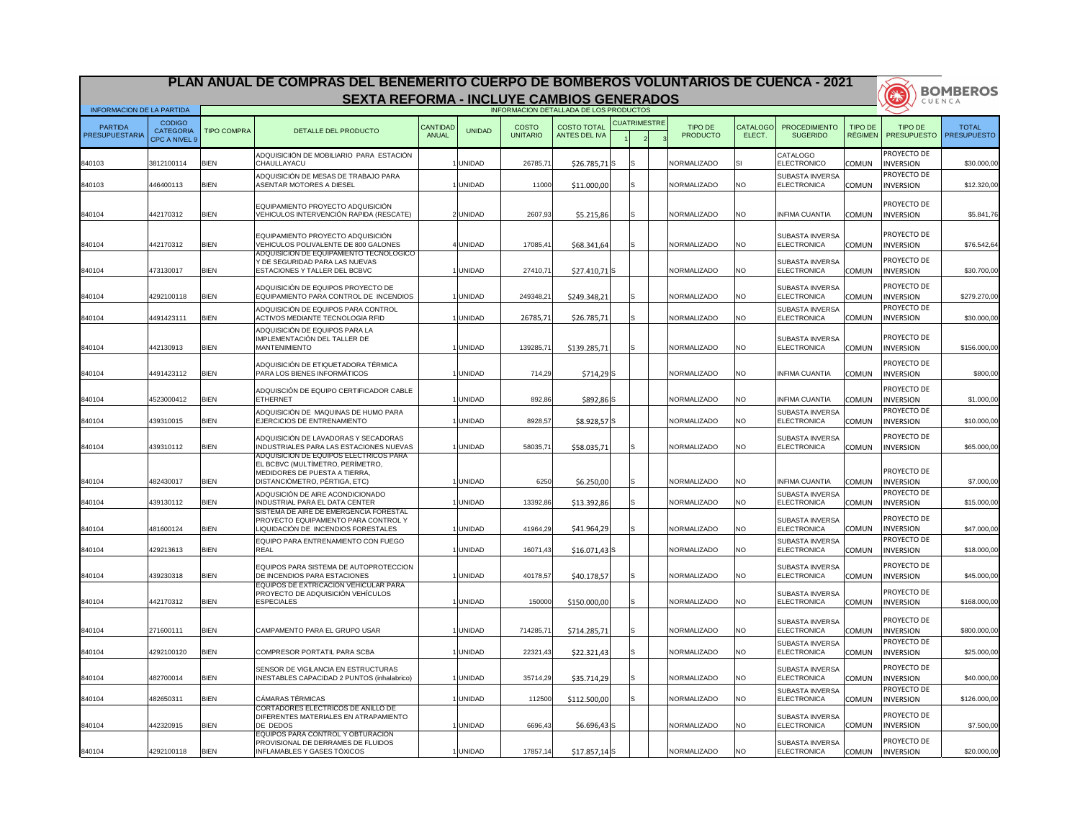|                                  |                                                           |                    | PLAN ANUAL DE COMPRAS DEL BENEMERITO CUERPO DE BOMBEROS VOLUNTARIOS DE CUENCA - 2021                                                         |                          |               |                                 |                                        |                     |                                   |                           |                                              |                                  |                                        | <b>BOMBEROS</b>                    |
|----------------------------------|-----------------------------------------------------------|--------------------|----------------------------------------------------------------------------------------------------------------------------------------------|--------------------------|---------------|---------------------------------|----------------------------------------|---------------------|-----------------------------------|---------------------------|----------------------------------------------|----------------------------------|----------------------------------------|------------------------------------|
|                                  |                                                           |                    | <b>SEXTA REFORMA - INCLUYE CAMBIOS GENERADOS</b>                                                                                             |                          |               |                                 |                                        |                     |                                   |                           |                                              |                                  | 34                                     | CUENCA                             |
| <b>INFORMACION DE LA PARTIDA</b> |                                                           |                    |                                                                                                                                              |                          |               |                                 | INFORMACION DETALLADA DE LOS PRODUCTOS |                     |                                   |                           |                                              |                                  |                                        |                                    |
| <b>PARTIDA</b><br>PRESUPUESTARIA | <b>CODIGO</b><br><b>CATEGORIA</b><br><b>CPC A NIVEL 9</b> | <b>TIPO COMPRA</b> | DETALLE DEL PRODUCTO                                                                                                                         | <b>CANTIDAD</b><br>ANUAL | <b>UNIDAD</b> | <b>COSTO</b><br><b>UNITARIO</b> | <b>COSTO TOTAL</b><br>ANTES DEL IVA    | <b>CUATRIMESTRE</b> | <b>TIPO DE</b><br><b>PRODUCTO</b> | <b>CATALOGO</b><br>ELECT. | <b>PROCEDIMIENTO</b><br><b>SUGERIDO</b>      | <b>TIPO DE</b><br><b>RÉGIMEN</b> | TIPO DE<br><b>PRESUPUESTO</b>          | <b>TOTAL</b><br><b>PRESUPUESTO</b> |
| 840103                           | 3812100114                                                | <b>BIEN</b>        | ADQUISICIIÓN DE MOBILIARIO PARA ESTACIÓN<br>CHAULLAYACU                                                                                      |                          | <b>UNIDAD</b> | 26785,71                        | $$26.785,71$ S                         |                     | NORMALIZADO                       |                           | CATALOGO<br><b>ELECTRONICO</b>               | <b>COMUN</b>                     | <b>PROYECTO DE</b><br><b>INVERSION</b> | \$30.000,00                        |
| 840103                           | 446400113                                                 | <b>BIEN</b>        | ADQUISICIÓN DE MESAS DE TRABAJO PARA<br><b>ASENTAR MOTORES A DIESEL</b>                                                                      |                          | <b>UNIDAD</b> | 11000                           | \$11.000,00                            |                     | NORMALIZADO                       | NO.                       | <b>SUBASTA INVERSA</b><br>ELECTRONICA        | <b>COMUN</b>                     | PROYECTO DE<br><b>INVERSION</b>        | \$12.320,00                        |
| 840104                           | 442170312                                                 | <b>BIEN</b>        | EQUIPAMIENTO PROYECTO ADQUISICIÓN<br>VEHICULOS INTERVENCIÓN RAPIDA (RESCATE)                                                                 |                          | 2 UNIDAD      | 2607,93                         | \$5.215,86                             |                     | NORMALIZADO                       | <b>NO</b>                 | <b>INFIMA CUANTIA</b>                        | <b>COMUN</b>                     | PROYECTO DE<br><b>INVERSION</b>        | \$5.841,76                         |
| 840104                           | 442170312                                                 | <b>BIEN</b>        | EQUIPAMIENTO PROYECTO ADQUISICIÓN<br>VEHICULOS POLIVALENTE DE 800 GALONES                                                                    |                          | 4 UNIDAD      | 17085,41                        | \$68.341,64                            | IS.                 | NORMALIZADO                       | <b>NO</b>                 | <b>SUBASTA INVERSA</b><br>ELECTRONICA        | <b>COMUN</b>                     | PROYECTO DE<br><b>INVERSION</b>        | \$76.542,64                        |
| 840104                           | 473130017                                                 | <b>BIEN</b>        | ADQUISICION DE EQUIPAMIENTO TECNOLOGICO  <br>Y DE SEGURIDAD PARA LAS NUEVAS<br>ESTACIONES Y TALLER DEL BCBVC                                 |                          | <b>UNIDAD</b> | 27410,71                        | $$27.410,71$ <sup>S</sup>              |                     | <b>NORMALIZADO</b>                | NO.                       | <b>SUBASTA INVERSA</b><br><b>ELECTRONICA</b> | <b>COMUN</b>                     | PROYECTO DE<br><b>INVERSION</b>        | \$30.700,00                        |
| 840104                           | 4292100118                                                | <b>BIEN</b>        | ADQUISICIÓN DE EQUIPOS PROYECTO DE<br>EQUIPAMIENTO PARA CONTROL DE INCENDIOS                                                                 |                          | <b>UNIDAD</b> | 249348,2                        | \$249.348,21                           | IS.                 | NORMALIZADO                       | NO.                       | <b>SUBASTA INVERSA</b><br><b>ELECTRONICA</b> | <b>COMUN</b>                     | PROYECTO DE<br><b>INVERSION</b>        | \$279.270,00                       |
| 840104                           | 4491423111                                                | <b>BIEN</b>        | ADQUISICIÓN DE EQUIPOS PARA CONTROL<br><b>ACTIVOS MEDIANTE TECNOLOGIA RFID</b>                                                               |                          | <b>UNIDAD</b> | 26785,71                        | \$26.785,71                            |                     | NORMALIZADO                       | NO.                       | SUBASTA INVERSA<br><b>ELECTRONICA</b>        | <b>COMUN</b>                     | PROYECTO DE<br><b>INVERSION</b>        | \$30.000,00                        |
| 840104                           | 442130913                                                 | <b>BIEN</b>        | ADQUISICIÓN DE EQUIPOS PARA LA<br>IMPLEMENTACIÓN DEL TALLER DE<br>MANTENIMIENTO                                                              |                          | <b>UNIDAD</b> | 139285,7                        | \$139.285,71                           |                     | NORMALIZADO                       | <b>NO</b>                 | <b>SUBASTA INVERSA</b><br>ELECTRONICA        | <b>COMUN</b>                     | PROYECTO DE<br><b>INVERSION</b>        | \$156.000,00                       |
| 840104                           | 4491423112                                                | <b>BIEN</b>        | ADQUISICIÓN DE ETIQUETADORA TÉRMICA<br>PARA LOS BIENES INFORMÁTICOS                                                                          |                          | <b>UNIDAD</b> | 714,29                          | $$714,29$ S                            |                     | <b>NORMALIZADO</b>                | <b>NO</b>                 | <b>INFIMA CUANTIA</b>                        | <b>COMUN</b>                     | <b>PROYECTO DE</b><br><b>INVERSION</b> | \$800,00                           |
| 840104                           | 4523000412                                                | <b>BIEN</b>        | ADQUISCIÓN DE EQUIPO CERTIFICADOR CABLE<br><b>ETHERNET</b>                                                                                   |                          | <b>UNIDAD</b> | 892,86                          | \$892,86S                              |                     | NORMALIZADO                       | NO.                       | <b>INFIMA CUANTIA</b>                        | <b>COMUN</b>                     | PROYECTO DE<br><b>INVERSION</b>        | \$1.000,00                         |
| 840104                           | 439310015                                                 | <b>BIEN</b>        | ADQUISICIÓN DE MAQUINAS DE HUMO PARA<br>EJERCICIOS DE ENTRENAMIENTO                                                                          |                          | <b>UNIDAD</b> | 8928,57                         | $$8.928,57$ S                          |                     | NORMALIZADO                       | <b>NO</b>                 | <b>SUBASTA INVERSA</b><br><b>ELECTRONICA</b> | <b>COMUN</b>                     | <b>PROYECTO DE</b><br><b>INVERSION</b> | \$10.000,00                        |
| 840104                           | 439310112                                                 | <b>BIEN</b>        | ADQUISICIÓN DE LAVADORAS Y SECADORAS<br><b>INDUSTRIALES PARA LAS ESTACIONES NUEVAS</b>                                                       |                          | <b>UNIDAD</b> | 58035,7                         | \$58.035,71                            | IS.                 | NORMALIZADO                       | <b>NO</b>                 | <b>SUBASTA INVERSA</b><br><b>ELECTRONICA</b> | <b>COMUN</b>                     | PROYECTO DE<br><b>INVERSION</b>        | \$65.000,00                        |
| 840104                           | 482430017                                                 | <b>BIEN</b>        | ADQUISICION DE EQUIPOS ELECTRICOS PARA<br>EL BCBVC (MULTÍMETRO, PERÍMETRO,<br>MEDIDORES DE PUESTA A TIERRA,<br>DISTANCIÓMETRO, PÉRTIGA, ETC) |                          | <b>UNIDAD</b> | 6250                            | \$6.250,00                             | lS                  | NORMALIZADO                       | <b>NO</b>                 | <b>INFIMA CUANTIA</b>                        | <b>COMUN</b>                     | PROYECTO DE<br><b>INVERSION</b>        | \$7.000,00                         |
| 840104                           | 439130112                                                 | <b>BIEN</b>        | ADQUSICIÓN DE AIRE ACONDICIONADO<br><b>INDUSTRIAL PARA EL DATA CENTER</b>                                                                    |                          | <b>UNIDAD</b> | 13392,86                        | \$13.392,86                            |                     | NORMALIZADO                       | <b>NO</b>                 | SUBASTA INVERSA<br><b>ELECTRONICA</b>        | <b>COMUN</b>                     | PROYECTO DE<br><b>INVERSION</b>        | \$15.000,00                        |
| 840104                           | 481600124                                                 | <b>BIEN</b>        | SISTEMA DE AIRE DE EMERGENCIA FORESTAL<br>PROYECTO EQUIPAMIENTO PARA CONTROL Y<br>LIQUIDACIÓN DE INCENDIOS FORESTALES                        |                          | <b>UNIDAD</b> | 41964,29                        | \$41.964,29                            |                     | NORMALIZADO                       | <b>NO</b>                 | <b>SUBASTA INVERSA</b><br><b>ELECTRONICA</b> | <b>COMUN</b>                     | PROYECTO DE<br><b>INVERSION</b>        | \$47.000,00                        |
| 840104                           | 429213613                                                 | <b>BIEN</b>        | EQUIPO PARA ENTRENAMIENTO CON FUEGO<br><b>REAL</b>                                                                                           |                          | <b>UNIDAD</b> | 16071,43                        | $$16.071,43$ S                         |                     | NORMALIZADO                       | NO.                       | <b>SUBASTA INVERSA</b><br><b>ELECTRONICA</b> | <b>COMUN</b>                     | PROYECTO DE<br><b>INVERSION</b>        | \$18.000,00                        |
| 840104                           | 439230318                                                 | <b>BIEN</b>        | EQUIPOS PARA SISTEMA DE AUTOPROTECCION<br>DE INCENDIOS PARA ESTACIONES                                                                       |                          | <b>UNIDAD</b> | 40178,57                        | \$40.178,57                            | ISI                 | NORMALIZADO                       | <b>NO</b>                 | <b>SUBASTA INVERSA</b><br><b>ELECTRONICA</b> | <b>COMUN</b>                     | PROYECTO DE<br><b>INVERSION</b>        | \$45.000,00                        |
| 840104                           | 442170312                                                 | <b>BIEN</b>        | EQUIPOS DE EXTRICACION VEHICULAR PARA<br>PROYECTO DE ADQUISICIÓN VEHÍCULOS<br><b>ESPECIALES</b>                                              |                          | <b>UNIDAD</b> | 150000                          | \$150.000,00                           | IS.                 | NORMALIZADO                       | <b>NO</b>                 | <b>SUBASTA INVERSA</b><br>ELECTRONICA        | <b>COMUN</b>                     | PROYECTO DE<br><b>INVERSION</b>        | \$168.000,00                       |
| 840104                           | 271600111                                                 | <b>BIEN</b>        | CAMPAMENTO PARA EL GRUPO USAR                                                                                                                |                          | <b>UNIDAD</b> | 714285,7                        | \$714.285,71                           |                     | NORMALIZADO                       | <b>NO</b>                 | <b>SUBASTA INVERSA</b><br><b>ELECTRONICA</b> | <b>COMUN</b>                     | PROYECTO DE<br><b>INVERSION</b>        | \$800.000,00                       |
| 840104                           | 4292100120                                                | <b>BIEN</b>        | COMPRESOR PORTATIL PARA SCBA                                                                                                                 |                          | <b>UNIDAD</b> | 22321,43                        | \$22.321,43                            | IS.                 | NORMALIZADO                       | <b>NO</b>                 | <b>SUBASTA INVERSA</b><br><b>ELECTRONICA</b> | <b>COMUN</b>                     | PROYECTO DE<br><b>INVERSION</b>        | \$25.000,00                        |
| 840104                           | 482700014                                                 | <b>BIEN</b>        | SENSOR DE VIGILANCIA EN ESTRUCTURAS<br><b>INESTABLES CAPACIDAD 2 PUNTOS (inhalabrico)</b>                                                    |                          | <b>UNIDAD</b> | 35714,29                        | \$35.714,29                            | IS.                 | <b>NORMALIZADO</b>                | <b>NO</b>                 | <b>SUBASTA INVERSA</b><br><b>ELECTRONICA</b> | <b>COMUN</b>                     | PROYECTO DE<br><b>INVERSION</b>        | \$40.000,00                        |
| 840104                           | 482650311                                                 | <b>BIEN</b>        | CÁMARAS TÉRMICAS                                                                                                                             |                          | <b>UNIDAD</b> | 112500                          | \$112.500,00                           | IS.                 | <b>NORMALIZADO</b>                | <b>NO</b>                 | SUBASTA INVERSA<br>ELECTRONICA               | <b>COMUN</b>                     | <b>PROYECTO DE</b><br><b>INVERSION</b> | \$126.000,00                       |
| 840104                           | 442320915                                                 | <b>BIEN</b>        | <b>CORTADORES ELECTRICOS DE ANILLO DE</b><br>DIFERENTES MATERIALES EN ATRAPAMIENTO<br>DE DEDOS                                               |                          | <b>UNIDAD</b> | 6696,43                         | $$6.696,43$ S                          |                     | NORMALIZADO                       | <b>NO</b>                 | <b>SUBASTA INVERSA</b><br><b>ELECTRONICA</b> | <b>COMUN</b>                     | PROYECTO DE<br><b>INVERSION</b>        | \$7.500,00                         |
| 840104                           | 4292100118                                                | <b>BIEN</b>        | EQUIPOS PARA CONTROL Y OBTURACION<br>PROVISIONAL DE DERRAMES DE FLUIDOS<br>INFLAMABLES Y GASES TÓXICOS                                       |                          | <b>UNIDAD</b> | 17857,14                        | $$17.857,14$ S                         |                     | <b>NORMALIZADO</b>                | <b>NO</b>                 | <b>SUBASTA INVERSA</b><br><b>ELECTRONICA</b> | <b>COMUN</b>                     | <b>PROYECTO DE</b><br><b>INVERSION</b> | \$20.000,00                        |

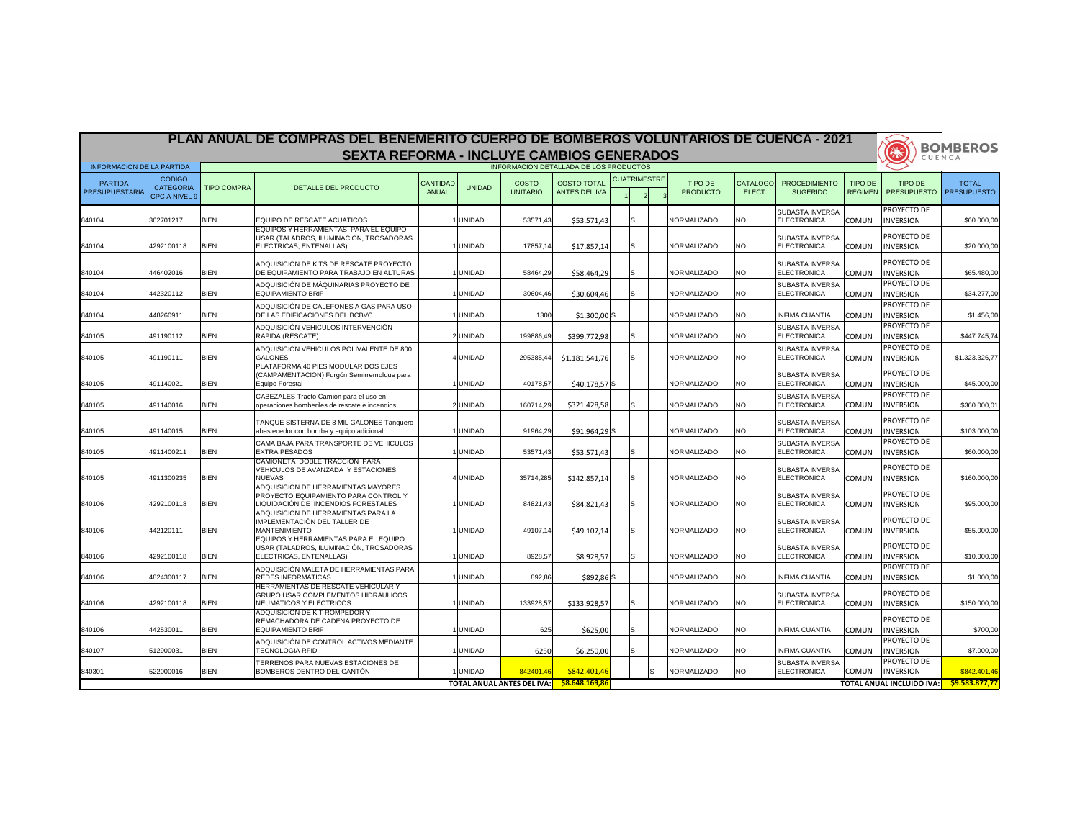|                                  |                                   |             | PLAN ANUAL DE COMPRAS DEL BENEMERITO CUERPO DE BOMBEROS VOLUNTARIOS DE CUENCA - 2021                                       |                                 |               |                                        |                                            |                     |                            |                           |                                              |                           |                                        | <b>BOMBEROS</b>                    |
|----------------------------------|-----------------------------------|-------------|----------------------------------------------------------------------------------------------------------------------------|---------------------------------|---------------|----------------------------------------|--------------------------------------------|---------------------|----------------------------|---------------------------|----------------------------------------------|---------------------------|----------------------------------------|------------------------------------|
|                                  |                                   |             | <b>SEXTA REFORMA - INCLUYE CAMBIOS GENERADOS</b>                                                                           |                                 |               |                                        |                                            |                     |                            |                           |                                              |                           | 美<br>CUENCA                            |                                    |
| <b>INFORMACION DE LA PARTIDA</b> | <b>CODIGO</b>                     |             |                                                                                                                            |                                 |               | INFORMACION DETALLADA DE LOS PRODUCTOS |                                            | <b>CUATRIMESTRE</b> |                            |                           |                                              |                           |                                        |                                    |
| <b>PARTIDA</b><br>PRESUPUESTARIA | <b>CATEGORIA</b><br>CPC A NIVEL 9 | TIPO COMPRA | DETALLE DEL PRODUCTO                                                                                                       | <b>CANTIDAD</b><br><b>ANUAL</b> | <b>UNIDAD</b> | <b>COSTO</b><br><b>UNITARIO</b>        | <b>COSTO TOTAL</b><br><b>ANTES DEL IVA</b> |                     | TIPO DE<br><b>PRODUCTO</b> | <b>CATALOGO</b><br>ELECT. | <b>PROCEDIMIENTO</b><br><b>SUGERIDO</b>      | TIPO DE<br><b>RÉGIMEN</b> | <b>TIPO DE</b><br><b>PRESUPUESTO</b>   | <b>TOTAL</b><br><b>PRESUPUESTO</b> |
| 840104                           | 362701217                         | <b>BIEN</b> | <b>IEQUIPO DE RESCATE ACUATICOS</b>                                                                                        |                                 | <b>UNIDAD</b> | 53571,43                               | \$53.571,43                                |                     | <b>NORMALIZADO</b>         | NO.                       | <b>SUBASTA INVERSA</b><br><b>ELECTRONICA</b> | <b>COMUN</b>              | PROYECTO DE<br><b>INVERSION</b>        | \$60.000,00                        |
| 840104                           | 4292100118                        | <b>BIEN</b> | EQUIPOS Y HERRAMIENTAS PARA EL EQUIPO<br>USAR (TALADROS, ILUMINACIÓN, TROSADORAS<br>ELECTRICAS, ENTENALLAS)                |                                 | <b>UNIDAD</b> | 17857,14                               | \$17.857,14                                |                     | NORMALIZADO                | <b>NO</b>                 | <b>SUBASTA INVERSA</b><br><b>ELECTRONICA</b> | <b>COMUN</b>              | PROYECTO DE<br><b>INVERSION</b>        | \$20.000,00                        |
| 840104                           | 446402016                         | <b>BIEN</b> | ADQUISICIÓN DE KITS DE RESCATE PROYECTO<br>IDE EQUIPAMIENTO PARA TRABAJO EN ALTURAS                                        |                                 | <b>UNIDAD</b> | 58464,29                               | \$58.464,29                                |                     | NORMALIZADO                | <b>NO</b>                 | <b>SUBASTA INVERSA</b><br><b>ELECTRONICA</b> | <b>COMUN</b>              | PROYECTO DE<br><b>INVERSION</b>        | \$65.480,00                        |
| 840104                           | 442320112                         | <b>BIEN</b> | ADQUISICIÓN DE MÁQUINARIAS PROYECTO DE<br>EQUIPAMIENTO BRIF                                                                |                                 | <b>UNIDAD</b> | 30604,46                               | \$30.604,46                                |                     | NORMALIZADO                | <b>NO</b>                 | <b>SUBASTA INVERSA</b><br><b>ELECTRONICA</b> | <b>COMUN</b>              | PROYECTO DE<br><b>INVERSION</b>        | \$34.277,00                        |
| 840104                           | 448260911                         | <b>BIEN</b> | ADQUISICIÓN DE CALEFONES A GAS PARA USO<br><b>DE LAS EDIFICACIONES DEL BCBVC</b>                                           |                                 | <b>UNIDAD</b> | 1300                                   | $$1.300,00$ S                              |                     | NORMALIZADO                | <b>NO</b>                 | <b>INFIMA CUANTIA</b>                        | <b>COMUN</b>              | <b>PROYECTO DE</b><br><b>INVERSION</b> | \$1.456,00                         |
| 840105                           | 491190112                         | <b>BIEN</b> | ADQUISICIÓN VEHICULOS INTERVENCIÓN<br>RAPIDA (RESCATE)                                                                     |                                 | 2 UNIDAD      | 199886,49                              | \$399.772,98                               |                     | <b>NORMALIZADO</b>         | NO.                       | <b>SUBASTA INVERSA</b><br><b>ELECTRONICA</b> | <b>COMUN</b>              | <b>PROYECTO DE</b><br><b>INVERSION</b> | \$447.745,74                       |
| 840105                           | 491190111                         | <b>BIEN</b> | ADQUISICIÓN VEHICULOS POLIVALENTE DE 800<br><b>GALONES</b><br>PLATAFORMA 40 PIES MODULAR DOS EJES                          |                                 | UNIDAD        | 295385,44                              | \$1.181.541,76                             |                     | NORMALIZADO                | <b>NO</b>                 | <b>SUBASTA INVERSA</b><br><b>ELECTRONICA</b> | <b>COMUN</b>              | PROYECTO DE<br><b>INVERSION</b>        | \$1.323.326,77                     |
| 840105                           | 491140021                         | <b>BIEN</b> | (CAMPAMENTACION) Furgón Semirremolque para<br>Equipo Forestal                                                              |                                 | <b>UNIDAD</b> | 40178,57                               | $$40.178,57$ S                             |                     | NORMALIZADO                | <b>NO</b>                 | <b>SUBASTA INVERSA</b><br><b>ELECTRONICA</b> | <b>COMUN</b>              | PROYECTO DE<br><b>INVERSION</b>        | \$45.000,00                        |
| 840105                           | 491140016                         | <b>BIEN</b> | CABEZALES Tracto Camión para el uso en<br>operaciones bomberiles de rescate e incendios                                    |                                 | 2 UNIDAD      | 160714,29                              | \$321.428,58                               |                     | NORMALIZADO                | NO.                       | <b>SUBASTA INVERSA</b><br><b>ELECTRONICA</b> | <b>COMUN</b>              | <b>PROYECTO DE</b><br><b>INVERSION</b> | \$360.000,01                       |
| 840105                           | 491140015                         | <b>BIEN</b> | TANQUE SISTERNA DE 8 MIL GALONES Tanquero<br>abastecedor con bomba y equipo adicional                                      |                                 | <b>UNIDAD</b> | 91964,29                               | $$91.964,29$ S                             |                     | NORMALIZADO                | NO.                       | <b>SUBASTA INVERSA</b><br><b>ELECTRONICA</b> | <b>COMUN</b>              | PROYECTO DE<br><b>INVERSION</b>        | \$103.000,00                       |
| 840105                           | 4911400211                        | <b>BIEN</b> | CAMA BAJA PARA TRANSPORTE DE VEHICULOS<br><b>EXTRA PESADOS</b><br>CAMIONETA DOBLE TRACCION PARA                            |                                 | <b>UNIDAD</b> | 53571,43                               | \$53.571,43                                |                     | NORMALIZADO                | <b>NO</b>                 | <b>SUBASTA INVERSA</b><br><b>ELECTRONICA</b> | <b>COMUN</b>              | PROYECTO DE<br><b>INVERSION</b>        | \$60.000,00                        |
| 840105                           | 4911300235                        | <b>BIEN</b> | IVEHICULOS DE AVANZADA Y ESTACIONES<br><b>NUEVAS</b>                                                                       |                                 | IUNIDAD       | 35714,285                              | \$142.857,14                               | S.                  | NORMALIZADO                | <b>NO</b>                 | <b>SUBASTA INVERSA</b><br><b>ELECTRONICA</b> | <b>COMUN</b>              | PROYECTO DE<br><b>INVERSION</b>        | \$160.000,00                       |
| 840106                           | 4292100118                        | <b>BIEN</b> | IADQUISICION DE HERRAMIENTAS MAYORES<br><b>PROYECTO EQUIPAMIENTO PARA CONTROL Y</b><br>LIQUIDACIÓN DE INCENDIOS FORESTALES |                                 | <b>UNIDAD</b> | 84821,43                               | \$84.821,43                                |                     | NORMALIZADO                | <b>NO</b>                 | <b>SUBASTA INVERSA</b><br><b>ELECTRONICA</b> | <b>COMUN</b>              | PROYECTO DE<br><b>INVERSION</b>        | \$95.000,00                        |
| 840106                           | 442120111                         | <b>BIEN</b> | IADQUISICION DE HERRAMIENTAS PARA LA<br>IMPLEMENTACIÓN DEL TALLER DE<br><b>MANTENIMIENTO</b>                               |                                 | <b>UNIDAD</b> | 49107,14                               | \$49.107,14                                | S.                  | NORMALIZADO                | NO.                       | <b>SUBASTA INVERSA</b><br><b>ELECTRONICA</b> | <b>COMUN</b>              | PROYECTO DE<br><b>INVERSION</b>        | \$55.000,00                        |
| 840106                           | 4292100118                        | <b>BIEN</b> | EQUIPOS Y HERRAMIENTAS PARA EL EQUIPO<br>USAR (TALADROS, ILUMINACIÓN, TROSADORAS<br>ELECTRICAS, ENTENALLAS)                |                                 | <b>UNIDAD</b> | 8928,57                                | \$8.928,57                                 |                     | NORMALIZADO                | <b>NO</b>                 | <b>SUBASTA INVERSA</b><br>ELECTRONICA        | <b>COMUN</b>              | PROYECTO DE<br><b>INVERSION</b>        | \$10.000,00                        |
| 840106                           | 4824300117                        | <b>BIEN</b> | ADQUISICIÓN MALETA DE HERRAMIENTAS PARA<br><b>REDES INFORMÁTICAS</b>                                                       |                                 | <b>UNIDAD</b> | 892,86                                 | $$892,86$ S                                |                     | NORMALIZADO                | <b>NO</b>                 | <b>INFIMA CUANTIA</b>                        | <b>COMUN</b>              | <b>PROYECTO DE</b><br><b>INVERSION</b> | \$1.000,00                         |
| 840106                           | 4292100118                        | <b>BIEN</b> | <b>HERRAMIENTAS DE RESCATE VEHICULAR Y</b><br>GRUPO USAR COMPLEMENTOS HIDRÁULICOS<br>NEUMÁTICOS Y ELÉCTRICOS               |                                 | <b>UNIDAD</b> | 133928,57                              | \$133.928,57                               |                     | NORMALIZADO                | <b>NO</b>                 | <b>SUBASTA INVERSA</b><br><b>ELECTRONICA</b> | <b>COMUN</b>              | PROYECTO DE<br><b>INVERSION</b>        | \$150.000,00                       |
| 840106                           | 442530011                         | <b>BIEN</b> | <b>ADQUISICION DE KIT ROMPEDOR Y</b><br>REMACHADORA DE CADENA PROYECTO DE<br>EQUIPAMIENTO BRIF                             |                                 | <b>UNIDAD</b> | 625                                    | \$625,00                                   | S.                  | NORMALIZADO                | <b>NO</b>                 | <b>INFIMA CUANTIA</b>                        | <b>COMUN</b>              | PROYECTO DE<br><b>INVERSION</b>        | \$700,00                           |
| 840107                           | 512900031                         | <b>BIEN</b> | ADQUISICIÓN DE CONTROL ACTIVOS MEDIANTE<br><b>TECNOLOGIA RFID</b>                                                          |                                 | <b>UNIDAD</b> | 6250                                   | \$6.250,00                                 |                     | NORMALIZADO                | <b>NO</b>                 | <b>INFIMA CUANTIA</b>                        | <b>COMUN</b>              | <b>PROYECTO DE</b><br><b>INVERSION</b> | \$7.000,00                         |
| 840301                           | 522000016                         | <b>BIEN</b> | TERRENOS PARA NUEVAS ESTACIONES DE<br>BOMBEROS DENTRO DEL CANTÓN                                                           |                                 | <b>UNIDAD</b> | 842401,46                              | \$842.401,46                               | Is                  | NORMALIZADO                | <b>NO</b>                 | <b>SUBASTA INVERSA</b><br><b>ELECTRONICA</b> | <b>COMUN</b>              | <b>PROYECTO DE</b><br><b>INVERSION</b> | \$842.401,46                       |
|                                  |                                   |             |                                                                                                                            |                                 |               | <b>TOTAL ANUAL ANTES DEL IVA:</b>      | \$8.648.169,86                             |                     |                            |                           |                                              |                           | <b>TOTAL ANUAL INCLUIDO IVA:</b>       | \$9.583.877,77                     |

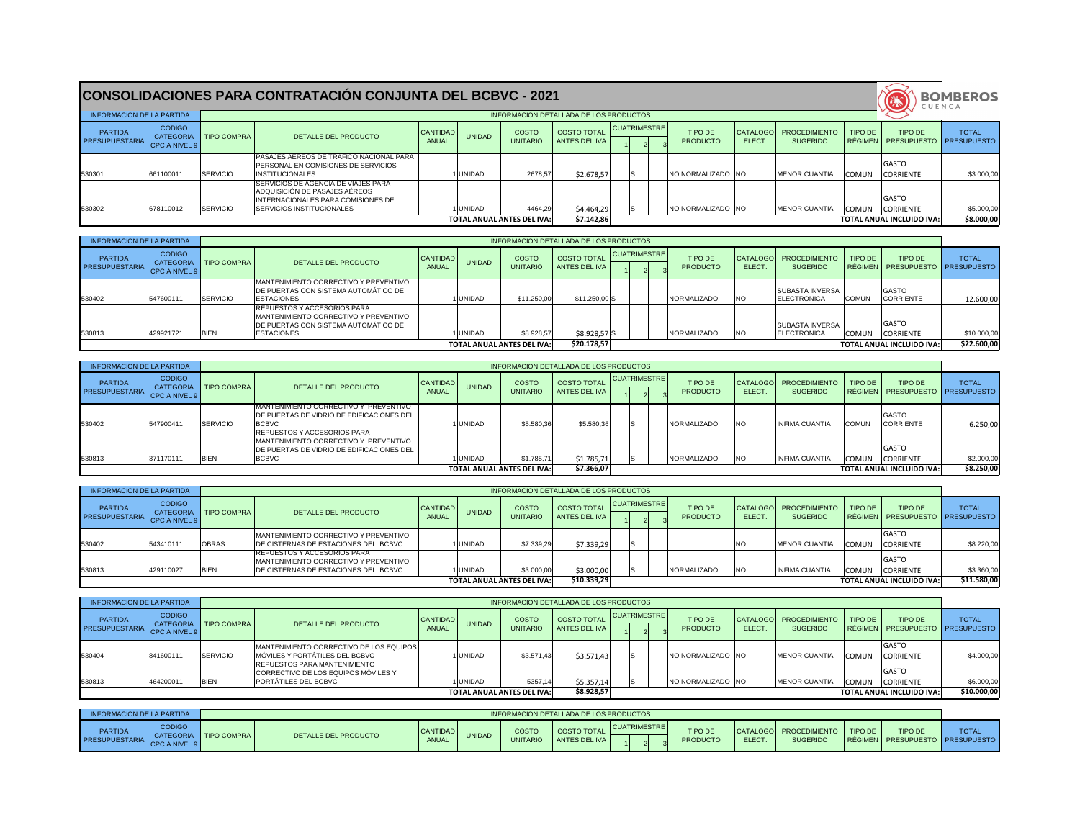| <b>INFORMACION DE LA PARTIDA</b>        |                                |                         |                                                                                                                                                         |                          |               |                                   | INFORMACION DETALLADA DE LOS PRODUCTOS |              |  |                            |              |                                               |         |                                                         | - - - - - - <i>-</i> - |
|-----------------------------------------|--------------------------------|-------------------------|---------------------------------------------------------------------------------------------------------------------------------------------------------|--------------------------|---------------|-----------------------------------|----------------------------------------|--------------|--|----------------------------|--------------|-----------------------------------------------|---------|---------------------------------------------------------|------------------------|
| <b>PARTIDA</b><br><b>PRESUPUESTARIA</b> | <b>CODIGO</b><br>CPC A NIVEL 9 | CATEGORIA   TIPO COMPRA | DETALLE DEL PRODUCTO                                                                                                                                    | CANTIDAD<br><b>ANUAL</b> | <b>UNIDAD</b> | <b>COSTO</b><br><b>UNITARIO</b>   | COSTO TOTAL<br>ANTES DEL IVA           | CUATRIMESTRE |  | TIPO DE<br><b>PRODUCTO</b> | <b>ELECT</b> | CATALOGO   PROCEDIMIENTO  <br><b>SUGERIDO</b> | TIPO DE | <b>TIPO DE</b><br>  RÉGIMEN   PRESUPUESTO   PRESUPUESTO | <b>TOTAL</b>           |
| 530301                                  | 661100011                      | <b>SERVICIO</b>         | <b>PASAJES AÉREOS DE TRÁFICO NACIONAL PARA</b><br><b>PERSONAL EN COMISIONES DE SERVICIOS</b><br>INSTITUCIONALES                                         |                          | <b>UNIDAD</b> | 2678,57                           | \$2.678,57                             |              |  | NO NORMALIZADO NO          |              | <b>MENOR CUANTIA</b>                          |         | <b>GASTO</b><br>COMUN CORRIENTE                         | \$3.000,00             |
| 530302                                  | 678110012                      | SERVICIO                | <b>ISERVICIOS DE AGENCIA DE VIAJES PARA</b><br>ADQUISICIÓN DE PASAJES AÉREOS<br>INTERNACIONALES PARA COMISIONES DE<br><b>ISERVICIOS INSTITUCIONALES</b> |                          | <b>UNIDAD</b> | 4464,29                           | \$4.464,29                             |              |  | NO NORMALIZADO NO          |              | MENOR CUANTIA                                 |         | <b>GASTO</b><br>COMUN CORRIENTE                         | \$5.000,00             |
|                                         |                                |                         |                                                                                                                                                         |                          |               | <b>TOTAL ANUAL ANTES DEL IVA:</b> | \$7.142,86                             |              |  |                            |              |                                               |         | <b>TOTAL ANUAL INCLUIDO IVA:</b>                        | \$8.000,00             |

| INFORMACION DE LA PARTIDA               |                                |                         |                                                                                                                                    |                                 |               |                                   | INFORMACION DETALLADA DE LOS PRODUCTOS |              |                                   |            |                                               |              |                                                       |              |
|-----------------------------------------|--------------------------------|-------------------------|------------------------------------------------------------------------------------------------------------------------------------|---------------------------------|---------------|-----------------------------------|----------------------------------------|--------------|-----------------------------------|------------|-----------------------------------------------|--------------|-------------------------------------------------------|--------------|
| <b>PARTIDA</b><br><b>PRESUPUESTARIA</b> | <b>CODIGO</b><br>CPC A NIVEL 9 | CATEGORIA   TIPO COMPRA | DETALLE DEL PRODUCTO                                                                                                               | <b>CANTIDAD</b><br><b>ANUAL</b> | <b>UNIDAD</b> | <b>COSTO</b><br><b>UNITARIO</b>   | <b>COSTO TOTAL</b><br>ANTES DEL IVA    | CUATRIMESTRE | <b>TIPO DE</b><br><b>PRODUCTO</b> | ELECT.     | CATALOGO   PROCEDIMIENTO  <br><b>SUGERIDO</b> | TIPO DE      | <b>TIPO DE</b><br>RÉGIMEN   PRESUPUESTO   PRESUPUESTO | <b>TOTAL</b> |
| 530402                                  | 547600111                      | <b>ISERVICIO</b>        | IMANTENIMIENTO CORRECTIVO Y PREVENTIVO<br>DE PUERTAS CON SISTEMA AUTOMÁTICO DE<br><b>IESTACIONES</b>                               |                                 | <b>UNIDAD</b> | \$11.250,00                       | $$11.250,00$ S                         |              | <b>INORMALIZADO</b>               | <b>INO</b> | <b>SUBASTA INVERSA</b><br><b>IELECTRONICA</b> | <b>COMUN</b> | GASTO<br>CORRIENTE                                    | 12.600,00    |
| 530813                                  | 429921721                      | <b>BIEN</b>             | IREPUESTOS Y ACCESORIOS PARA<br>MANTENIMIENTO CORRECTIVO Y PREVENTIVO<br>DE PUERTAS CON SISTEMA AUTOMÁTICO DE<br><b>ESTACIONES</b> |                                 | <b>UNIDAD</b> | \$8.928,57                        | $$8.928,57$ S                          |              | NORMALIZADO                       | <b>NO</b>  | <b>SUBASTA INVERSA</b><br><b>ELECTRONICA</b>  |              | <b>GASTO</b><br>COMUN CORRIENTE                       | \$10.000,00  |
|                                         |                                |                         |                                                                                                                                    |                                 |               | <b>TOTAL ANUAL ANTES DEL IVA:</b> | \$20.178,57                            |              |                                   |            |                                               |              | <b>TOTAL ANUAL INCLUIDO IVA:</b>                      | \$22.600,00  |

| INFORMACION DE LA PARTIDA               |                                                    |                 |                                                                                                                                    |                                 |               |                                   | INFORMACION DETALLADA DE LOS PRODUCTOS |                     |                            |           |                                             |              |                                                |              |
|-----------------------------------------|----------------------------------------------------|-----------------|------------------------------------------------------------------------------------------------------------------------------------|---------------------------------|---------------|-----------------------------------|----------------------------------------|---------------------|----------------------------|-----------|---------------------------------------------|--------------|------------------------------------------------|--------------|
| <b>PARTIDA</b><br><b>PRESUPUESTARIA</b> | <b>CODIGO</b><br><b>CATEGORIA</b><br>CPC A NIVEL 9 | TIPO COMPRA     | DETALLE DEL PRODUCTO                                                                                                               | <b>CANTIDAD</b><br><b>ANUAL</b> | <b>UNIDAD</b> | <b>COSTO</b><br><b>UNITARIO</b>   | <b>COSTO TOTAL</b><br>ANTES DEL IVA    | <b>CUATRIMESTRE</b> | TIPO DE<br><b>PRODUCTO</b> | ELECT.    | CATALOGO   PROCEDIMIENTO<br><b>SUGERIDO</b> | TIPO DE      | TIPO DE<br>RÉGIMEN   PRESUPUESTO   PRESUPUESTO | <b>TOTAL</b> |
| 530402                                  | 547900411                                          | <b>SERVICIO</b> | <u>IMANTENIMIENTO CORRECTIVO Y PREVENTIVO</u><br>DE PUERTAS DE VIDRIO DE EDIFICACIONES DEL<br><b>BCBVC</b>                         |                                 | <b>UNIDAD</b> | \$5.580,36                        | \$5.580,36                             |                     | NORMALIZADO                | <b>NO</b> | <b>INFIMA CUANTIA</b>                       | <b>COMUN</b> | <b>GASTO</b><br><b>CORRIENTE</b>               | 6.250,00     |
| 530813                                  | 371170111                                          | <b>BIEN</b>     | IREPUESTOS Y ACCESORIOS PARA<br>MANTENIMIENTO CORRECTIVO Y PREVENTIVO<br>DE PUERTAS DE VIDRIO DE EDIFICACIONES DEL<br><b>BCBVC</b> |                                 | 1 UNIDAD      | \$1.785,71                        | \$1.785,71                             |                     | NORMALIZADO                | <b>NO</b> | <b>INFIMA CUANTIA</b>                       | <b>COMUN</b> | <b>IGASTO</b><br><b>CORRIENTE</b>              | \$2.000,00   |
|                                         |                                                    |                 |                                                                                                                                    |                                 |               | <b>TOTAL ANUAL ANTES DEL IVA:</b> | \$7.366,07                             |                     |                            |           |                                             |              | <b>TOTAL ANUAL INCLUIDO IVA:</b>               | \$8.250,00   |

| <b>CONSOLIDACIONES PARA CONTRATACION CONJUNTA DEL BCBVC - 2021</b> |  |
|--------------------------------------------------------------------|--|
|                                                                    |  |

| <b>INFORMACION DE LA PARTIDA</b>        |                                |                         |                                                                                                                      |                                 |               |                                   | INFORMACION DETALLADA DE LOS PRODUCTOS |                     |                                   |            |                                             |         |                                                |              |
|-----------------------------------------|--------------------------------|-------------------------|----------------------------------------------------------------------------------------------------------------------|---------------------------------|---------------|-----------------------------------|----------------------------------------|---------------------|-----------------------------------|------------|---------------------------------------------|---------|------------------------------------------------|--------------|
| <b>PARTIDA</b><br><b>PRESUPUESTARIA</b> | <b>CODIGO</b><br>CPC A NIVEL 9 | CATEGORIA   TIPO COMPRA | DETALLE DEL PRODUCTO                                                                                                 | <b>CANTIDAD</b><br><b>ANUAL</b> | <b>UNIDAD</b> | <b>COSTO</b><br><b>UNITARIO</b>   | <b>COSTO TOTAL</b><br>ANTES DEL IVA I  | <b>CUATRIMESTRE</b> | <b>TIPO DE</b><br><b>PRODUCTO</b> | ELECT.     | CATALOGO   PROCEDIMIENTO<br><b>SUGERIDO</b> | TIPO DE | TIPO DE<br>RÉGIMEN   PRESUPUESTO   PRESUPUESTO | <b>TOTAL</b> |
| 530402                                  | 543410111                      | <b>OBRAS</b>            | MANTENIMIENTO CORRECTIVO Y PREVENTIVO<br>DE CISTERNAS DE ESTACIONES DEL BCBVC                                        |                                 | 1 IUNIDAD     | \$7.339,29                        | \$7.339,29                             |                     |                                   |            | <b>MENOR CUANTIA</b>                        | COMUN   | IGASTO<br><b>CORRIENTE</b>                     | \$8.220,00   |
| 530813                                  | 429110027                      | <b>BIEN</b>             | <b>IREPUESTOS Y ACCESORIOS PARA</b><br>MANTENIMIENTO CORRECTIVO Y PREVENTIVO<br>DE CISTERNAS DE ESTACIONES DEL BCBVC |                                 | 1 UNIDAD      | \$3.000,00                        | \$3.000,00                             |                     | <b>INORMALIZADO</b>               | <b>INO</b> | <b>INFIMA CUANTIA</b>                       | COMUN   | <b>GASTO</b><br><b>CORRIENTE</b>               | \$3.360,00   |
|                                         |                                |                         |                                                                                                                      |                                 |               | <b>TOTAL ANUAL ANTES DEL IVA:</b> | \$10.339,29                            |                     |                                   |            |                                             |         | <b>TOTAL ANUAL INCLUIDO IVA:</b>               | \$11.580,00  |

| INFORMACION DE LA PARTIDA               |                                |                         |                                                                                                     |                          |               |                                   | INFORMACION DETALLADA DE LOS PRODUCTOS |                     |                                   |        |                                               |              |                                                       |              |
|-----------------------------------------|--------------------------------|-------------------------|-----------------------------------------------------------------------------------------------------|--------------------------|---------------|-----------------------------------|----------------------------------------|---------------------|-----------------------------------|--------|-----------------------------------------------|--------------|-------------------------------------------------------|--------------|
| <b>PARTIDA</b><br><b>PRESUPUESTARIA</b> | <b>CODIGO</b><br>CPC A NIVEL 9 | CATEGORIA   TIPO COMPRA | DETALLE DEL PRODUCTO                                                                                | CANTIDAD<br><b>ANUAL</b> | UNIDAD        | <b>COSTO</b><br><b>UNITARIO</b>   | <b>COSTO TOTAL</b><br>ANTES DEL IVA    | <b>CUATRIMESTRE</b> | <b>TIPO DE</b><br><b>PRODUCTO</b> | ELECT. | CATALOGO   PROCEDIMIENTO  <br><b>SUGERIDO</b> | TIPO DE      | <b>TIPO DE</b><br>RÉGIMEN   PRESUPUESTO   PRESUPUESTO | <b>TOTAL</b> |
| 530404                                  | 841600111                      | <b>SERVICIO</b>         | MANTENIMIENTO CORRECTIVO DE LOS EQUIPOS<br>MÓVILES Y PORTÁTILES DEL BCBVC                           |                          | <b>UNIDAD</b> | \$3.571,43                        | \$3.571,43                             |                     | INO NORMALIZADO INO               |        | <b>IMENOR CUANTIA</b>                         | <b>COMUN</b> | GASTO<br><b>CORRIENTE</b>                             | \$4.000,00   |
| 530813                                  | 464200011                      | <b>BIEN</b>             | <b>REPUESTOS PARA MANTENIMIENTO</b><br>CORRECTIVO DE LOS EQUIPOS MÓVILES Y<br>IPORTATILES DEL BCBVC |                          | 1 UNIDAD      | 5357,14                           | \$5.357,14                             |                     | INO NORMALIZADO INO               |        | <b>MENOR CUANTIA</b>                          | <b>COMUN</b> | <b>GASTO</b><br><b>CORRIENTE</b>                      | \$6.000,00   |
|                                         |                                |                         |                                                                                                     |                          |               | <b>TOTAL ANUAL ANTES DEL IVA:</b> | \$8.928,57                             |                     |                                   |        |                                               |              | <b>TOTAL ANUAL INCLUIDO IVA:</b>                      | \$10.000,00  |

| INFORMACION DE LA PARTIDA               |                                                    |             |                      |                            |               |                          | INFORMACION DETALLADA DE LOS PRODUCTOS |                     |                                   |                                   |                                      |         |                                                       |              |
|-----------------------------------------|----------------------------------------------------|-------------|----------------------|----------------------------|---------------|--------------------------|----------------------------------------|---------------------|-----------------------------------|-----------------------------------|--------------------------------------|---------|-------------------------------------------------------|--------------|
| <b>PARTIDA</b><br><b>PRESUPUESTARIA</b> | <b>CODIGO</b><br><b>CATEGORIA</b><br>CPC A NIVEL 9 | TIPO COMPRA | DETALLE DEL PRODUCTO | CANTIDAD  <br><b>ANUAL</b> | <b>UNIDAD</b> | COSTO<br><b>UNITARIO</b> | <b>COSTO TOTAL</b><br>LANTES DEL IVA   | <b>CUATRIMESTRE</b> | <b>TIPO DE</b><br><b>PRODUCTO</b> | <b>ICATALOGOI</b><br><b>ELECT</b> | I PROCEDIMIENTO I<br><b>SUGERIDO</b> | TIPO DE | <b>TIPO DE</b><br>RÉGIMEN   PRESUPUESTO   PRESUPUESTO | <b>TOTAL</b> |

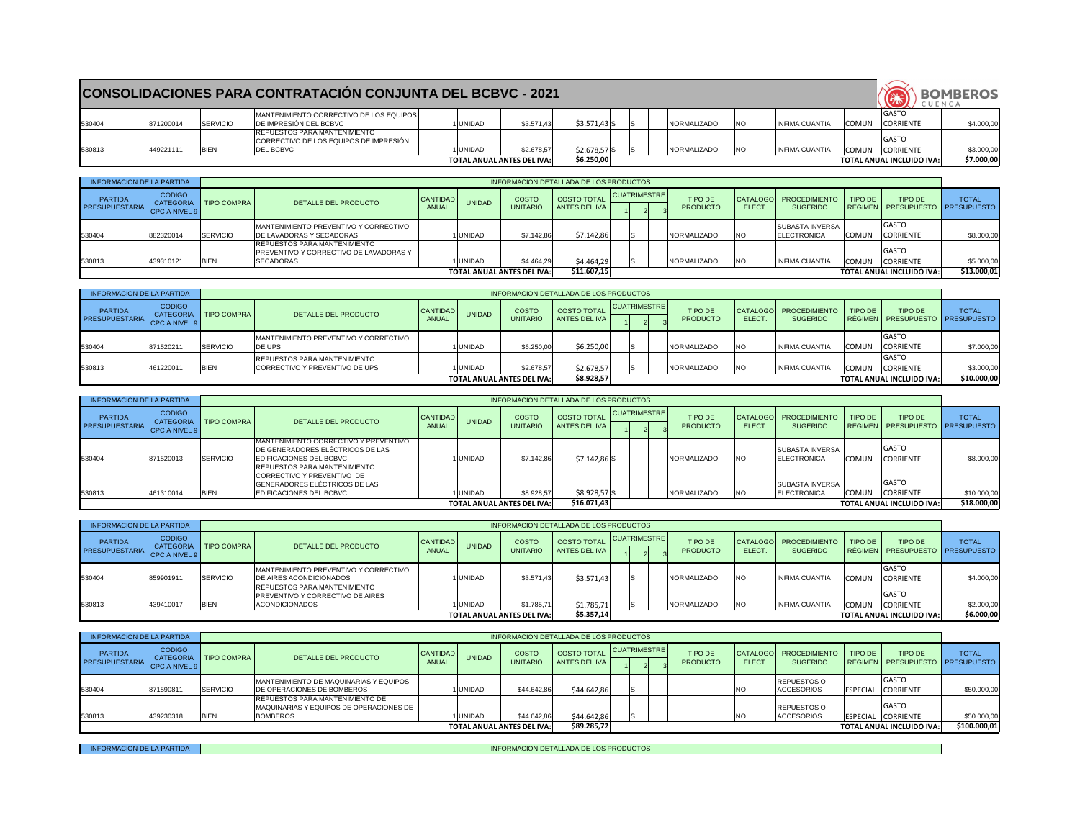|        |           |             | <b>CONSOLIDACIONES PARA CONTRATACION CONJUNTA DEL BCBVC - 2021</b>                                |               |                                   |               |  |                    |            |                       |              | CUENCA                            | <b>BOMBEROS</b> |
|--------|-----------|-------------|---------------------------------------------------------------------------------------------------|---------------|-----------------------------------|---------------|--|--------------------|------------|-----------------------|--------------|-----------------------------------|-----------------|
| 530404 | 871200014 | SERVICIO    | MANTENIMIENTO CORRECTIVO DE LOS EQUIPOS<br>DE IMPRESIÓN DEL BCBVC                                 | UNIDAD        | \$3.571,43                        | $$3.571,43$ S |  | <b>NORMALIZADO</b> | <b>INO</b> | <b>INFIMA CUANTIA</b> | <b>COMUN</b> | GASTO<br><b>CORRIENTE</b>         | \$4.000,00      |
| 530813 | 449221111 | <b>BIEN</b> | <b>REPUESTOS PARA MANTENIMIENTO</b><br>CORRECTIVO DE LOS EQUIPOS DE IMPRESIÓN<br><b>DEL BCBVC</b> | <b>UNIDAD</b> | \$2.678,57                        | $$2.678,57$ S |  | NORMALIZADO        | <b>INO</b> | <b>INFIMA CUANTIA</b> | <b>COMUN</b> | <b>IGASTO</b><br><b>CORRIENTE</b> | \$3.000,00      |
|        |           |             |                                                                                                   |               | <b>TOTAL ANUAL ANTES DEL IVA:</b> | \$6.250,00    |  |                    |            |                       |              | <b>TOTAL ANUAL INCLUIDO IVA:</b>  | \$7.000,00      |

 $\overline{\phantom{0}}$ 

| INFORMACION DE LA PARTIDA               |                                           |                         |                                                                                                    |                              |                |                                   | INFORMACION DETALLADA DE LOS PRODUCTOS |                     |  |                            |            |                                                       |              |                                                |              |
|-----------------------------------------|-------------------------------------------|-------------------------|----------------------------------------------------------------------------------------------------|------------------------------|----------------|-----------------------------------|----------------------------------------|---------------------|--|----------------------------|------------|-------------------------------------------------------|--------------|------------------------------------------------|--------------|
| <b>PARTIDA</b><br><b>PRESUPUESTARIA</b> | <b>CODIGO</b><br><b>I CPC A NIVEL 9  </b> | CATEGORIA   TIPO COMPRA | DETALLE DEL PRODUCTO                                                                               | I CANTIDAD I<br><b>ANUAL</b> | <b>UNIDAD</b>  | <b>COSTO</b><br><b>UNITARIO</b>   | <b>COSTO TOTAL</b><br>ANTES DEL IVA    | <b>CUATRIMESTRE</b> |  | TIPO DE<br><b>PRODUCTO</b> | ELECT.     | CATALOGO   PROCEDIMIENTO   TIPO DE<br><b>SUGERIDO</b> |              | TIPO DE<br>RÉGIMEN   PRESUPUESTO   PRESUPUESTO | <b>TOTAL</b> |
| 530404                                  | 882320014                                 | <b>SERVICIO</b>         | IMANTENIMIENTO PREVENTIVO Y CORRECTIVO<br><b>IDE LAVADORAS Y SECADORAS</b>                         |                              | <b>IUNIDAD</b> | \$7.142,86                        | \$7.142,86                             |                     |  | <b>INORMALIZADO</b>        | INO        | <b>SUBASTA INVERSA</b><br><b>ELECTRONICA</b>          | <b>COMUN</b> | <b>GASTO</b><br><b>CORRIENTE</b>               | \$8.000,00   |
| 530813                                  | 439310121                                 | <b>BIEN</b>             | IREPUESTOS PARA MANTENIMIENTO<br><b>PREVENTIVO Y CORRECTIVO DE LAVADORAS Y</b><br><b>SECADORAS</b> |                              | 1 UNIDAD       | \$4.464,29                        | \$4.464,29                             |                     |  | NORMALIZADO                | <b>INO</b> | <b>INFIMA CUANTIA</b>                                 | <b>COMUN</b> | <b>GASTO</b><br><b>CORRIENTE</b>               | \$5.000,00   |
|                                         |                                           |                         |                                                                                                    |                              |                | <b>TOTAL ANUAL ANTES DEL IVA:</b> | \$11.607,15                            |                     |  |                            |            |                                                       |              | <b>TOTAL ANUAL INCLUIDO IVA:</b>               | \$13.000,01  |

| <b>INFORMACION DE LA PARTIDA</b>        |                                |                         |                                                                       |                                 |                |                                   | INFORMACION DETALLADA DE LOS PRODUCTOS |              |                                   |                             |                                               |              |                                                |              |
|-----------------------------------------|--------------------------------|-------------------------|-----------------------------------------------------------------------|---------------------------------|----------------|-----------------------------------|----------------------------------------|--------------|-----------------------------------|-----------------------------|-----------------------------------------------|--------------|------------------------------------------------|--------------|
| <b>PARTIDA</b><br><b>PRESUPUESTARIA</b> | <b>CODIGO</b><br>CPC A NIVEL 9 | CATEGORIA   TIPO COMPRA | DETALLE DEL PRODUCTO                                                  | <b>CANTIDAD</b><br><b>ANUAL</b> | <b>UNIDAD</b>  | <b>COSTO</b><br><b>UNITARIO</b>   | <b>COSTO TOTAL</b><br>ANTES DEL IVA    | CUATRIMESTRE | <b>TIPO DE</b><br><b>PRODUCTO</b> | ELECT.                      | CATALOGO   PROCEDIMIENTO  <br><b>SUGERIDO</b> | TIPO DE      | TIPO DE<br>RÉGIMEN   PRESUPUESTO   PRESUPUESTO | <b>TOTAL</b> |
| 530404                                  | 871520211                      | <b>SERVICIO</b>         | MANTENIMIENTO PREVENTIVO Y CORRECTIVO<br><b>DE UPS</b>                |                                 | <b>UNIDAD</b>  | \$6.250,00                        | \$6.250,00                             |              | <b>NORMALIZADO</b>                | <b>INO</b>                  | <b>INFIMA CUANTIA</b>                         | <b>COMUN</b> | <b>GASTO</b><br><b>CORRIENTE</b>               | \$7.000,00   |
| 530813                                  | 461220011                      | <b>BIEN</b>             | <b>REPUESTOS PARA MANTENIMIENTO</b><br>CORRECTIVO Y PREVENTIVO DE UPS |                                 | <b>IUNIDAD</b> | \$2.678,57                        | \$2.678,57                             |              | NORMALIZADO                       | $\overline{\phantom{a}}$ NO | <b>INFIMA CUANTIA</b>                         | <b>COMUN</b> | <b>GASTO</b><br><b>CORRIENTE</b>               | \$3.000,00   |
|                                         |                                |                         |                                                                       |                                 |                | <b>TOTAL ANUAL ANTES DEL IVA:</b> | \$8.928,57                             |              |                                   |                             |                                               |              | <b>TOTAL ANUAL INCLUIDO IVA:</b>               | \$10.000,00  |

| INFORMACION DE LA PARTIDA        |                                                        |                    |                                                                                                   |                          |               |                                   | INFORMACION DETALLADA DE LOS PRODUCTOS |              |  |                                   |            |                                             |              |                                            |              |
|----------------------------------|--------------------------------------------------------|--------------------|---------------------------------------------------------------------------------------------------|--------------------------|---------------|-----------------------------------|----------------------------------------|--------------|--|-----------------------------------|------------|---------------------------------------------|--------------|--------------------------------------------|--------------|
| <b>PARTIDA</b><br>PRESUPUESTARIA | <b>CODIGO</b><br><b>CATEGORIA</b><br>l CPC A NIVEL 9 I | <b>TIPO COMPRA</b> | DETALLE DEL PRODUCTO                                                                              | CANTIDAD<br><b>ANUAL</b> | <b>UNIDAD</b> | <b>COSTO</b><br><b>UNITARIO</b>   | <b>COSTO TOTAL</b><br>ANTES DEL IVA I  | CUATRIMESTRE |  | <b>TIPO DE</b><br><b>PRODUCTO</b> | ELECT.     | CATALOGO   PROCEDIMIENTO<br><b>SUGERIDO</b> | TIPO DE      | TIPO DE<br>RÉGIMEN PRESUPUESTO PRESUPUESTO | <b>TOTAL</b> |
| 530404                           | 859901911                                              | SERVICIO           | MANTENIMIENTO PREVENTIVO Y CORRECTIVO<br><b>DE AIRES ACONDICIONADOS</b>                           |                          | <b>UNIDAD</b> | \$3.571,43                        | \$3.571,43                             |              |  | <b>INORMALIZADO</b>               | <b>NO</b>  | <b>INFIMA CUANTIA</b>                       | COMUN        | GASTO<br>CORRIENTE                         | \$4.000,00   |
| 530813                           | 439410017                                              | BIEN               | IREPUESTOS PARA MANTENIMIENTO<br><b>PREVENTIVO Y CORRECTIVO DE AIRES</b><br><b>ACONDICIONADOS</b> |                          | <b>UNIDAD</b> | \$1.785,71                        | \$1.785,71                             |              |  | NORMALIZADO                       | <b>INO</b> | <b>INFIMA CUANTIA</b>                       | <b>COMUN</b> | <b>GASTO</b><br><b>CORRIENTE</b>           | \$2.000,00   |
|                                  |                                                        |                    |                                                                                                   |                          |               | <b>TOTAL ANUAL ANTES DEL IVA:</b> | \$5.357,14]                            |              |  |                                   |            |                                             |              | <b>TOTAL ANUAL INCLUIDO IVA:</b>           | \$6.000,00   |

| <b>CODIGO</b><br>CUATRIMESTRE<br><b>COSTO TOTAL</b><br><b>PARTIDA</b><br><b>COSTO</b><br><b>TIPO DE</b><br><b>TIPO DE</b><br>CATALOGO   PROCEDIMIENTO  <br>TIPO DE<br><b>CANTIDAD</b><br><b>UNIDAD</b><br>DETALLE DEL PRODUCTO<br><b>I TIPO COMPRA</b><br><b>CATEGORIA</b><br><b>PRESUPUESTARIA</b><br>ANTES DEL IVA<br><b>ANUAL</b><br><b>PRODUCTO</b><br>ELECT.<br>  RÉGIMEN   PRESUPUESTO   PRESUPUESTO  <br><b>UNITARIO</b><br><b>SUGERIDO</b><br>I CPC A NIVEL 9 I<br><b>GASTO</b><br><b>REPUESTOS O</b><br>MANTENIMIENTO DE MAQUINARIAS Y EQUIPOS<br>SERVICIO<br>\$44.642,86<br>\$44.642,86<br>871590811<br><b>UNIDAD</b><br><b>ACCESORIOS</b><br>ESPECIAL CORRIENTE<br><b>DE OPERACIONES DE BOMBEROS</b><br>INO<br>IREPUESTOS PARA MANTENIMIENTO DE | INFORMACION DE LA PARTIDA |  |  |  | INFORMACION DETALLADA DE LOS PRODUCTOS |  |  |              |                             |
|------------------------------------------------------------------------------------------------------------------------------------------------------------------------------------------------------------------------------------------------------------------------------------------------------------------------------------------------------------------------------------------------------------------------------------------------------------------------------------------------------------------------------------------------------------------------------------------------------------------------------------------------------------------------------------------------------------------------------------------------------------|---------------------------|--|--|--|----------------------------------------|--|--|--------------|-----------------------------|
|                                                                                                                                                                                                                                                                                                                                                                                                                                                                                                                                                                                                                                                                                                                                                            |                           |  |  |  |                                        |  |  |              | <b>TOTAL</b>                |
|                                                                                                                                                                                                                                                                                                                                                                                                                                                                                                                                                                                                                                                                                                                                                            | 530404                    |  |  |  |                                        |  |  |              | \$50.000,00                 |
| <b>REPUESTOS O</b><br><b>MAQUINARIAS Y EQUIPOS DE OPERACIONES DE</b><br>530813<br>\$44.642,86<br><b>ACCESORIOS</b><br><b>BIEN</b><br>439230318<br><b>BOMBEROS</b><br>1 UNIDAD<br>\$44.642,86<br>ESPECIAL CORRIENTE<br>\$89.285,72<br><b>TOTAL ANUAL ANTES DEL IVA:</b><br><b>TOTAL ANUAL INCLUIDO IVA:</b>                                                                                                                                                                                                                                                                                                                                                                                                                                                 |                           |  |  |  |                                        |  |  | <b>GASTO</b> | \$50.000,00<br>\$100.000,01 |

INFORMACION DE LA PARTIDA **internacional de la producto de la partida de la partida de la partida de la partida** 

| <b>INFORMACION DE LA PARTIDA</b>        |                                                    |             |                                                                                                                               |                            |               |                                   | INFORMACION DETALLADA DE LOS PRODUCTOS |                     |                                   |           |                                                |              |                                                       |              |
|-----------------------------------------|----------------------------------------------------|-------------|-------------------------------------------------------------------------------------------------------------------------------|----------------------------|---------------|-----------------------------------|----------------------------------------|---------------------|-----------------------------------|-----------|------------------------------------------------|--------------|-------------------------------------------------------|--------------|
| <b>PARTIDA</b><br><b>PRESUPUESTARIA</b> | <b>CODIGO</b><br><b>CATEGORIA</b><br>CPC A NIVEL 9 | TIPO COMPRA | DETALLE DEL PRODUCTO                                                                                                          | CANTIDAD  <br><b>ANUAL</b> | <b>UNIDAD</b> | <b>COSTO</b><br><b>UNITARIO</b>   | <b>COSTO TOTAL</b><br>ANTES DEL IVA    | <b>CUATRIMESTRE</b> | <b>TIPO DE</b><br><b>PRODUCTO</b> | ELECT.    | CATALOGO   PROCEDIMIENTO  <br><b>SUGERIDO</b>  | TIPO DE      | <b>TIPO DE</b><br>RÉGIMEN   PRESUPUESTO   PRESUPUESTO | <b>TOTAL</b> |
| 530404                                  | 871520013                                          | SERVICIO    | IMANTENIMIENTO CORRECTIVO Y PREVENTIVO<br>DE GENERADORES ELÉCTRICOS DE LAS<br><b>IEDIFICACIONES DEL BCBVC</b>                 |                            | <b>UNIDAD</b> | \$7.142,86                        | $$7.142,86$ S                          |                     | NORMALIZADO                       | INO.      | <b>ISUBASTA INVERSA</b><br><b>IELECTRONICA</b> | <b>COMUN</b> | <b>I</b> GASTO<br><b>CORRIENTE</b>                    | \$8.000,00   |
| 530813                                  | 461310014                                          | <b>BIEN</b> | <b>REPUESTOS PARA MANTENIMIENTO</b><br>CORRECTIVO Y PREVENTIVO DE<br>GENERADORES ELÉCTRICOS DE LAS<br>EDIFICACIONES DEL BCBVC |                            | <b>UNIDAD</b> | \$8.928,57                        | $$8.928,57$ S                          |                     | NORMALIZADO                       | <b>NO</b> | <b>ISUBASTA INVERSA</b><br><b>ELECTRONICA</b>  | <b>COMUN</b> | <b>GASTO</b><br>CORRIENTE                             | \$10.000,00  |
|                                         |                                                    |             |                                                                                                                               |                            |               | <b>TOTAL ANUAL ANTES DEL IVA:</b> | \$16.071,43                            |                     |                                   |           |                                                |              | <b>TOTAL ANUAL INCLUIDO IVA:</b>                      | \$18.000,00  |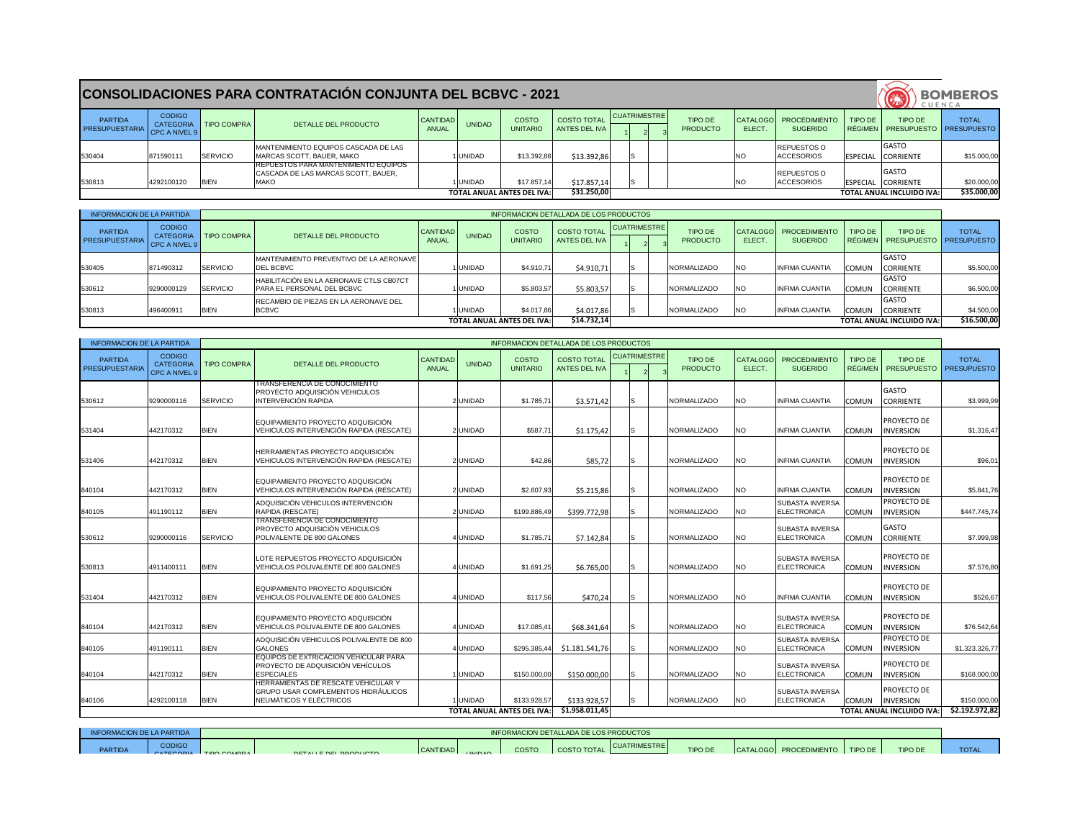|                           |                                                    |                    | <b>CONSOLIDACIONES PARA CONTRATACIÓN CONJUNTA DEL BCBVC - 2021</b>                          |                            |               |                                   |                                     |  |              |                                   |              |                                             |         |                                                       | <b>BOMBEROS</b><br>CUENCA |
|---------------------------|----------------------------------------------------|--------------------|---------------------------------------------------------------------------------------------|----------------------------|---------------|-----------------------------------|-------------------------------------|--|--------------|-----------------------------------|--------------|---------------------------------------------|---------|-------------------------------------------------------|---------------------------|
| PARTIDA<br>PRESUPUESTARIA | <b>CODIGO</b><br><b>CATEGORIA</b><br>CPC A NIVEL 9 | <b>TIPO COMPRA</b> | DETALLE DEL PRODUCTO                                                                        | <b>CANTIDAD I</b><br>ANUAL | <b>UNIDAD</b> | <b>COSTO</b><br><b>UNITARIO</b>   | <b>COSTO TOTAL</b><br>ANTES DEL IVA |  | CUATRIMESTRE | <b>TIPO DE</b><br><b>PRODUCTO</b> | <b>ELECT</b> | CATALOGO   PROCEDIMIENTO<br><b>SUGERIDO</b> | TIPO DE | <b>TIPO DE</b><br>RÉGIMEN   PRESUPUESTO   PRESUPUESTO | <b>TOTAL</b>              |
| 530404                    | 871590111                                          | SERVICIO           | MANTENIMIENTO EQUIPOS CASCADA DE LAS<br>IMARCAS SCOTT, BAUER, MAKO                          |                            | 1 IUNIDAD     | \$13.392,86                       | \$13.392,86                         |  |              |                                   | INO          | <b>REPUESTOS O</b><br><b>ACCESORIOS</b>     |         | <b>IGASTO</b><br>ESPECIAL CORRIENTE                   | \$15.000,00               |
| 530813                    | 4292100120                                         | <b>BIEN</b>        | IREPUESTOS PARA MANTENIMIENTO EQUIPOS<br>CASCADA DE LAS MARCAS SCOTT, BAUER,<br><b>MAKO</b> |                            | 1 IUNIDAD     | \$17.857,14                       | \$17.857,14                         |  |              |                                   | NO           | <b>REPUESTOS O</b><br>ACCESORIOS            |         | <b>GASTO</b><br>ESPECIAL CORRIENTE                    | \$20.000,00               |
|                           |                                                    |                    |                                                                                             |                            |               | <b>TOTAL ANUAL ANTES DEL IVA:</b> | \$31.250,00                         |  |              |                                   |              |                                             |         | <b>TOTAL ANUAL INCLUIDO IVA:</b>                      | \$35.000,00               |

| <b>INFORMACION DE LA PARTIDA</b> |                                   |                    |                                                                                                              |                          |               |                                  | <b>INFORMACION DETALLADA DE LOS PRODUCTOS</b> |                     |                                   |                           |                                              |                                  |                                  |                                    |
|----------------------------------|-----------------------------------|--------------------|--------------------------------------------------------------------------------------------------------------|--------------------------|---------------|----------------------------------|-----------------------------------------------|---------------------|-----------------------------------|---------------------------|----------------------------------------------|----------------------------------|----------------------------------|------------------------------------|
| <b>PARTIDA</b><br>PRESUPUESTARIA | <b>CODIGO</b><br><b>CATEGORIA</b> | <b>TIPO COMPRA</b> | DETALLE DEL PRODUCTO                                                                                         | <b>CANTIDAD</b><br>ANUAL | <b>UNIDAD</b> | <b>COSTO</b><br><b>UNITARIO</b>  | <b>COSTO TOTAL</b><br><b>ANTES DEL IVA</b>    | <b>CUATRIMESTRE</b> | <b>TIPO DE</b><br><b>PRODUCTO</b> | <b>CATALOGO</b><br>ELECT. | <b>PROCEDIMIENTO</b><br><b>SUGERIDO</b>      | <b>TIPO DE</b><br><b>RÉGIMEN</b> | TIPO DE<br><b>PRESUPUESTO</b>    | <b>TOTAL</b><br><b>PRESUPUESTO</b> |
|                                  | CPC A NIVEL 9                     |                    |                                                                                                              |                          |               |                                  |                                               |                     |                                   |                           |                                              |                                  |                                  |                                    |
| 530612                           | 9290000116                        | SERVICIO           | TRANSFERENCIA DE CONOCIMIENTO<br>PROYECTO ADQUISICIÓN VEHICULOS<br><b>INTERVENCIÓN RAPIDA</b>                |                          | 2 UNIDAD      | \$1.785,71                       | \$3.571,42                                    | lS                  | <b>NORMALIZADO</b>                | <b>NO</b>                 | <b>INFIMA CUANTIA</b>                        | <b>COMUN</b>                     | <b>GASTO</b><br><b>CORRIENTE</b> | \$3.999,99                         |
| 531404                           | 442170312                         | <b>BIEN</b>        | EQUIPAMIENTO PROYECTO ADQUISICIÓN<br>VEHICULOS INTERVENCIÓN RAPIDA (RESCATE)                                 |                          | 2 UNIDAD      | \$587,71                         | \$1.175,42                                    | IS.                 | <b>NORMALIZADO</b>                | <b>NO</b>                 | <b>INFIMA CUANTIA</b>                        | <b>COMUN</b>                     | PROYECTO DE<br><b>INVERSION</b>  | \$1.316,47                         |
| 531406                           | 442170312                         | <b>BIEN</b>        | HERRAMIENTAS PROYECTO ADQUISICIÓN<br>VEHICULOS INTERVENCIÓN RAPIDA (RESCATE)                                 |                          | 2 UNIDAD      | \$42,86                          | \$85,72                                       | IS.                 | NORMALIZADO                       | <b>NO</b>                 | <b>INFIMA CUANTIA</b>                        | <b>COMUN</b>                     | PROYECTO DE<br><b>INVERSION</b>  | \$96,01                            |
| 840104                           | 442170312                         | <b>BIEN</b>        | EQUIPAMIENTO PROYECTO ADQUISICIÓN<br>VEHICULOS INTERVENCIÓN RAPIDA (RESCATE)                                 |                          | 2UNIDAD       | \$2.607,93                       | \$5.215,86                                    | lS                  | <b>NORMALIZADO</b>                | <b>NO</b>                 | <b>INFIMA CUANTIA</b>                        | <b>COMUN</b>                     | PROYECTO DE<br><b>INVERSION</b>  | \$5.841,76                         |
| 840105                           | 491190112                         | <b>BIEN</b>        | ADQUISICIÓN VEHICULOS INTERVENCIÓN<br>RAPIDA (RESCATE)                                                       |                          | 2 UNIDAD      | \$199.886,49                     | \$399.772,98                                  | IS.                 | NORMALIZADO                       | <b>NO</b>                 | <b>SUBASTA INVERSA</b><br>ELECTRONICA        | <b>COMUN</b>                     | PROYECTO DE<br><b>INVERSION</b>  | \$447.745,74                       |
| 530612                           | 9290000116                        | SERVICIO           | <b>TRANSFERENCIA DE CONOCIMIENTO</b><br>PROYECTO ADQUISICIÓN VEHICULOS<br>POLIVALENTE DE 800 GALONES         |                          | 4UNIDAD       | \$1.785,71                       | \$7.142,84                                    | ls                  | NORMALIZADO                       | <b>NO</b>                 | <b>SUBASTA INVERSA</b><br>ELECTRONICA        | <b>COMUN</b>                     | <b>GASTO</b><br><b>CORRIENTE</b> | \$7.999,98                         |
| 530813                           | 4911400111                        | <b>BIEN</b>        | LOTE REPUESTOS PROYECTO ADQUISICIÓN<br>VEHICULOS POLIVALENTE DE 800 GALONES                                  |                          | 4UNIDAD       | \$1.691,25                       | \$6.765,00                                    | lS                  | <b>NORMALIZADO</b>                | <b>NO</b>                 | <b>SUBASTA INVERSA</b><br><b>ELECTRONICA</b> | <b>COMUN</b>                     | PROYECTO DE<br><b>INVERSION</b>  | \$7.576,80                         |
| 531404                           | 442170312                         | <b>BIEN</b>        | EQUIPAMIENTO PROYECTO ADQUISICIÓN<br>VEHICULOS POLIVALENTE DE 800 GALONES                                    |                          | IUNIDAD       | \$117,56                         | \$470,24                                      | IS.                 | <b>NORMALIZADO</b>                | <b>NO</b>                 | <b>INFIMA CUANTIA</b>                        | <b>COMUN</b>                     | PROYECTO DE<br><b>INVERSION</b>  | \$526,67                           |
| 840104                           | 442170312                         | <b>BIEN</b>        | EQUIPAMIENTO PROYECTO ADQUISICIÓN<br>VEHICULOS POLIVALENTE DE 800 GALONES                                    |                          | 4UNIDAD       | \$17.085,41                      | \$68.341,64                                   | ls                  | <b>NORMALIZADO</b>                | <b>NO</b>                 | <b>SUBASTA INVERSA</b><br>ELECTRONICA        | <b>COMUN</b>                     | PROYECTO DE<br><b>INVERSION</b>  | \$76.542,64                        |
| 840105                           | 491190111                         | <b>BIEN</b>        | ADQUISICIÓN VEHICULOS POLIVALENTE DE 800<br><b>GALONES</b>                                                   |                          | 4UNIDAD       | \$295.385,44                     | \$1.181.541,76                                | S                   | <b>NORMALIZADO</b>                | <b>NO</b>                 | <b>SUBASTA INVERSA</b><br><b>ELECTRONICA</b> | <b>COMUN</b>                     | PROYECTO DE<br><b>INVERSION</b>  | \$1.323.326,77                     |
| 840104                           | 442170312                         | <b>BIEN</b>        | EQUIPOS DE EXTRICACION VEHICULAR PARA<br><b>PROYECTO DE ADQUISICIÓN VEHÍCULOS</b><br><b>ESPECIALES</b>       |                          | UNIDAD        | \$150.000,00                     | \$150.000,00                                  | IS.                 | <b>NORMALIZADO</b>                | <b>NO</b>                 | <b>SUBASTA INVERSA</b><br><b>ELECTRONICA</b> | <b>COMUN</b>                     | PROYECTO DE<br><b>INVERSION</b>  | \$168.000,00                       |
| 840106                           | 4292100118                        | <b>BIEN</b>        | HERRAMIENTAS DE RESCATE VEHICULAR Y<br><b>GRUPO USAR COMPLEMENTOS HIDRÁULICOS</b><br>NEUMÁTICOS Y ELÉCTRICOS |                          | <b>UNIDAD</b> | \$133.928,57                     | \$133.928,57                                  | IS                  | <b>NORMALIZADO</b>                | NO.                       | <b>SUBASTA INVERSA</b><br><b>ELECTRONICA</b> | <b>COMUN</b>                     | PROYECTO DE<br><b>INVERSION</b>  | \$150.000,00                       |
|                                  |                                   |                    |                                                                                                              |                          |               | <b>TOTAL ANUAL ANTES DEL IVA</b> | \$1.958.011,45                                |                     |                                   |                           |                                              |                                  | <b>TOTAL ANUAL INCLUIDO IVA:</b> | \$2.192.972,82                     |

| <b>INFORMACION DE LA PARTIDA</b>        |                                                    |                    |                                                                               |                                 |               |                                   | INFORMACION DETALLADA DE LOS PRODUCTOS |              |                                   |                          |                                         |              |                                                |              |
|-----------------------------------------|----------------------------------------------------|--------------------|-------------------------------------------------------------------------------|---------------------------------|---------------|-----------------------------------|----------------------------------------|--------------|-----------------------------------|--------------------------|-----------------------------------------|--------------|------------------------------------------------|--------------|
| <b>PARTIDA</b><br><b>PRESUPUESTARIA</b> | <b>CODIGO</b><br><b>CATEGORIA</b><br>CPC A NIVEL 9 | <b>TIPO COMPRA</b> | DETALLE DEL PRODUCTO                                                          | <b>CANTIDAD</b><br><b>ANUAL</b> | <b>UNIDAD</b> | <b>COSTO</b><br><b>UNITARIO</b>   | <b>COSTO TOTAL</b><br>ANTES DEL IVA    | CUATRIMESTRE | <b>TIPO DE</b><br><b>PRODUCTO</b> | CATALOGO<br><b>ELECT</b> | <b>PROCEDIMIENTO</b><br><b>SUGERIDO</b> | TIPO DE      | TIPO DE<br>RÉGIMEN   PRESUPUESTO   PRESUPUESTO | <b>TOTAL</b> |
| 530405                                  | 871490312                                          | <b>SERVICIO</b>    | MANTENIMIENTO PREVENTIVO DE LA AERONAVE<br><b>IDEL BCBVC</b>                  |                                 | <b>UNIDAD</b> | \$4.910,71                        | \$4.910,71                             |              | <b>INORMALIZADO</b>               | <b>INO</b>               | <b>INFIMA CUANTIA</b>                   | <b>COMUN</b> | <b>GASTO</b><br><b>CORRIENTE</b>               | \$5.500,00   |
| 530612                                  | 9290000129                                         | SERVICIO           | HABILITACIÓN EN LA AERONAVE CTLS CB07CT<br><b>IPARA EL PERSONAL DEL BCBVC</b> |                                 | <b>UNIDAD</b> | \$5.803,57                        | \$5.803,57                             |              | NORMALIZADO                       | <b>INO</b>               | <b>INFIMA CUANTIA</b>                   | <b>COMUN</b> | <b>GASTO</b><br><b>CORRIENTE</b>               | \$6.500,00   |
| 530813                                  | 496400911                                          | <b>BIEN</b>        | RECAMBIO DE PIEZAS EN LA AERONAVE DEL<br><b>BCBVC</b>                         |                                 | <b>UNIDAD</b> | \$4.017,86                        | \$4.017,86                             |              | NORMALIZADO                       | <b>INO</b>               | <b>INFIMA CUANTIA</b>                   | <b>COMUN</b> | <b>I</b> GASTO<br><b>CORRIENTE</b>             | \$4.500,00   |
|                                         |                                                    |                    |                                                                               |                                 |               | <b>TOTAL ANUAL ANTES DEL IVA:</b> | \$14.732,14                            |              |                                   |                          |                                         |              | <b>TOTAL ANUAL INCLUIDO IVA:</b>               | \$16.500,00  |

| INFORMACION DE LA PARTIDA |               |                        |                       |          |                 |       | INFORMACION DETALLADA DE LOS PRODUCTOS |              |                |                                    |                |             |
|---------------------------|---------------|------------------------|-----------------------|----------|-----------------|-------|----------------------------------------|--------------|----------------|------------------------------------|----------------|-------------|
| <b>PARTIDA</b>            | <b>CODIGO</b> | CATECORIA TIDO COMPRAT | DETALLE DEL DOODLICTO | CANTIDAD | <b>LINIIDAD</b> | COSTO | <b>COSTO TOTAL</b>                     | CUATRIMESTRE | <b>TIPO DE</b> | CATALOGO   PROCEDIMIENTO   TIPO DE | <b>TIPO DE</b> | <b>TOTA</b> |
|                           |               |                        |                       |          |                 |       |                                        |              |                |                                    |                |             |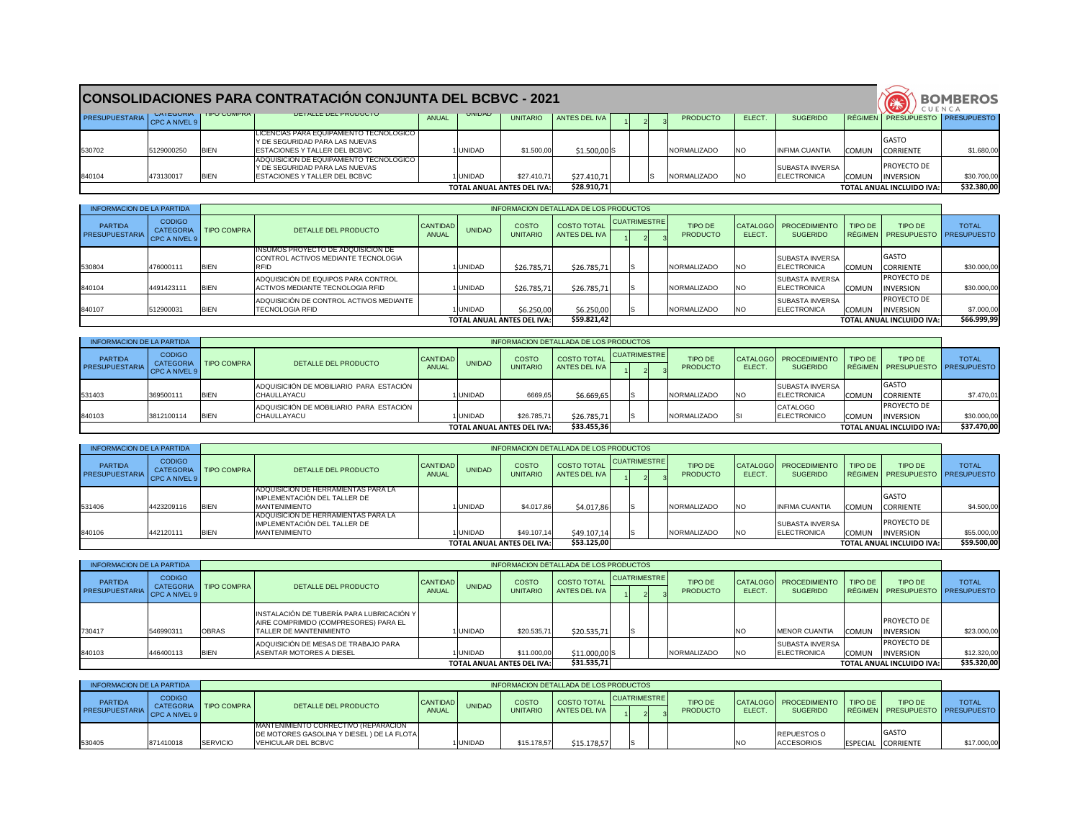|                              |            |                                   | <b>CONSOLIDACIONES PARA CONTRATACION CONJUNTA DEL BCBVC - 2021</b>                                                  |       |                |                                   |               |  |                     |            |                                       |              | CUENCA                                 | <b>BOMBEROS</b> |
|------------------------------|------------|-----------------------------------|---------------------------------------------------------------------------------------------------------------------|-------|----------------|-----------------------------------|---------------|--|---------------------|------------|---------------------------------------|--------------|----------------------------------------|-----------------|
| PRESUPUESTARIA CPC A NIVEL 9 |            | <b>UAI EUURIA   IIPU UUIVIFRA</b> | <b>UETALLE DEL PRODUCTU</b>                                                                                         | ANUAL | <b>UINIDAD</b> | <b>UNITARIO</b>                   | ANTES DEL IVA |  | <b>PRODUCTO</b>     | ELECT.     | <b>SUGERIDO</b>                       |              | RÉGIMEN   PRESUPUESTO   PRESUPUESTO    |                 |
| 530702                       | 5129000250 | <b>BIEN</b>                       | LICENCIAS PARA EQUIPAMIENTO TECNOLOGICO I<br>Y DE SEGURIDAD PARA LAS NUEVAS<br><b>ESTACIONES Y TALLER DEL BCBVC</b> |       | <b>UNIDAD</b>  | \$1.500,00                        | $$1.500,00$ S |  | <b>INORMALIZADO</b> | <b>INO</b> | <b>INFIMA CUANTIA</b>                 | <b>COMUN</b> | <b>GASTO</b><br><b>CORRIENTE</b>       | \$1.680,00      |
| 840104                       | 473130017  | <b>BIEN</b>                       | ADQUISICION DE EQUIPAMIENTO TECNOLOGICO  <br>Y DE SEGURIDAD PARA LAS NUEVAS<br><b>ESTACIONES Y TALLER DEL BCBVC</b> |       | <b>UNIDAD</b>  | \$27.410,71                       | \$27.410,71   |  | NORMALIZADO         | INO        | <b>SUBASTA INVERSA</b><br>ELECTRONICA | <b>COMUN</b> | <b>PROYECTO DE</b><br><b>INVERSION</b> | \$30.700,00     |
|                              |            |                                   |                                                                                                                     |       |                | <b>TOTAL ANUAL ANTES DEL IVA:</b> | \$28.910,71   |  |                     |            |                                       |              | <b>TOTAL ANUAL INCLUIDO IVA:</b>       | \$32.380,00     |

| <b>INFORMACION DE LA PARTIDA</b>        |                                                    |             |                                                                                          |                                 |               |                                   | INFORMACION DETALLADA DE LOS PRODUCTOS |              |                                   |            |                                               |              |                                                |              |
|-----------------------------------------|----------------------------------------------------|-------------|------------------------------------------------------------------------------------------|---------------------------------|---------------|-----------------------------------|----------------------------------------|--------------|-----------------------------------|------------|-----------------------------------------------|--------------|------------------------------------------------|--------------|
| <b>PARTIDA</b><br><b>PRESUPUESTARIA</b> | <b>CODIGO</b><br><b>CATEGORIA</b><br>CPC A NIVEL 9 | TIPO COMPRA | DETALLE DEL PRODUCTO                                                                     | <b>CANTIDAD</b><br><b>ANUAL</b> | <b>UNIDAD</b> | <b>COSTO</b><br><b>UNITARIO</b>   | <b>COSTO TOTAL</b><br>ANTES DEL IVA    | CUATRIMESTRE | <b>TIPO DE</b><br><b>PRODUCTO</b> | ELECT.     | CATALOGO PROCEDIMIENTO<br><b>SUGERIDO</b>     | TIPO DE      | TIPO DE<br>RÉGIMEN   PRESUPUESTO   PRESUPUESTO | <b>TOTAL</b> |
| 530804                                  | 476000111                                          | <b>BIEN</b> | <b>INSUMOS PROYECTO DE ADQUISICION DE</b><br>CONTROL ACTIVOS MEDIANTE TECNOLOGIA<br>RFID |                                 | <b>UNIDAD</b> | \$26.785,71                       | \$26.785,71                            |              | <b>NORMALIZADO</b>                | <b>NO</b>  | <b>ISUBASTA INVERSA</b><br><b>ELECTRONICA</b> | <b>COMUN</b> | <b>I</b> GASTO<br><b>ICORRIENTE</b>            | \$30.000,00  |
| 840104                                  | 4491423111                                         | <b>BIEN</b> | ADQUISICIÓN DE EQUIPOS PARA CONTROL<br>ACTIVOS MEDIANTE TECNOLOGIA RFID                  |                                 | <b>UNIDAD</b> | \$26.785,71                       | \$26.785,71                            |              | NORMALIZADO                       | <b>NO</b>  | <b>SUBASTA INVERSA</b><br><b>ELECTRONICA</b>  | <b>COMUN</b> | PROYECTO DE<br>INVERSION                       | \$30.000,00  |
| 840107                                  | 512900031                                          | <b>BIEN</b> | ADQUISICIÓN DE CONTROL ACTIVOS MEDIANTE<br><b>ITECNOLOGIA RFID</b>                       |                                 | <b>UNIDAD</b> | \$6.250,00                        | \$6.250,00                             |              | <b>INORMALIZADO</b>               | <b>INO</b> | <b>SUBASTA INVERSA</b><br><b>IELECTRONICA</b> | <b>COMUN</b> | PROYECTO DE<br><b>INVERSION</b>                | \$7.000,00   |
|                                         |                                                    |             |                                                                                          |                                 |               | <b>TOTAL ANUAL ANTES DEL IVA:</b> | \$59.821,42                            |              |                                   |            |                                               |              | <b>TOTAL ANUAL INCLUIDO IVA:</b>               | \$66.999,99  |

| <b>INFORMACION DE LA PARTIDA</b>        |                                |                         |                                                                 |                                 |               |                                   | INFORMACION DETALLADA DE LOS PRODUCTOS |              |  |                                   |            |                                               |              |                                                       |              |
|-----------------------------------------|--------------------------------|-------------------------|-----------------------------------------------------------------|---------------------------------|---------------|-----------------------------------|----------------------------------------|--------------|--|-----------------------------------|------------|-----------------------------------------------|--------------|-------------------------------------------------------|--------------|
| <b>PARTIDA</b><br><b>PRESUPUESTARIA</b> | <b>CODIGO</b><br>CPC A NIVEL 9 | CATEGORIA   TIPO COMPRA | DETALLE DEL PRODUCTO                                            | <b>CANTIDAD</b><br><b>ANUAL</b> | <b>UNIDAD</b> | <b>COSTO</b><br><b>UNITARIO</b>   | <b>COSTO TOTAL</b><br>ANTES DEL IVA I  | CUATRIMESTRE |  | <b>TIPO DE</b><br><b>PRODUCTO</b> | ELECT.     | CATALOGO   PROCEDIMIENTO  <br><b>SUGERIDO</b> | TIPO DE      | <b>TIPO DE</b><br>RÉGIMEN   PRESUPUESTO   PRESUPUESTO | <b>TOTAL</b> |
| 531403                                  | 369500111                      | <b>IBIEN</b>            | ADQUISICIIÓN DE MOBILIARIO PARA ESTACIÓN<br><b>ICHAULLAYACU</b> |                                 | <b>UNIDAD</b> | 6669,65                           | \$6.669,65                             |              |  | <b>NORMALIZADO</b>                | <b>INO</b> | <b>SUBASTA INVERSA</b><br><b>IELECTRONICA</b> |              | <b>I</b> GASTO<br>COMUN CORRIENTE                     | \$7.470,01   |
| 840103                                  | 3812100114                     | <b>BIEN</b>             | ADQUISICIIÓN DE MOBILIARIO PARA ESTACIÓN<br>ICHAULLAYACU        |                                 | <b>UNIDAD</b> | \$26.785,71                       | \$26.785,71                            |              |  | NORMALIZADO                       |            | <b>CATALOGO</b><br>ELECTRONICO                | <b>COMUN</b> | <b>PROYECTO DE</b><br><b>INVERSION</b>                | \$30.000,00  |
|                                         |                                |                         |                                                                 |                                 |               | <b>TOTAL ANUAL ANTES DEL IVA:</b> | \$33.455,36                            |              |  |                                   |            |                                               |              | <b>TOTAL ANUAL INCLUIDO IVA:</b>                      | \$37.470,00  |

| <b>INFORMACION DE LA PARTIDA</b>        |                                |                         |                                                                                                     |                                 |               |                                   | INFORMACION DETALLADA DE LOS PRODUCTOS |                     |                                   |           |                                               |              |                                                |              |
|-----------------------------------------|--------------------------------|-------------------------|-----------------------------------------------------------------------------------------------------|---------------------------------|---------------|-----------------------------------|----------------------------------------|---------------------|-----------------------------------|-----------|-----------------------------------------------|--------------|------------------------------------------------|--------------|
| <b>PARTIDA</b><br><b>PRESUPUESTARIA</b> | <b>CODIGO</b><br>CPC A NIVEL 9 | CATEGORIA   TIPO COMPRA | DETALLE DEL PRODUCTO                                                                                | <b>CANTIDAD</b><br><b>ANUAL</b> | <b>UNIDAD</b> | <b>COSTO</b><br><b>UNITARIO</b>   | <b>COSTO TOTAL</b><br>ANTES DEL IVA    | <b>CUATRIMESTRE</b> | <b>TIPO DE</b><br><b>PRODUCTO</b> | ELECT.    | CATALOGO   PROCEDIMIENTO  <br><b>SUGERIDO</b> | TIPO DE      | TIPO DE<br>RÉGIMEN   PRESUPUESTO   PRESUPUESTO | <b>TOTAL</b> |
| 531406                                  | 4423209116                     | <b>BIEN</b>             | <b>ADQUISICION DE HERRAMIENTAS PARA LA</b><br>IMPLEMENTACIÓN DEL TALLER DE<br><b>IMANTENIMIENTO</b> |                                 | <b>UNIDAD</b> | \$4.017,86                        | \$4.017,86                             |                     | NORMALIZADO                       | <b>NO</b> | <b>INFIMA CUANTIA</b>                         | <b>COMUN</b> | <b>IGASTO</b><br><b>CORRIENTE</b>              | \$4.500,00   |
| 840106                                  | 442120111                      | <b>BIEN</b>             | <b>ADQUISICION DE HERRAMIENTAS PARA LA</b><br>IMPLEMENTACIÓN DEL TALLER DE<br><b>IMANTENIMIENTO</b> |                                 | <b>UNIDAD</b> | \$49.107,14                       | \$49.107,14                            |                     | NORMALIZADO                       | <b>NO</b> | <b>SUBASTA INVERSA</b><br><b>ELECTRONICA</b>  | <b>COMUN</b> | <b>PROYECTO DE</b><br><b>INVERSION</b>         | \$55.000,00  |
|                                         |                                |                         |                                                                                                     |                                 |               | <b>TOTAL ANUAL ANTES DEL IVA:</b> | \$53.125,00                            |                     |                                   |           |                                               |              | <b>TOTAL ANUAL INCLUIDO IVA:</b>               | \$59.500,00  |

| <b>INFORMACION DE LA PARTIDA</b>        |                                                    |                    |                                                                                                                |                          |                |                                   | INFORMACION DETALLADA DE LOS PRODUCTOS |                     |                                   |            |                                              |              |                                                |              |
|-----------------------------------------|----------------------------------------------------|--------------------|----------------------------------------------------------------------------------------------------------------|--------------------------|----------------|-----------------------------------|----------------------------------------|---------------------|-----------------------------------|------------|----------------------------------------------|--------------|------------------------------------------------|--------------|
| <b>PARTIDA</b><br><b>PRESUPUESTARIA</b> | <b>CODIGO</b><br><b>CATEGORIA</b><br>CPC A NIVEL 9 | <b>TIPO COMPRA</b> | DETALLE DEL PRODUCTO                                                                                           | CANTIDAD<br><b>ANUAL</b> | <b>UNIDAD</b>  | <b>COSTO</b><br><b>UNITARIO</b>   | <b>COSTO TOTAL</b><br>ANTES DEL IVA    | <b>CUATRIMESTRE</b> | <b>TIPO DE</b><br><b>PRODUCTO</b> | ELECT.     | CATALOGO   PROCEDIMIENTO<br><b>SUGERIDO</b>  | TIPO DE      | TIPO DE<br>RÉGIMEN   PRESUPUESTO   PRESUPUESTO | <b>TOTAL</b> |
| 730417                                  | 546990311                                          | <b>OBRAS</b>       | INSTALACIÓN DE TUBERÍA PARA LUBRICACIÓN Y<br>AIRE COMPRIMIDO (COMPRESORES) PARA EL<br>ITALLER DE MANTENIMIENTO |                          | <b>UNIDAD</b>  | \$20.535,71                       | \$20.535,71                            |                     |                                   |            | <b>MENOR CUANTIA</b>                         | <b>COMUN</b> | <b>PROYECTO DE</b><br><b>INVERSION</b>         | \$23.000,00  |
| 840103                                  | 446400113                                          | <b>BIEN</b>        | ADQUISICIÓN DE MESAS DE TRABAJO PARA<br>ASENTAR MOTORES A DIESEL                                               |                          | <b>IUNIDAD</b> | \$11.000,00                       | $$11.000,00$ S                         |                     | NORMALIZADO                       | <b>INO</b> | <b>SUBASTA INVERSA</b><br><b>ELECTRONICA</b> | <b>COMUN</b> | <b>PROYECTO DE</b><br><b>INVERSION</b>         | \$12.320,00  |
|                                         |                                                    |                    |                                                                                                                |                          |                | <b>TOTAL ANUAL ANTES DEL IVA:</b> | \$31.535,71                            |                     |                                   |            |                                              |              | <b>TOTAL ANUAL INCLUIDO IVA:</b>               | \$35.320,00  |

| INFORMACION DE LA PARTIDA               |                                    |                         |                                                                                                                   |                            |               |                          | INFORMACION DETALLADA DE LOS PRODUCTOS |                       |                            |        |                                               |           |                                                   |             |
|-----------------------------------------|------------------------------------|-------------------------|-------------------------------------------------------------------------------------------------------------------|----------------------------|---------------|--------------------------|----------------------------------------|-----------------------|----------------------------|--------|-----------------------------------------------|-----------|---------------------------------------------------|-------------|
| <b>PARTIDA</b><br><b>PRESUPUESTARIA</b> | <b>CODIGO</b><br>$ $ CPC A NIVEL 9 | CATEGORIA   TIPO COMPRA | DETALLE DEL PRODUCTO                                                                                              | CANTIDAD  <br><b>ANUAL</b> | <b>UNIDAD</b> | COSTO<br><b>UNITARIO</b> | COSTO TOTAL<br>ANTES DEL IVA           | <b>CUATRIMESTRE I</b> | TIPO DE<br><b>PRODUCTO</b> | ELECT. | CATALOGO   PROCEDIMIENTO  <br><b>SUGERIDO</b> | I TIPO DE | <b>TIPO DE</b><br>RÉGIMEN PRESUPUESTO PRESUPUESTO | <b>TOTA</b> |
| 530405                                  | 871410018                          | <b>SERVICIO</b>         | <u>  MANTENIMIENTO CORRECTIVO (REPARACION</u><br>DE MOTORES GASOLINA Y DIESEL) DE LA FLOTA<br>VEHICULAR DEL BCBVC |                            | <b>UNIDAD</b> | \$15.178,57              | \$15.178,57                            |                       |                            |        | <b>REPUESTOS O</b><br><b>ACCESORIOS</b>       |           | <b>IGASTO</b><br>ESPECIAL CORRIENTE               | \$17.000,00 |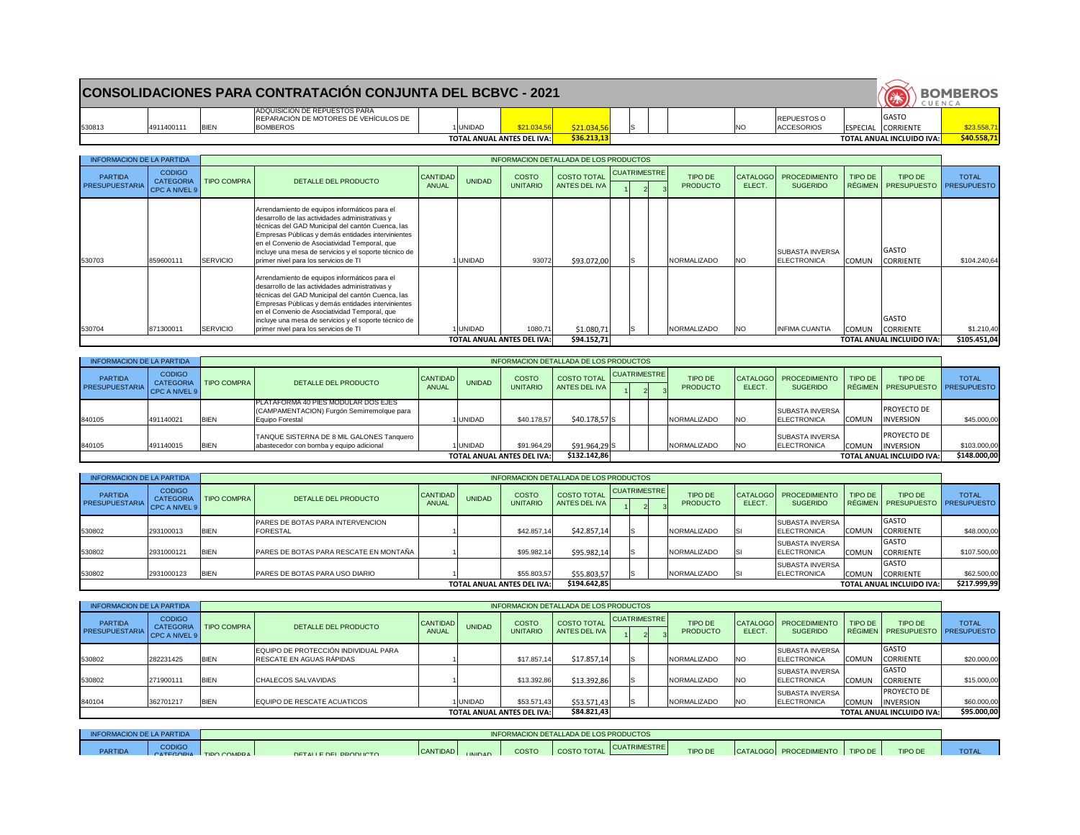# **CONSOLIDACIONES PARA CONTRATACIÓN CONJUNTA DEL BCBVC - 2021**

| 530813 |  |
|--------|--|

4911400111 BIEN

ADQUISICION DE REPUESTOS PARA REPARACIÓN DE MOTORES DE VEHÍCULOS DE BOMBEROS 1|UNIDAD <mark>| \$21.034,56| \$21.034,56|</mark> |S | | |NO

**TOTAL ANUAL ANTES DEL IVA:** \$36.213,13

|             |    |  |     |                                          |                 | CUENCA                            | <b>BOMBEROS</b> |
|-------------|----|--|-----|------------------------------------------|-----------------|-----------------------------------|-----------------|
| \$21.034,56 | Is |  | INO | <b>IREPUESTOS O</b><br><b>ACCESORIOS</b> | <b>ESPECIAL</b> | <b>GASTO</b><br><b>ICORRIENTE</b> | \$23.558,71     |
| \$36.213,13 |    |  |     |                                          |                 | <b>TOTAL ANUAL INCLUIDO IVA:</b>  | \$40.558,71     |

| <b>INFORMACION DE LA PARTIDA</b>        |                                                    |                 |                                                                                                                                                                                                                                                                                                                                                                |                          |               |                                   | INFORMACION DETALLADA DE LOS PRODUCTOS |                     |  |                            |                    |                                                |         |                                                       |              |
|-----------------------------------------|----------------------------------------------------|-----------------|----------------------------------------------------------------------------------------------------------------------------------------------------------------------------------------------------------------------------------------------------------------------------------------------------------------------------------------------------------------|--------------------------|---------------|-----------------------------------|----------------------------------------|---------------------|--|----------------------------|--------------------|------------------------------------------------|---------|-------------------------------------------------------|--------------|
| <b>PARTIDA</b><br><b>PRESUPUESTARIA</b> | <b>CODIGO</b><br><b>CATEGORIA</b><br>CPC A NIVEL 9 | TIPO COMPRA     | DETALLE DEL PRODUCTO                                                                                                                                                                                                                                                                                                                                           | CANTIDAD<br><b>ANUAL</b> | <b>UNIDAD</b> | <b>COSTO</b><br><b>UNITARIO</b>   | <b>COSTO TOTAL</b><br>ANTES DEL IVA    | <b>CUATRIMESTRE</b> |  | TIPO DE<br><b>PRODUCTO</b> | CATALOGO<br>ELECT. | <b>PROCEDIMIENTO</b><br><b>SUGERIDO</b>        | TIPO DE | <b>TIPO DE</b><br>RÉGIMEN   PRESUPUESTO   PRESUPUESTO | <b>TOTAL</b> |
| 530703                                  | 859600111                                          | <b>SERVICIO</b> | Arrendamiento de equipos informáticos para el<br>desarrollo de las actividades administrativas y<br>técnicas del GAD Municipal del cantón Cuenca, las<br>Empresas Públicas y demás entidades intervinientes<br>en el Convenio de Asociatividad Temporal, que<br>incluye una mesa de servicios y el soporte técnico de<br>primer nivel para los servicios de TI |                          | <b>UNIDAD</b> | 93072                             | \$93.072,00                            |                     |  | <b>INORMALIZADO</b>        | NO.                | <b>ISUBASTA INVERSA</b><br><b>IELECTRONICA</b> | COMUN   | <b>GASTO</b><br><b>CORRIENTE</b>                      | \$104.240,64 |
| 530704                                  | 871300011                                          | SERVICIO        | Arrendamiento de equipos informáticos para el<br>desarrollo de las actividades administrativas y<br>técnicas del GAD Municipal del cantón Cuenca, las<br>Empresas Públicas y demás entidades intervinientes<br>en el Convenio de Asociatividad Temporal, que<br>incluye una mesa de servicios y el soporte técnico de<br>primer nivel para los servicios de TI |                          | <b>UNIDAD</b> | 1080,71                           | \$1.080,71                             |                     |  | NORMALIZADO                | <b>NO</b>          | <b>INFIMA CUANTIA</b>                          | COMUN   | <b>GASTO</b><br><b>CORRIENTE</b>                      | \$1.210,40   |
|                                         |                                                    |                 |                                                                                                                                                                                                                                                                                                                                                                |                          |               | <b>TOTAL ANUAL ANTES DEL IVA:</b> | \$94.152,71                            |                     |  |                            |                    |                                                |         | <b>TOTAL ANUAL INCLUIDO IVA:</b>                      | \$105.451,04 |

| <b>INFORMACION DE LA PARTIDA</b>        |                                   |                         |                                                                                                      |                          |               |                                   | INFORMACION DETALLADA DE LOS PRODUCTOS |                     |                            |              |                                                |              |                                                |              |
|-----------------------------------------|-----------------------------------|-------------------------|------------------------------------------------------------------------------------------------------|--------------------------|---------------|-----------------------------------|----------------------------------------|---------------------|----------------------------|--------------|------------------------------------------------|--------------|------------------------------------------------|--------------|
| <b>PARTIDA</b><br><b>PRESUPUESTARIA</b> | <b>CODIGO</b><br>LCPC A NIVEL 9 L | CATEGORIA   TIPO COMPRA | DETALLE DEL PRODUCTO                                                                                 | CANTIDAD<br><b>ANUAL</b> | <b>UNIDAD</b> | <b>COSTO</b><br><b>UNITARIO</b>   | <b>COSTO TOTAL</b><br>ANTES DEL IVA    | <b>CUATRIMESTRE</b> | TIPO DE<br><b>PRODUCTO</b> | <b>ELECT</b> | CATALOGO   PROCEDIMIENTO<br><b>SUGERIDO</b>    | TIPO DE      | TIPO DE<br>RÉGIMEN   PRESUPUESTO   PRESUPUESTO | <b>TOTAL</b> |
| 840105                                  | 491140021                         | <b>BIEN</b>             | PLATAFORMA 40 PIES MODULAR DOS EJES<br>(CAMPAMENTACION) Furgón Semirremolque para<br>Equipo Forestal |                          | <b>UNIDAD</b> | \$40.178,57                       | $$40.178,57$ S                         |                     | NORMALIZADO                | <b>INO</b>   | <b>ISUBASTA INVERSA</b><br><b>IELECTRONICA</b> | <b>COMUN</b> | <b>PROYECTO DE</b><br>INVERSION                | \$45.000,00  |
| 840105                                  | 491140015                         | <b>BIEN</b>             | TANQUE SISTERNA DE 8 MIL GALONES Tanquero  <br>abastecedor con bomba y equipo adicional              |                          | <b>UNIDAD</b> | \$91.964,29                       | $$91.964,29$ S                         |                     | NORMALIZADO                | <b>INO</b>   | <b>ISUBASTA INVERSA</b><br><b>ELECTRONICA</b>  | <b>COMUN</b> | <b>PROYECTO DE</b><br><b>INVERSION</b>         | \$103.000,00 |
|                                         |                                   |                         |                                                                                                      |                          |               | <b>TOTAL ANUAL ANTES DEL IVA:</b> | \$132.142,86                           |                     |                            |              |                                                |              | <b>TOTAL ANUAL INCLUIDO IVA:</b>               | \$148.000,00 |

| <b>INFORMACION DE LA PARTIDA</b>        |                                             |                    |                                                     |                          |               |                                 | INFORMACION DETALLADA DE LOS PRODUCTOS |                     |                                   |        |                                               |              |                                                  |              |
|-----------------------------------------|---------------------------------------------|--------------------|-----------------------------------------------------|--------------------------|---------------|---------------------------------|----------------------------------------|---------------------|-----------------------------------|--------|-----------------------------------------------|--------------|--------------------------------------------------|--------------|
| <b>PARTIDA</b><br><b>PRESUPUESTARIA</b> | <b>CODIGO</b><br>CATEGORIA<br>CPC A NIVEL 9 | <b>TIPO COMPRA</b> | DETALLE DEL PRODUCTO                                | CANTIDAD<br><b>ANUAL</b> | <b>UNIDAD</b> | <b>COSTO</b><br><b>UNITARIO</b> | <b>COSTO TOTAL</b><br>ANTES DEL IVA    | <b>CUATRIMESTRE</b> | <b>TIPO DE</b><br><b>PRODUCTO</b> | ELECT. | CATALOGO   PROCEDIMIENTO<br><b>SUGERIDO</b>   | TIPO DE      | TIPO DE<br>  RÉGIMEN   PRESUPUESTO   PRESUPUESTO | <b>TOTAL</b> |
| 530802                                  | 293100013                                   | <b>BIEN</b>        | PARES DE BOTAS PARA INTERVENCION<br><b>FORESTAL</b> |                          |               | \$42.857,14                     | \$42.857,14                            |                     | NORMALIZADO                       |        | <b>SUBASTA INVERSA</b><br><b>ELECTRONICA</b>  | <b>COMUN</b> | <b>GASTO</b><br><b>CORRIENTE</b>                 | \$48.000,00  |
| 530802                                  | 2931000121                                  | <b>BIEN</b>        | PARES DE BOTAS PARA RESCATE EN MONTAÑA              |                          |               | \$95.982,14                     | \$95.982,14                            |                     | NORMALIZADO                       |        | <b>SUBASTA INVERSA</b><br><b>IELECTRONICA</b> | <b>COMUN</b> | <b>GASTO</b><br><b>CORRIENTE</b>                 | \$107.500,00 |
| 530802                                  | 2931000123                                  | <b>IBIEN</b>       | <b>PARES DE BOTAS PARA USO DIARIO</b>               |                          |               | \$55.803,57                     | \$55.803,57                            |                     | NORMALIZADO                       |        | <b>SUBASTA INVERSA</b><br><b>ELECTRONICA</b>  | <b>COMUN</b> | <b>GASTO</b><br><b>CORRIENTE</b>                 | \$62.500,00  |
|                                         | <b>TOTAL ANUAL ANTES DEL IVA:</b>           |                    |                                                     |                          |               |                                 | \$194.642,85                           |                     |                                   |        |                                               |              | <b>TOTAL ANUAL INCLUIDO IVA:</b>                 | \$217.999,99 |

| <b>INFORMACION DE LA PARTIDA</b> |                                |                         |                                                                  |                                   |               |                          | INFORMACION DETALLADA DE LOS PRODUCTOS |              |                                   |            |                                               |              |                                                       |              |
|----------------------------------|--------------------------------|-------------------------|------------------------------------------------------------------|-----------------------------------|---------------|--------------------------|----------------------------------------|--------------|-----------------------------------|------------|-----------------------------------------------|--------------|-------------------------------------------------------|--------------|
| <b>PARTIDA</b><br>PRESUPUESTARIA | <b>CODIGO</b><br>CPC A NIVEL 9 | CATEGORIA   TIPO COMPRA | DETALLE DEL PRODUCTO                                             | CANTIDAD<br><b>ANUAL</b>          | <b>UNIDAD</b> | COSTO<br><b>UNITARIO</b> | <b>COSTO TOTAL</b><br>ANTES DEL IVA    | CUATRIMESTRE | <b>TIPO DE</b><br><b>PRODUCTO</b> | ELECT.     | CATALOGO PROCEDIMIENTO<br><b>SUGERIDO</b>     | TIPO DE      | <b>TIPO DE</b><br>RÉGIMEN   PRESUPUESTO   PRESUPUESTO | <b>TOTAL</b> |
| 530802                           | 282231425                      | <b>BIEN</b>             | EQUIPO DE PROTECCIÓN INDIVIDUAL PARA<br>RESCATE EN AGUAS RÁPIDAS |                                   |               | \$17.857,14              | \$17.857,14                            |              | NORMALIZADO                       | <b>NO</b>  | <b>SUBASTA INVERSA</b><br><b>IELECTRONICA</b> | <b>COMUN</b> | <b>GASTO</b><br><b>CORRIENTE</b>                      | \$20.000,00  |
| 530802                           | 271900111                      | <b>BIEN</b>             | <b>CHALECOS SALVAVIDAS</b>                                       |                                   |               | \$13.392,86              | \$13.392,86                            |              | <b>INORMALIZADO</b>               | <b>INO</b> | <b>SUBASTA INVERSA</b><br><b>IELECTRONICA</b> | <b>COMUN</b> | IGASTO<br><b>CORRIENTE</b>                            | \$15.000,00  |
| 840104                           | 362701217                      | <b>BIEN</b>             | EQUIPO DE RESCATE ACUATICOS                                      |                                   | <b>UNIDAD</b> | \$53.571,43              | \$53.571,43                            |              | NORMALIZADO                       | <b>NO</b>  | <b>SUBASTA INVERSA</b><br>ELECTRONICA         | <b>COMUN</b> | <b>PROYECTO DE</b><br><b>INVERSION</b>                | \$60.000,00  |
|                                  |                                |                         |                                                                  | <b>TOTAL ANUAL ANTES DEL IVA:</b> | \$84.821,43   |                          |                                        |              |                                   |            | <b>TOTAL ANUAL INCLUIDO IVA:</b>              | \$95.000,00  |                                                       |              |

| INFORMACION DE LA PARTIDA |               |                         |                       |                 |                 |              | NINFORMACION DETALLADA DE LOS PRODUCTOS |                     |                |                                    |                |             |
|---------------------------|---------------|-------------------------|-----------------------|-----------------|-----------------|--------------|-----------------------------------------|---------------------|----------------|------------------------------------|----------------|-------------|
| <b>PARTIDA</b>            | <b>CODIGO</b> | CATECORIA TIDO COMPRA L | DETALLE DEL DOODLICTO | <b>CANTIDAD</b> | <b>LINIIDAD</b> | <b>COSTO</b> | COSTO TOTAL                             | <b>CUATRIMESTRE</b> | <b>TIPO DE</b> | CATALOGO   PROCEDIMIENTO   TIPO DE | <b>TIPO DE</b> | <b>TOTA</b> |
|                           |               |                         |                       |                 |                 |              |                                         |                     |                |                                    |                |             |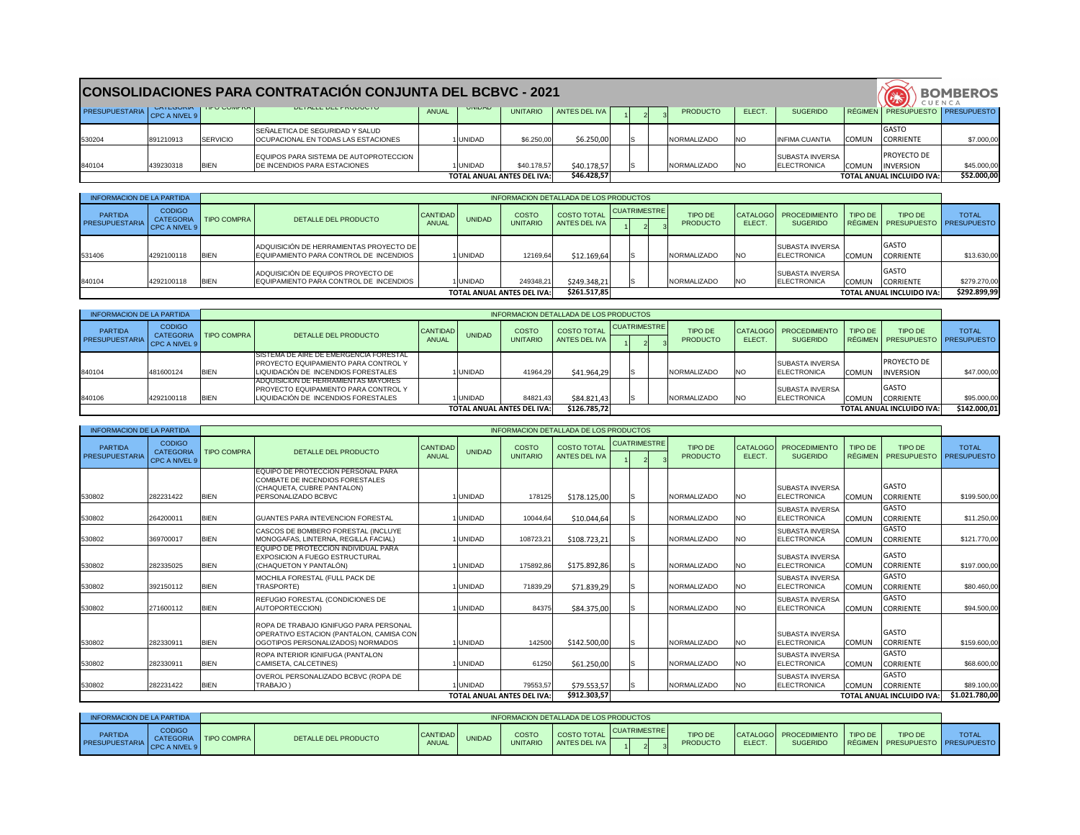|                                                                                                                                                                                                           |                                                                                                                                                                                                                                                                |          | <b>CONSOLIDACIONES PARA CONTRATACIÓN CONJUNTA DEL BCBVC - 2021</b>     |                                   |               |            |            |  |  |  |             |           |                                               |              | CUENCA                                 | <b>BOMBEROS</b> |
|-----------------------------------------------------------------------------------------------------------------------------------------------------------------------------------------------------------|----------------------------------------------------------------------------------------------------------------------------------------------------------------------------------------------------------------------------------------------------------------|----------|------------------------------------------------------------------------|-----------------------------------|---------------|------------|------------|--|--|--|-------------|-----------|-----------------------------------------------|--------------|----------------------------------------|-----------------|
|                                                                                                                                                                                                           | <b>UETALLE DEL PRODUCTO</b><br><b>UATEGURIA   TIPU GUIVIPRA</b><br><b>UINIDAD</b><br>RÉGIMEN   PRESUPUESTO   PRESUPUESTO  <br>PRESUPUESTARIA CPC A NIVEL 9<br><b>ANUAL</b><br>ANTES DEL IVA<br>ELECT.<br><b>UNITARIO</b><br><b>PRODUCTO</b><br><b>SUGERIDO</b> |          |                                                                        |                                   |               |            |            |  |  |  |             |           |                                               |              |                                        |                 |
| 530204                                                                                                                                                                                                    | 891210913                                                                                                                                                                                                                                                      | SERVICIO | SEÑALETICA DE SEGURIDAD Y SALUD<br>OCUPACIONAL EN TODAS LAS ESTACIONES |                                   | <b>UNIDAD</b> | \$6.250,00 | \$6.250,00 |  |  |  | NORMALIZADO | <b>NO</b> | <b>INFIMA CUANTIA</b>                         | <b>COMUN</b> | <b>IGASTO</b><br><b>CORRIENTE</b>      | \$7.000,00      |
| EQUIPOS PARA SISTEMA DE AUTOPROTECCION  <br>840104<br>\$40.178,57<br>\$40.178,57<br>439230318<br><b>BIEN</b><br><b>NORMALIZADO</b><br><b>JDE INCENDIOS PARA ESTACIONES</b><br><b>UNIDAD</b><br><b>INO</b> |                                                                                                                                                                                                                                                                |          |                                                                        |                                   |               |            |            |  |  |  |             |           | <b>ISUBASTA INVERSA</b><br><b>ELECTRONICA</b> | <b>COMUN</b> | <b>PROYECTO DE</b><br><b>INVERSION</b> | \$45.000,00     |
|                                                                                                                                                                                                           |                                                                                                                                                                                                                                                                |          |                                                                        | <b>TOTAL ANUAL ANTES DEL IVA:</b> | \$46.428,57   |            |            |  |  |  |             |           | <b>TOTAL ANUAL INCLUIDO IVA:</b>              | \$52.000,00  |                                        |                 |

| <b>INFORMACION DE LA PARTIDA</b>        |                                                    |                                   |                                                                                   |                                 |               |                                 | INFORMACION DETALLADA DE LOS PRODUCTOS |                     |                                   |              |                                                |              |                                                       |              |
|-----------------------------------------|----------------------------------------------------|-----------------------------------|-----------------------------------------------------------------------------------|---------------------------------|---------------|---------------------------------|----------------------------------------|---------------------|-----------------------------------|--------------|------------------------------------------------|--------------|-------------------------------------------------------|--------------|
| <b>PARTIDA</b><br><b>PRESUPUESTARIA</b> | <b>CODIGO</b><br><b>CATEGORIA</b><br>CPC A NIVEL 9 | <b>TIPO COMPRA</b>                | DETALLE DEL PRODUCTO                                                              | <b>CANTIDAD</b><br><b>ANUAL</b> | <b>UNIDAD</b> | <b>COSTO</b><br><b>UNITARIO</b> | <b>COSTO TOTAL</b><br>ANTES DEL IVA    | <b>CUATRIMESTRE</b> | <b>TIPO DE</b><br><b>PRODUCTO</b> | <b>ELECT</b> | CATALOGO   PROCEDIMIENTO<br><b>SUGERIDO</b>    | TIPO DE      | <b>TIPO DE</b><br>RÉGIMEN   PRESUPUESTO   PRESUPUESTO | <b>TOTAL</b> |
| 531406                                  | 4292100118                                         | <b>IBIEN</b>                      | ADQUISICIÓN DE HERRAMIENTAS PROYECTO DE<br>EQUIPAMIENTO PARA CONTROL DE INCENDIOS |                                 | I UNIDAD.     | 12169,64                        | \$12.169,64                            |                     | NORMALIZADO                       | <b>INO</b>   | <b>ISUBASTA INVERSA</b><br><b>IELECTRONICA</b> | <b>COMUN</b> | <b>GASTO</b><br><b>CORRIENTE</b>                      | \$13.630,00  |
| 840104                                  | 4292100118                                         | <b>BIEN</b>                       | ADQUISICIÓN DE EQUIPOS PROYECTO DE<br>EQUIPAMIENTO PARA CONTROL DE INCENDIOS      |                                 | 1UNIDAD       | 249348,21                       | \$249.348,21                           |                     | NORMALIZADO                       | <b>INO</b>   | <b>SUBASTA INVERSA</b><br><b>ELECTRONICA</b>   | <b>COMUN</b> | <b>GASTO</b><br>CORRIENTE                             | \$279.270,00 |
|                                         |                                                    | <b>TOTAL ANUAL ANTES DEL IVA:</b> | \$261.517,85                                                                      |                                 |               |                                 |                                        |                     | <b>TOTAL ANUAL INCLUIDO IVA:</b>  | \$292.899,99 |                                                |              |                                                       |              |

| INFORMACION DE LA PARTIDA               |                                                    |                    |                                                                                                                        |                          |               |                                 | INFORMACION DETALLADA DE LOS PRODUCTOS |                     |                            |            |                                                 |              |                                                       |              |
|-----------------------------------------|----------------------------------------------------|--------------------|------------------------------------------------------------------------------------------------------------------------|--------------------------|---------------|---------------------------------|----------------------------------------|---------------------|----------------------------|------------|-------------------------------------------------|--------------|-------------------------------------------------------|--------------|
| <b>PARTIDA</b><br><b>PRESUPUESTARIA</b> | <b>CODIGO</b><br><b>CATEGORIA</b><br>CPC A NIVEL 9 | <b>TIPO COMPRA</b> | DETALLE DEL PRODUCTO                                                                                                   | CANTIDAD<br><b>ANUAL</b> | <b>UNIDAD</b> | <b>COSTO</b><br><b>UNITARIO</b> | <b>COSTO TOTAL</b><br>ANTES DEL IVA I  | <b>CUATRIMESTRE</b> | TIPO DE<br><b>PRODUCTO</b> | ELECT.     | CATALOGO   PROCEDIMIENTO  <br><b>SUGERIDO</b>   | TIPO DE      | <b>TIPO DE</b><br>RÉGIMEN   PRESUPUESTO   PRESUPUESTO | <b>TOTAL</b> |
| 840104                                  | 481600124                                          | <b>BIEN</b>        | ISISTEMA DE AIRE DE EMERGENCIA FORESTAL<br>PROYECTO EQUIPAMIENTO PARA CONTROL Y<br>LIQUIDACIÓN DE INCENDIOS FORESTALES |                          | I UNIDAD      | 41964,29                        | \$41.964,29                            |                     | NORMALIZADO                | <b>INO</b> | <b>I</b> SUBASTA INVERSA<br><b>IELECTRONICA</b> | <b>COMUN</b> | PROYECTO DE<br><b>INVERSION</b>                       | \$47.000,00  |
| 840106                                  | 4292100118                                         | <b>BIEN</b>        | ADQUISICION DE HERRAMIENTAS MAYORES<br>PROYECTO EQUIPAMIENTO PARA CONTROL Y<br>LIQUIDACIÓN DE INCENDIOS FORESTALES     |                          | 1 IUNIDAD     | 84821,43                        | \$84.821,43                            |                     | <b>INORMALIZADO</b>        | <b>NO</b>  | <b>I</b> SUBASTA INVERSA<br><b>IELECTRONICA</b> |              | <b>GASTO</b><br>COMUN CORRIENTE                       | \$95.000,00  |
|                                         | <b>TOTAL ANUAL ANTES DEL IVA:</b>                  |                    |                                                                                                                        |                          |               |                                 | \$126.785,72                           |                     |                            |            |                                                 |              | <b>TOTAL ANUAL INCLUIDO IVA:</b>                      | \$142.000,01 |

| <b>INFORMACION DE LA PARTIDA</b>        |                                                    |             |                                                                                                                                  |                                       |               |                                   | INFORMACION DETALLADA DE LOS PRODUCTOS |                     |                                   |                           |                                              |                                  |                                      |                                    |
|-----------------------------------------|----------------------------------------------------|-------------|----------------------------------------------------------------------------------------------------------------------------------|---------------------------------------|---------------|-----------------------------------|----------------------------------------|---------------------|-----------------------------------|---------------------------|----------------------------------------------|----------------------------------|--------------------------------------|------------------------------------|
| <b>PARTIDA</b><br><b>PRESUPUESTARIA</b> | <b>CODIGO</b><br><b>CATEGORIA</b><br>CPC A NIVEL 9 | TIPO COMPRA | <b>DETALLE DEL PRODUCTO</b>                                                                                                      | CANTIDAD <sup> </sup><br><b>ANUAL</b> | <b>UNIDAD</b> | COSTO<br><b>UNITARIO</b>          | <b>COSTO TOTAL</b><br>ANTES DEL IVA    | <b>CUATRIMESTRE</b> | <b>TIPO DE</b><br><b>PRODUCTO</b> | <b>CATALOGO</b><br>ELECT. | PROCEDIMIENTO<br><b>SUGERIDO</b>             | <b>TIPO DE</b><br><b>RÉGIMEN</b> | <b>TIPO DE</b><br><b>PRESUPUESTO</b> | <b>TOTAL</b><br><b>PRESUPUESTO</b> |
| 530802                                  | 282231422                                          | <b>BIEN</b> | <b>EQUIPO DE PROTECCION PERSONAL PARA</b><br>COMBATE DE INCENDIOS FORESTALES<br>CHAQUETA, CUBRE PANTALON)<br>PERSONALIZADO BCBVC |                                       | I UNIDAD      | 178125                            | \$178.125,00                           | IS.                 | NORMALIZADO                       | <b>NO</b>                 | <b>SUBASTA INVERSA</b><br><b>ELECTRONICA</b> | <b>COMUN</b>                     | GASTO<br><b>CORRIENTE</b>            | \$199.500,00                       |
| 530802                                  | 264200011                                          | <b>BIEN</b> | <b>GUANTES PARA INTEVENCION FORESTAL</b>                                                                                         |                                       | I UNIDAD      | 10044,64                          | \$10.044,64                            |                     | NORMALIZADO                       | <b>NO</b>                 | <b>SUBASTA INVERSA</b><br>ELECTRONICA        | <b>COMUN</b>                     | <b>GASTO</b><br><b>CORRIENTE</b>     | \$11.250,00                        |
| 530802                                  | 369700017                                          | <b>BIEN</b> | CASCOS DE BOMBERO FORESTAL (INCLUYE<br>MONOGAFAS, LINTERNA, REGILLA FACIAL)                                                      |                                       | I UNIDAD      | 108723,21                         | \$108.723,21                           |                     | NORMALIZADO                       | <b>NO</b>                 | <b>SUBASTA INVERSA</b><br><b>ELECTRONICA</b> | <b>COMUN</b>                     | <b>GASTO</b><br><b>CORRIENTE</b>     | \$121.770,00                       |
| 530802                                  | 282335025                                          | <b>BIEN</b> | EQUIPO DE PROTECCION INDIVIDUAL PARA<br>EXPOSICION A FUEGO ESTRUCTURAL<br>(CHAQUETON Y PANTALÓN)                                 |                                       | I UNIDAD      | 175892,86                         | \$175.892,86                           | IS.                 | NORMALIZADO                       | <b>NO</b>                 | <b>SUBASTA INVERSA</b><br><b>ELECTRONICA</b> | <b>COMUN</b>                     | <b>GASTO</b><br><b>CORRIENTE</b>     | \$197.000,00                       |
| 530802                                  | 392150112                                          | <b>BIEN</b> | MOCHILA FORESTAL (FULL PACK DE<br>TRASPORTE)                                                                                     |                                       | I UNIDAD      | 71839,29                          | \$71.839,29                            | IS.                 | NORMALIZADO                       | <b>NO</b>                 | <b>SUBASTA INVERSA</b><br><b>ELECTRONICA</b> | <b>COMUN</b>                     | <b>GASTO</b><br><b>CORRIENTE</b>     | \$80.460,00                        |
| 530802                                  | 271600112                                          | <b>BIEN</b> | REFUGIO FORESTAL (CONDICIONES DE<br>AUTOPORTECCION)                                                                              |                                       | I UNIDAD      | 84375                             | \$84.375,00                            |                     | NORMALIZADO                       | <b>NO</b>                 | <b>SUBASTA INVERSA</b><br><b>ELECTRONICA</b> | <b>COMUN</b>                     | <b>GASTO</b><br><b>CORRIENTE</b>     | \$94.500,00                        |
| 530802                                  | 282330911                                          | <b>BIEN</b> | ROPA DE TRABAJO IGNIFUGO PARA PERSONAL<br>OPERATIVO ESTACION (PANTALON, CAMISA CON<br>OGOTIPOS PERSONALIZADOS) NORMADOS          |                                       | 1UNIDAD       | 142500                            | \$142.500,00                           | IS.                 | NORMALIZADO                       | <b>NO</b>                 | <b>SUBASTA INVERSA</b><br>ELECTRONICA        | <b>COMUN</b>                     | <b>GASTO</b><br><b>CORRIENTE</b>     | \$159.600,00                       |
| 530802                                  | 282330911                                          | <b>BIEN</b> | ROPA INTERIOR IGNIFUGA (PANTALON<br>CAMISETA, CALCETINES)                                                                        |                                       | I UNIDAD      | 61250                             | \$61.250,00                            |                     | NORMALIZADO                       | <b>NO</b>                 | <b>SUBASTA INVERSA</b><br><b>ELECTRONICA</b> | <b>COMUN</b>                     | <b>GASTO</b><br><b>CORRIENTE</b>     | \$68.600,00                        |
| 530802                                  | 282231422                                          | <b>BIEN</b> | OVEROL PERSONALIZADO BCBVC (ROPA DE<br>TRABAJO)                                                                                  |                                       | I UNIDAD      | 79553,57                          | \$79.553,57                            | IS                  | NORMALIZADO                       | <b>NO</b>                 | <b>SUBASTA INVERSA</b><br><b>ELECTRONICA</b> | <b>COMUN</b>                     | <b>GASTO</b><br>CORRIENTE            | \$89.100,00                        |
|                                         |                                                    |             |                                                                                                                                  |                                       |               | <b>TOTAL ANUAL ANTES DEL IVA:</b> | $\overline{\}$ \$912.303,57            |                     |                                   |                           |                                              |                                  | <b>TOTAL ANUAL INCLUIDO IVA:</b>     | \$1.021.780,00                     |

| <b>INFORMACION DE LA PARTIDA</b>        |                                  |                    |                      |                            |               |                          | INFORMACION DETALLADA DE LOS PRODUCTOS |                     |                            |                                   |                                       |         |                                                       |              |
|-----------------------------------------|----------------------------------|--------------------|----------------------|----------------------------|---------------|--------------------------|----------------------------------------|---------------------|----------------------------|-----------------------------------|---------------------------------------|---------|-------------------------------------------------------|--------------|
| <b>PARTIDA</b><br><b>PRESUPUESTARIA</b> | <b>CODIGO</b><br><b>ATEGORIA</b> | <b>TIPO COMPRA</b> | DETALLE DEL PRODUCTO | CANTIDAD  <br><b>ANUAL</b> | <b>UNIDAD</b> | COSTO<br><b>UNITARIC</b> | <b>COSTO TOTAL</b><br>ANTES DEL IVA    | <b>CUATRIMESTRE</b> | TIPO DE<br><b>PRODUCTO</b> | <b>ICATALOGOI</b><br><b>ELECT</b> | JI PROCEDIMIENTO L<br><b>SUGERIDO</b> | TIPO DE | <b>TIPO DE</b><br>RÉGIMEN   PRESUPUESTO   PRESUPUESTO | <b>TOTAL</b> |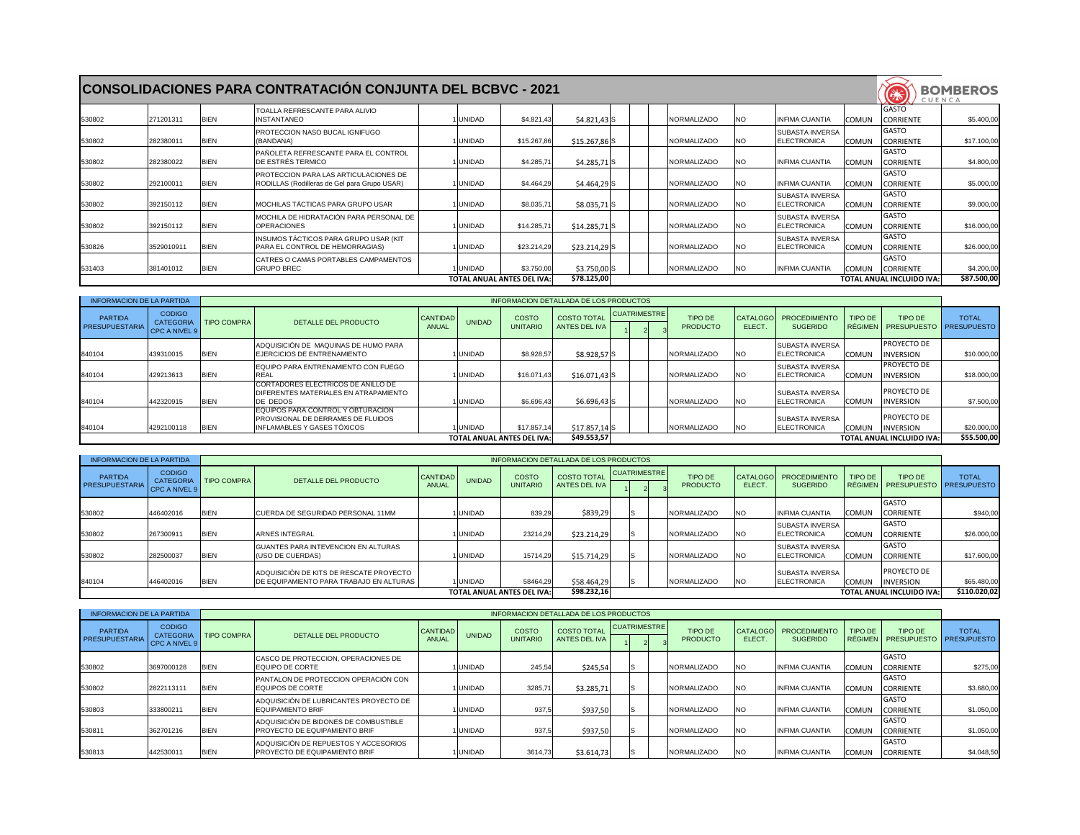|        |            |             | <b>CONSOLIDACIONES PARA CONTRATACIÓN CONJUNTA DEL BCBVC - 2021</b>                    |               |                                   |                |  |                     |           |                                                              | <b>CENTS</b>                     | <b>BOMBEROS</b><br>CUENCA |
|--------|------------|-------------|---------------------------------------------------------------------------------------|---------------|-----------------------------------|----------------|--|---------------------|-----------|--------------------------------------------------------------|----------------------------------|---------------------------|
| 530802 | 271201311  | <b>BIEN</b> | <b>TOALLA REFRESCANTE PARA ALIVIO</b><br>NSTANTANEO                                   | <b>UNIDAD</b> | \$4.821,43                        | $$4.821,43$ S  |  | NORMALIZADO         | NO.       | <b>INFIMA CUANTIA</b><br><b>COMUN</b>                        | GASTO<br><b>CORRIENTE</b>        | \$5.400,00                |
| 530802 | 282380011  | <b>BIEN</b> | PROTECCION NASO BUCAL IGNIFUGO<br>(BANDANA)                                           | <b>UNIDAD</b> | \$15.267,86                       | $$15.267,86$ S |  | NORMALIZADO         | NO.       | <b>SUBASTA INVERSA</b><br><b>ELECTRONICA</b><br>COMUN        | <b>GASTO</b><br><b>CORRIENTE</b> | \$17.100,00               |
| 530802 | 282380022  | <b>BIEN</b> | PAÑOLETA REFRESCANTE PARA EL CONTROL<br>DE ESTRÉS TERMICO                             | <b>UNIDAD</b> | \$4.285,71                        | $$4.285,71$ S  |  | NORMALIZADO         | NO.       | <b>INFIMA CUANTIA</b><br>COMUN                               | <b>GASTO</b><br><b>CORRIENTE</b> | \$4.800,00                |
| 530802 | 292100011  | <b>BIEN</b> | PROTECCION PARA LAS ARTICULACIONES DE<br>RODILLAS (Rodilleras de Gel para Grupo USAR) | <b>UNIDAD</b> | \$4.464,29                        | $$4.464,29$ S  |  | <b>INORMALIZADO</b> | NO.       | <b>IINFIMA CUANTIA</b><br>COMUN                              | <b>GASTO</b><br><b>CORRIENTE</b> | \$5.000,00                |
| 530802 | 392150112  | <b>BIEN</b> | MOCHILAS TÁCTICAS PARA GRUPO USAR                                                     | <b>UNIDAD</b> | \$8.035,71                        | $$8.035,71$ S  |  | NORMALIZADO         | <b>NO</b> | <b>SUBASTA INVERSA</b><br><b>ELECTRONICA</b><br><b>COMUN</b> | <b>GASTO</b><br><b>CORRIENTE</b> | \$9.000,00                |
| 530802 | 392150112  | <b>BIEN</b> | MOCHILA DE HIDRATACIÓN PARA PERSONAL DE<br><b>OPERACIONES</b>                         | <b>UNIDAD</b> | \$14.285,71                       | $$14.285,71$ S |  | NORMALIZADO         | <b>NO</b> | <b>SUBASTA INVERSA</b><br><b>ELECTRONICA</b><br>COMUN        | <b>GASTO</b><br><b>CORRIENTE</b> | \$16.000,00               |
| 530826 | 3529010911 | <b>BIEN</b> | INSUMOS TÁCTICOS PARA GRUPO USAR (KIT<br>PARA EL CONTROL DE HEMORRAGIAS)              | <b>UNIDAD</b> | \$23.214,29                       | $$23.214,29$ S |  | NORMALIZADO         | NO.       | <b>SUBASTA INVERSA</b><br><b>ELECTRONICA</b><br><b>COMUN</b> | <b>GASTO</b><br><b>CORRIENTE</b> | \$26.000,00               |
| 531403 | 381401012  | <b>BIEN</b> | CATRES O CAMAS PORTABLES CAMPAMENTOS<br><b>GRUPO BREC</b>                             | <b>UNIDAD</b> | \$3.750,00                        | $$3.750,00$ S  |  | NORMALIZADO         | <b>NO</b> | <b>INFIMA CUANTIA</b><br><b>COMUN</b>                        | <b>GASTO</b><br><b>CORRIENTE</b> | \$4.200,00                |
|        |            |             |                                                                                       |               | <b>TOTAL ANUAL ANTES DEL IVA:</b> | \$78.125,00    |  |                     |           |                                                              | <b>TOTAL ANUAL INCLUIDO IVA:</b> | \$87.500,00               |

| <b>INFORMACION DE LA PARTIDA</b>        |                                                    |                    |                                                                                                                 |                          |               |                                 | INFORMACION DETALLADA DE LOS PRODUCTOS |                     |  |                            |                                 |                                                |              |                                                |              |
|-----------------------------------------|----------------------------------------------------|--------------------|-----------------------------------------------------------------------------------------------------------------|--------------------------|---------------|---------------------------------|----------------------------------------|---------------------|--|----------------------------|---------------------------------|------------------------------------------------|--------------|------------------------------------------------|--------------|
| <b>PARTIDA</b><br><b>PRESUPUESTARIA</b> | <b>CODIGO</b><br><b>CATEGORIA</b><br>CPC A NIVEL 9 | <b>TIPO COMPRA</b> | DETALLE DEL PRODUCTO                                                                                            | <b>CANTIDAD</b><br>ANUAL | <b>UNIDAD</b> | <b>COSTO</b><br><b>UNITARIO</b> | <b>COSTO TOTAL</b><br>ANTES DEL IVA    | <b>CUATRIMESTRE</b> |  | TIPO DE<br><b>PRODUCTO</b> | <b>CATALOGO</b><br><b>ELECT</b> | <b>PROCEDIMIENTO</b><br><b>SUGERIDO</b>        | TIPO DE      | TIPO DE<br>RÉGIMEN   PRESUPUESTO   PRESUPUESTO | <b>TOTAL</b> |
| 840104                                  | 439310015                                          | <b>BIEN</b>        | ADQUISICIÓN DE MAQUINAS DE HUMO PARA<br>EJERCICIOS DE ENTRENAMIENTO                                             |                          | I UNIDAD.     | \$8.928,57                      | $$8.928,57$ S                          |                     |  | NORMALIZADO                | <b>NO</b>                       | <b>ISUBASTA INVERSA</b><br><b>IELECTRONICA</b> | COMUN        | <b>PROYECTO DE</b><br><b>INVERSION</b>         | \$10.000,00  |
| 840104                                  | 429213613                                          | <b>BIEN</b>        | EQUIPO PARA ENTRENAMIENTO CON FUEGO<br>REAL                                                                     |                          | I UNIDAD      | \$16.071,43                     | $$16.071,43$ S                         |                     |  | NORMALIZADO                | <b>NO</b>                       | <b>SUBASTA INVERSA</b><br><b>IELECTRONICA</b>  | <b>COMUN</b> | <b>PROYECTO DE</b><br><b>INVERSION</b>         | \$18.000,00  |
| 840104                                  | 442320915                                          | <b>BIEN</b>        | ICORTADORES ELECTRICOS DE ANILLO DE<br>DIFERENTES MATERIALES EN ATRAPAMIENTO<br>DE DEDOS                        |                          | I UNIDAD      | \$6.696,43                      | \$6.696,43                             |                     |  | NORMALIZADO                | <b>NO</b>                       | <b>SUBASTA INVERSA</b><br><b>IELECTRONICA</b>  | <b>COMUN</b> | <b>PROYECTO DE</b><br><b>INVERSION</b>         | \$7.500,00   |
| 840104                                  | 4292100118                                         | <b>BIEN</b>        | <b>IEQUIPOS PARA CONTROL Y OBTURACION</b><br>IPROVISIONAL DE DERRAMES DE FLUIDOS<br>INFLAMABLES Y GASES TÓXICOS |                          | I UNIDAD      | \$17.857,14                     | $$17.857,14$ S                         |                     |  | NORMALIZADO                | <b>INO</b>                      | <b>ISUBASTA INVERSA</b><br><b>ELECTRONICA</b>  | <b>COMUN</b> | <b>PROYECTO DE</b><br><b>INVERSION</b>         | \$20.000,00  |
|                                         | <b>TOTAL ANUAL ANTES DEL IVA:</b>                  |                    |                                                                                                                 |                          |               |                                 | \$49.553,57                            |                     |  |                            |                                 |                                                |              | <b>TOTAL ANUAL INCLUIDO IVA:</b>               | \$55.500,00  |

| <b>INFORMACION DE LA PARTIDA</b>        |                                                    |                    |                                                                                           |                          |               |                                 | INFORMACION DETALLADA DE LOS PRODUCTOS |                     |  |                                   |              |                                               |              |                                                |              |
|-----------------------------------------|----------------------------------------------------|--------------------|-------------------------------------------------------------------------------------------|--------------------------|---------------|---------------------------------|----------------------------------------|---------------------|--|-----------------------------------|--------------|-----------------------------------------------|--------------|------------------------------------------------|--------------|
| <b>PARTIDA</b><br><b>PRESUPUESTARIA</b> | <b>CODIGO</b><br><b>CATEGORIA</b><br>CPC A NIVEL 9 | <b>TIPO COMPRA</b> | DETALLE DEL PRODUCTO                                                                      | CANTIDAD<br><b>ANUAL</b> | <b>UNIDAD</b> | <b>COSTO</b><br><b>UNITARIO</b> | <b>COSTO TOTAL</b><br>ANTES DEL IVA    | <b>CUATRIMESTRE</b> |  | <b>TIPO DE</b><br><b>PRODUCTO</b> | <b>ELECT</b> | CATALOGO   PROCEDIMIENTO<br><b>SUGERIDO</b>   | TIPO DE      | TIPO DE<br>RÉGIMEN   PRESUPUESTO   PRESUPUESTO | <b>TOTAL</b> |
| 530802                                  | 446402016                                          | <b>BIEN</b>        | ICUERDA DE SEGURIDAD PERSONAL 11MM                                                        |                          | <b>UNIDAD</b> | 839,29                          | \$839,29                               |                     |  | NORMALIZADO                       | <b>NO</b>    | <b>IINFIMA CUANTIA</b>                        | COMUN        | <b>GASTO</b><br><b>CORRIENTE</b>               | \$940,00     |
| 530802                                  | 267300911                                          | <b>BIEN</b>        | <b>ARNES INTEGRAL</b>                                                                     |                          | <b>UNIDAD</b> | 23214,29                        | \$23.214,29                            |                     |  | NORMALIZADO                       | NO.          | <b>ISUBASTA INVERSA</b><br><b>ELECTRONICA</b> | <b>COMUN</b> | IGASTO<br><b>CORRIENTE</b>                     | \$26.000,00  |
| 530802                                  | 282500037                                          | <b>BIEN</b>        | GUANTES PARA INTEVENCION EN ALTURAS<br>(USO DE CUERDAS)                                   |                          | 1 IUNIDAD I   | 15714.29                        | \$15.714,29                            |                     |  | NORMALIZADO                       | <b>INO</b>   | <b>SUBASTA INVERSA</b><br><b>IELECTRONICA</b> | <b>COMUN</b> | <b>GASTO</b><br><b>CORRIENTE</b>               | \$17.600,00  |
| 840104                                  | 446402016                                          | <b>BIEN</b>        | ADQUISICIÓN DE KITS DE RESCATE PROYECTO<br><b>DE EQUIPAMIENTO PARA TRABAJO EN ALTURAS</b> |                          | <b>UNIDAD</b> | 58464,29                        | \$58.464,29                            |                     |  | NORMALIZADO                       | <b>NO</b>    | <b>ISUBASTA INVERSA</b><br>ELECTRONICA        | <b>COMUN</b> | PROYECTO DE<br><b>INVERSION</b>                | \$65.480,00  |
|                                         | <b>TOTAL ANUAL ANTES DEL IVA:</b>                  |                    |                                                                                           |                          |               |                                 | \$98.232,16                            |                     |  |                                   |              |                                               |              | <b>TOTAL ANUAL INCLUIDO IVA:</b>               | \$110.020,02 |

| <b>INFORMACION DE LA PARTIDA</b>        |                                                    |                    |                                                                                |                   |               |                                 | INFORMACION DETALLADA DE LOS PRODUCTOS |                     |                            |                           |                                         |              |                                                |              |
|-----------------------------------------|----------------------------------------------------|--------------------|--------------------------------------------------------------------------------|-------------------|---------------|---------------------------------|----------------------------------------|---------------------|----------------------------|---------------------------|-----------------------------------------|--------------|------------------------------------------------|--------------|
| <b>PARTIDA</b><br><b>PRESUPUESTARIA</b> | <b>CODIGO</b><br><b>CATEGORIA</b><br>CPC A NIVEL 9 | <b>TIPO COMPRA</b> | DETALLE DEL PRODUCTO                                                           | CANTIDAD<br>ANUAL | <b>UNIDAD</b> | <b>COSTO</b><br><b>UNITARIO</b> | <b>COSTO TOTAL</b><br>ANTES DEL IVA    | <b>CUATRIMESTRE</b> | TIPO DE<br><b>PRODUCTO</b> | <b>CATALOGO</b><br>ELECT. | <b>PROCEDIMIENTO</b><br><b>SUGERIDO</b> | TIPO DE      | TIPO DE<br>RÉGIMEN   PRESUPUESTO   PRESUPUESTO | <b>TOTAL</b> |
| 530802                                  | 3697000128                                         | <b>BIEN</b>        | CASCO DE PROTECCION, OPERACIONES DE<br><b>IEQUIPO DE CORTE</b>                 |                   | 1 UNIDAD      | 245,54                          | \$245,54                               |                     | NORMALIZADO                | <b>NO</b>                 | <b>INFIMA CUANTIA</b>                   | COMUN        | <b>GASTO</b><br><b>CORRIENTE</b>               | \$275,00     |
| 530802                                  | 2822113111                                         | <b>BIEN</b>        | PANTALON DE PROTECCION OPERACIÓN CON<br><b>IEQUIPOS DE CORTE</b>               |                   | I UNIDAD.     | 3285,71                         | \$3.285,71                             |                     | NORMALIZADO                | <b>NO</b>                 | <b>INFIMA CUANTIA</b>                   | COMUN        | <b>GASTO</b><br><b>CORRIENTE</b>               | \$3.680,00   |
| 530803                                  | 333800211                                          | <b>BIEN</b>        | ADQUISICIÓN DE LUBRICANTES PROYECTO DE<br><b>IEQUIPAMIENTO BRIF</b>            |                   | I UNIDAD      | 937,5                           | \$937,50                               |                     | NORMALIZADO                | <b>NO</b>                 | <b>INFIMA CUANTIA</b>                   | COMUN        | <b>GASTO</b><br><b>CORRIENTE</b>               | \$1.050,00   |
| 530811                                  | 362701216                                          | <b>BIEN</b>        | ADQUISICIÓN DE BIDONES DE COMBUSTIBLE<br><b>PROYECTO DE EQUIPAMIENTO BRIF</b>  |                   | I UNIDAD      | 937,5                           | \$937,50                               |                     | NORMALIZADO                | <b>NO</b>                 | <b>INFIMA CUANTIA</b>                   | COMUN        | <b>GASTO</b><br><b>CORRIENTE</b>               | \$1.050,00   |
| 530813                                  | 442530011                                          | <b>BIEN</b>        | ADQUISICIÓN DE REPUESTOS Y ACCESORIOS<br><b>IPROYECTO DE EQUIPAMIENTO BRIF</b> |                   | 1 UNIDAD      | 3614,73                         | \$3.614,73                             |                     | <b>INORMALIZADO</b>        | <b>NO</b>                 | <b>IINFIMA CUANTIA</b>                  | <b>COMUN</b> | <b>GASTO</b><br><b>CORRIENTE</b>               | \$4.048,50   |